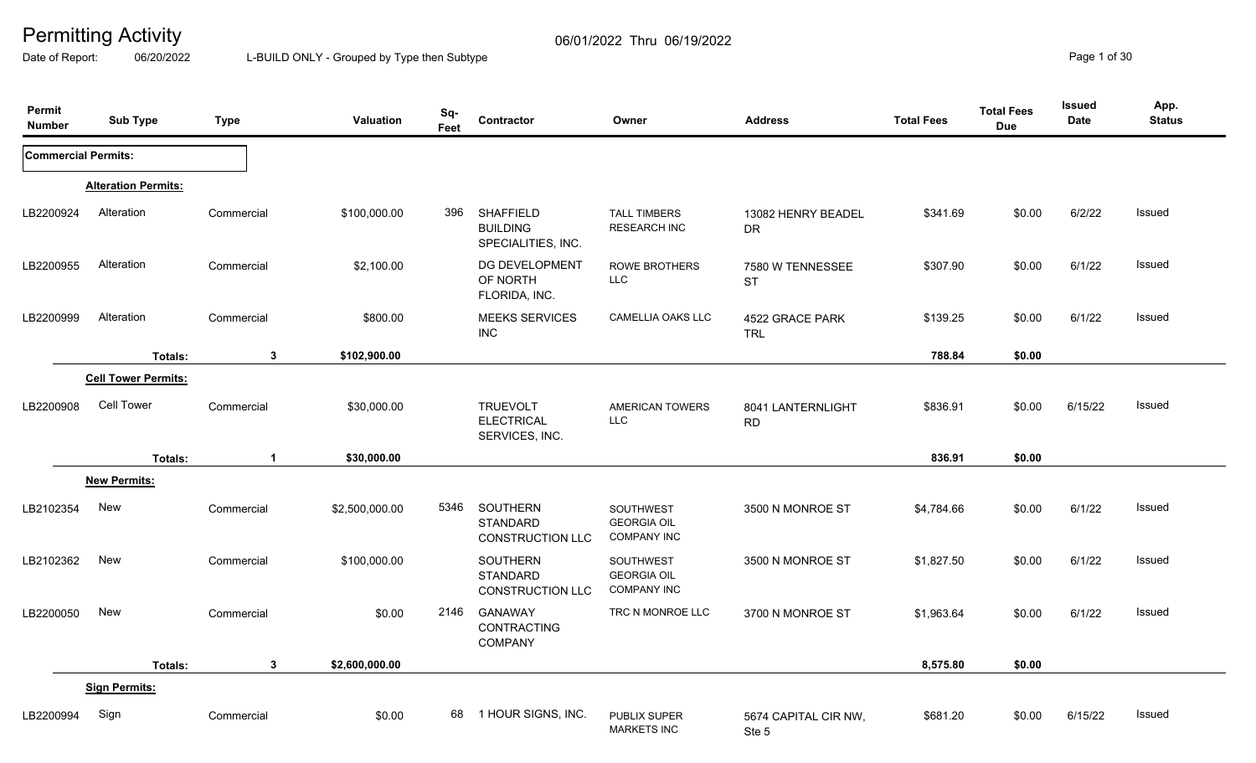Date of Report: 06/20/2022 L-BUILD ONLY - Grouped by Type then Subtype **Page 1** of 30

| Permit<br><b>Number</b>    | <b>Sub Type</b>            | <b>Type</b>  | Valuation      | Sq-<br>Feet | Contractor                                                | Owner                                                        | <b>Address</b>                 | <b>Total Fees</b> | <b>Total Fees</b><br><b>Due</b> | <b>Issued</b><br>Date | App.<br><b>Status</b> |
|----------------------------|----------------------------|--------------|----------------|-------------|-----------------------------------------------------------|--------------------------------------------------------------|--------------------------------|-------------------|---------------------------------|-----------------------|-----------------------|
| <b>Commercial Permits:</b> |                            |              |                |             |                                                           |                                                              |                                |                   |                                 |                       |                       |
|                            | <b>Alteration Permits:</b> |              |                |             |                                                           |                                                              |                                |                   |                                 |                       |                       |
| LB2200924                  | Alteration                 | Commercial   | \$100,000.00   | 396         | <b>SHAFFIELD</b><br><b>BUILDING</b><br>SPECIALITIES, INC. | <b>TALL TIMBERS</b><br><b>RESEARCH INC</b>                   | 13082 HENRY BEADEL<br>DR       | \$341.69          | \$0.00                          | 6/2/22                | Issued                |
| LB2200955                  | Alteration                 | Commercial   | \$2,100.00     |             | DG DEVELOPMENT<br>OF NORTH<br>FLORIDA, INC.               | <b>ROWE BROTHERS</b><br><b>LLC</b>                           | 7580 W TENNESSEE<br><b>ST</b>  | \$307.90          | \$0.00                          | 6/1/22                | Issued                |
| LB2200999                  | Alteration                 | Commercial   | \$800.00       |             | <b>MEEKS SERVICES</b><br><b>INC</b>                       | CAMELLIA OAKS LLC                                            | 4522 GRACE PARK<br><b>TRL</b>  | \$139.25          | \$0.00                          | 6/1/22                | Issued                |
|                            | <b>Totals:</b>             | $\mathbf{3}$ | \$102,900.00   |             |                                                           |                                                              |                                | 788.84            | \$0.00                          |                       |                       |
|                            | <b>Cell Tower Permits:</b> |              |                |             |                                                           |                                                              |                                |                   |                                 |                       |                       |
| LB2200908                  | Cell Tower                 | Commercial   | \$30,000.00    |             | <b>TRUEVOLT</b><br><b>ELECTRICAL</b><br>SERVICES, INC.    | <b>AMERICAN TOWERS</b><br><b>LLC</b>                         | 8041 LANTERNLIGHT<br><b>RD</b> | \$836.91          | \$0.00                          | 6/15/22               | Issued                |
|                            | Totals:                    | $\mathbf 1$  | \$30,000.00    |             |                                                           |                                                              |                                | 836.91            | \$0.00                          |                       |                       |
|                            | <b>New Permits:</b>        |              |                |             |                                                           |                                                              |                                |                   |                                 |                       |                       |
| LB2102354                  | New                        | Commercial   | \$2,500,000.00 | 5346        | <b>SOUTHERN</b><br><b>STANDARD</b><br>CONSTRUCTION LLC    | SOUTHWEST<br><b>GEORGIA OIL</b><br><b>COMPANY INC</b>        | 3500 N MONROE ST               | \$4,784.66        | \$0.00                          | 6/1/22                | Issued                |
| LB2102362                  | New                        | Commercial   | \$100,000.00   |             | SOUTHERN<br><b>STANDARD</b><br><b>CONSTRUCTION LLC</b>    | <b>SOUTHWEST</b><br><b>GEORGIA OIL</b><br><b>COMPANY INC</b> | 3500 N MONROE ST               | \$1,827.50        | \$0.00                          | 6/1/22                | Issued                |
| LB2200050                  | New                        | Commercial   | \$0.00         | 2146        | <b>GANAWAY</b><br><b>CONTRACTING</b><br>COMPANY           | TRC N MONROE LLC                                             | 3700 N MONROE ST               | \$1,963.64        | \$0.00                          | 6/1/22                | Issued                |
|                            | Totals:                    | 3            | \$2,600,000.00 |             |                                                           |                                                              |                                | 8,575.80          | \$0.00                          |                       |                       |
|                            | <b>Sign Permits:</b>       |              |                |             |                                                           |                                                              |                                |                   |                                 |                       |                       |
| LB2200994                  | Sign                       | Commercial   | \$0.00         |             | 68 1 HOUR SIGNS, INC.                                     | <b>PUBLIX SUPER</b><br><b>MARKETS INC</b>                    | 5674 CAPITAL CIR NW,<br>Ste 5  | \$681.20          | \$0.00                          | 6/15/22               | Issued                |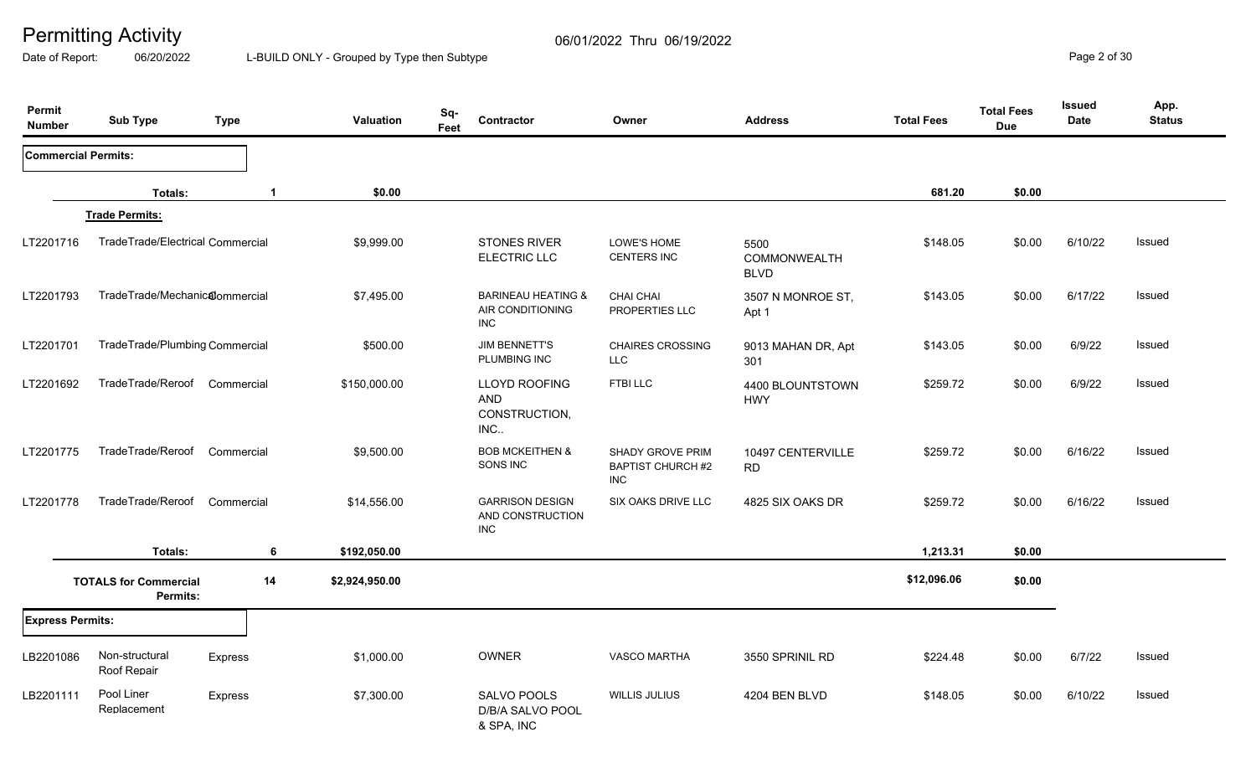Date of Report: 06/20/2022 L-BUILD ONLY - Grouped by Type then Subtype **Page 2 of 30** 

| Permit<br><b>Number</b>    | <b>Sub Type</b>                          | <b>Type</b>    |             | Valuation      | Sq-<br>Feet | Contractor                                                      | Owner                                               | <b>Address</b>                      | <b>Total Fees</b> | <b>Total Fees</b><br><b>Due</b> | <b>Issued</b><br><b>Date</b> | App.<br><b>Status</b> |
|----------------------------|------------------------------------------|----------------|-------------|----------------|-------------|-----------------------------------------------------------------|-----------------------------------------------------|-------------------------------------|-------------------|---------------------------------|------------------------------|-----------------------|
| <b>Commercial Permits:</b> |                                          |                |             |                |             |                                                                 |                                                     |                                     |                   |                                 |                              |                       |
|                            | Totals:                                  |                | $\mathbf 1$ | \$0.00         |             |                                                                 |                                                     |                                     | 681.20            | \$0.00                          |                              |                       |
|                            | <b>Trade Permits:</b>                    |                |             |                |             |                                                                 |                                                     |                                     |                   |                                 |                              |                       |
| LT2201716                  | TradeTrade/Electrical Commercial         |                |             | \$9,999.00     |             | <b>STONES RIVER</b><br><b>ELECTRIC LLC</b>                      | LOWE'S HOME<br><b>CENTERS INC</b>                   | 5500<br>COMMONWEALTH<br><b>BLVD</b> | \$148.05          | \$0.00                          | 6/10/22                      | Issued                |
| LT2201793                  | TradeTrade/Mechanicalommercial           |                |             | \$7,495.00     |             | <b>BARINEAU HEATING &amp;</b><br>AIR CONDITIONING<br><b>INC</b> | <b>CHAI CHAI</b><br>PROPERTIES LLC                  | 3507 N MONROE ST,<br>Apt 1          | \$143.05          | \$0.00                          | 6/17/22                      | Issued                |
| LT2201701                  | TradeTrade/Plumbing Commercial           |                |             | \$500.00       |             | <b>JIM BENNETT'S</b><br>PLUMBING INC                            | <b>CHAIRES CROSSING</b><br><b>LLC</b>               | 9013 MAHAN DR, Apt<br>301           | \$143.05          | \$0.00                          | 6/9/22                       | Issued                |
| LT2201692                  | TradeTrade/Reroof Commercial             |                |             | \$150,000.00   |             | <b>LLOYD ROOFING</b><br><b>AND</b><br>CONSTRUCTION,<br>INC      | FTBI LLC                                            | 4400 BLOUNTSTOWN<br><b>HWY</b>      | \$259.72          | \$0.00                          | 6/9/22                       | Issued                |
| LT2201775                  | TradeTrade/Reroof                        | Commercial     |             | \$9,500.00     |             | <b>BOB MCKEITHEN &amp;</b><br>SONS INC                          | SHADY GROVE PRIM<br><b>BAPTIST CHURCH #2</b><br>INC | 10497 CENTERVILLE<br><b>RD</b>      | \$259.72          | \$0.00                          | 6/16/22                      | Issued                |
| LT2201778                  | TradeTrade/Reroof                        | Commercial     |             | \$14,556.00    |             | <b>GARRISON DESIGN</b><br>AND CONSTRUCTION<br><b>INC</b>        | SIX OAKS DRIVE LLC                                  | 4825 SIX OAKS DR                    | \$259.72          | \$0.00                          | 6/16/22                      | Issued                |
|                            | Totals:                                  |                | 6           | \$192,050.00   |             |                                                                 |                                                     |                                     | 1,213.31          | \$0.00                          |                              |                       |
|                            | <b>TOTALS for Commercial</b><br>Permits: |                | 14          | \$2,924,950.00 |             |                                                                 |                                                     |                                     | \$12,096.06       | \$0.00                          |                              |                       |
|                            | <b>Express Permits:</b>                  |                |             |                |             |                                                                 |                                                     |                                     |                   |                                 |                              |                       |
| LB2201086                  | Non-structural<br>Roof Repair            | <b>Express</b> |             | \$1,000.00     |             | <b>OWNER</b>                                                    | <b>VASCO MARTHA</b>                                 | 3550 SPRINIL RD                     | \$224.48          | \$0.00                          | 6/7/22                       | Issued                |
| LB2201111                  | Pool Liner<br>Replacement                | Express        |             | \$7,300.00     |             | SALVO POOLS<br>D/B/A SALVO POOL<br>& SPA, INC                   | <b>WILLIS JULIUS</b>                                | 4204 BEN BLVD                       | \$148.05          | \$0.00                          | 6/10/22                      | Issued                |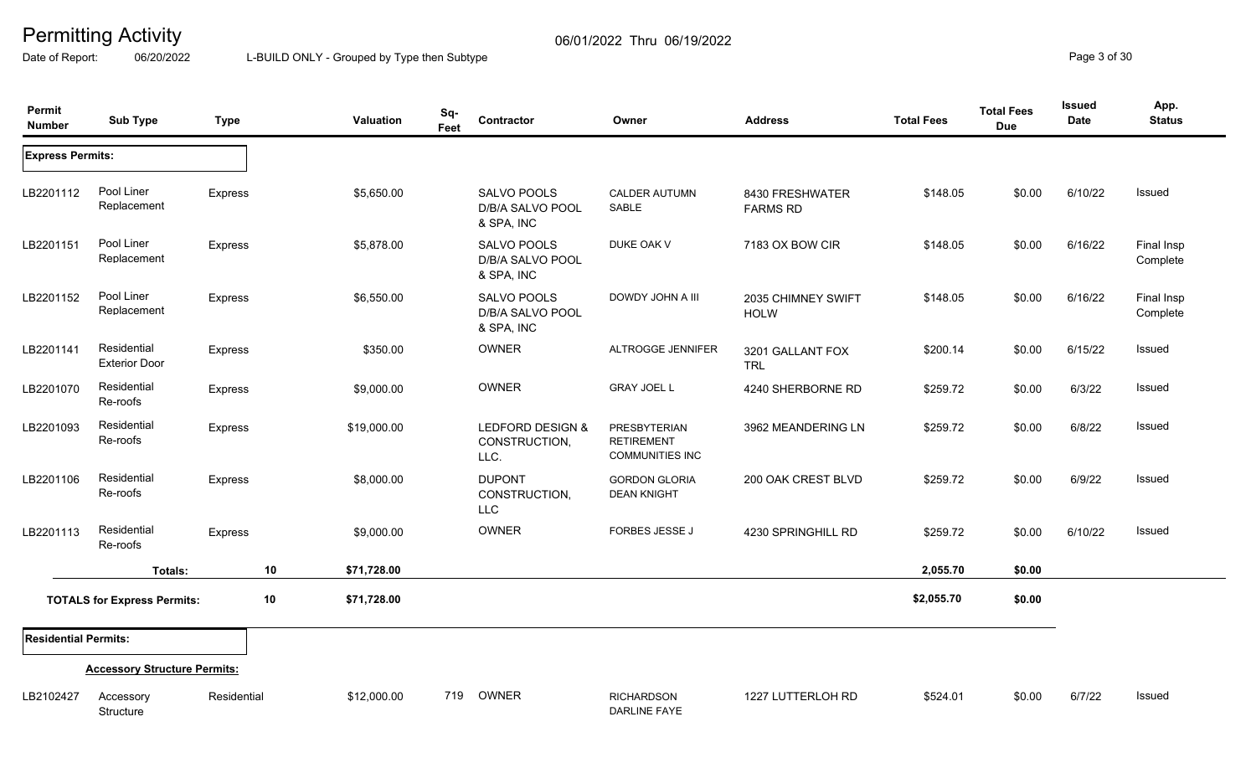Date of Report: 06/20/2022 L-BUILD ONLY - Grouped by Type then Subtype **Page 3 of 30** 

| Permit<br><b>Number</b>     | <b>Sub Type</b>                     | <b>Type</b> |    | <b>Valuation</b> | Sq-<br>Feet | <b>Contractor</b>                             | Owner                                                       | <b>Address</b>                     | <b>Total Fees</b> | <b>Total Fees</b><br><b>Due</b> | <b>Issued</b><br>Date | App.<br><b>Status</b>  |
|-----------------------------|-------------------------------------|-------------|----|------------------|-------------|-----------------------------------------------|-------------------------------------------------------------|------------------------------------|-------------------|---------------------------------|-----------------------|------------------------|
| <b>Express Permits:</b>     |                                     |             |    |                  |             |                                               |                                                             |                                    |                   |                                 |                       |                        |
| LB2201112                   | Pool Liner<br>Replacement           | Express     |    | \$5,650.00       |             | SALVO POOLS<br>D/B/A SALVO POOL<br>& SPA, INC | <b>CALDER AUTUMN</b><br>SABLE                               | 8430 FRESHWATER<br><b>FARMS RD</b> | \$148.05          | \$0.00                          | 6/10/22               | Issued                 |
| LB2201151                   | Pool Liner<br>Replacement           | Express     |    | \$5,878.00       |             | SALVO POOLS<br>D/B/A SALVO POOL<br>& SPA, INC | DUKE OAK V                                                  | 7183 OX BOW CIR                    | \$148.05          | \$0.00                          | 6/16/22               | Final Insp<br>Complete |
| LB2201152                   | Pool Liner<br>Replacement           | Express     |    | \$6,550.00       |             | SALVO POOLS<br>D/B/A SALVO POOL<br>& SPA, INC | DOWDY JOHN A III                                            | 2035 CHIMNEY SWIFT<br><b>HOLW</b>  | \$148.05          | \$0.00                          | 6/16/22               | Final Insp<br>Complete |
| LB2201141                   | Residential<br><b>Exterior Door</b> | Express     |    | \$350.00         |             | <b>OWNER</b>                                  | <b>ALTROGGE JENNIFER</b>                                    | 3201 GALLANT FOX<br><b>TRL</b>     | \$200.14          | \$0.00                          | 6/15/22               | Issued                 |
| LB2201070                   | Residential<br>Re-roofs             | Express     |    | \$9,000.00       |             | OWNER                                         | <b>GRAY JOEL L</b>                                          | 4240 SHERBORNE RD                  | \$259.72          | \$0.00                          | 6/3/22                | Issued                 |
| LB2201093                   | Residential<br>Re-roofs             | Express     |    | \$19,000.00      |             | LEDFORD DESIGN &<br>CONSTRUCTION,<br>LLC.     | PRESBYTERIAN<br><b>RETIREMENT</b><br><b>COMMUNITIES INC</b> | 3962 MEANDERING LN                 | \$259.72          | \$0.00                          | 6/8/22                | Issued                 |
| LB2201106                   | Residential<br>Re-roofs             | Express     |    | \$8,000.00       |             | <b>DUPONT</b><br>CONSTRUCTION,<br><b>LLC</b>  | <b>GORDON GLORIA</b><br><b>DEAN KNIGHT</b>                  | 200 OAK CREST BLVD                 | \$259.72          | \$0.00                          | 6/9/22                | Issued                 |
| LB2201113                   | Residential<br>Re-roofs             | Express     |    | \$9,000.00       |             | OWNER                                         | <b>FORBES JESSE J</b>                                       | 4230 SPRINGHILL RD                 | \$259.72          | \$0.00                          | 6/10/22               | Issued                 |
|                             | Totals:                             |             | 10 | \$71,728.00      |             |                                               |                                                             |                                    | 2,055.70          | \$0.00                          |                       |                        |
|                             | <b>TOTALS for Express Permits:</b>  |             | 10 | \$71,728.00      |             |                                               |                                                             |                                    | \$2,055.70        | \$0.00                          |                       |                        |
| <b>Residential Permits:</b> |                                     |             |    |                  |             |                                               |                                                             |                                    |                   |                                 |                       |                        |
|                             | <b>Accessory Structure Permits:</b> |             |    |                  |             |                                               |                                                             |                                    |                   |                                 |                       |                        |
| LB2102427                   | Accessory<br>Structure              | Residential |    | \$12,000.00      |             | 719 OWNER                                     | <b>RICHARDSON</b><br><b>DARLINE FAYE</b>                    | 1227 LUTTERLOH RD                  | \$524.01          | \$0.00                          | 6/7/22                | Issued                 |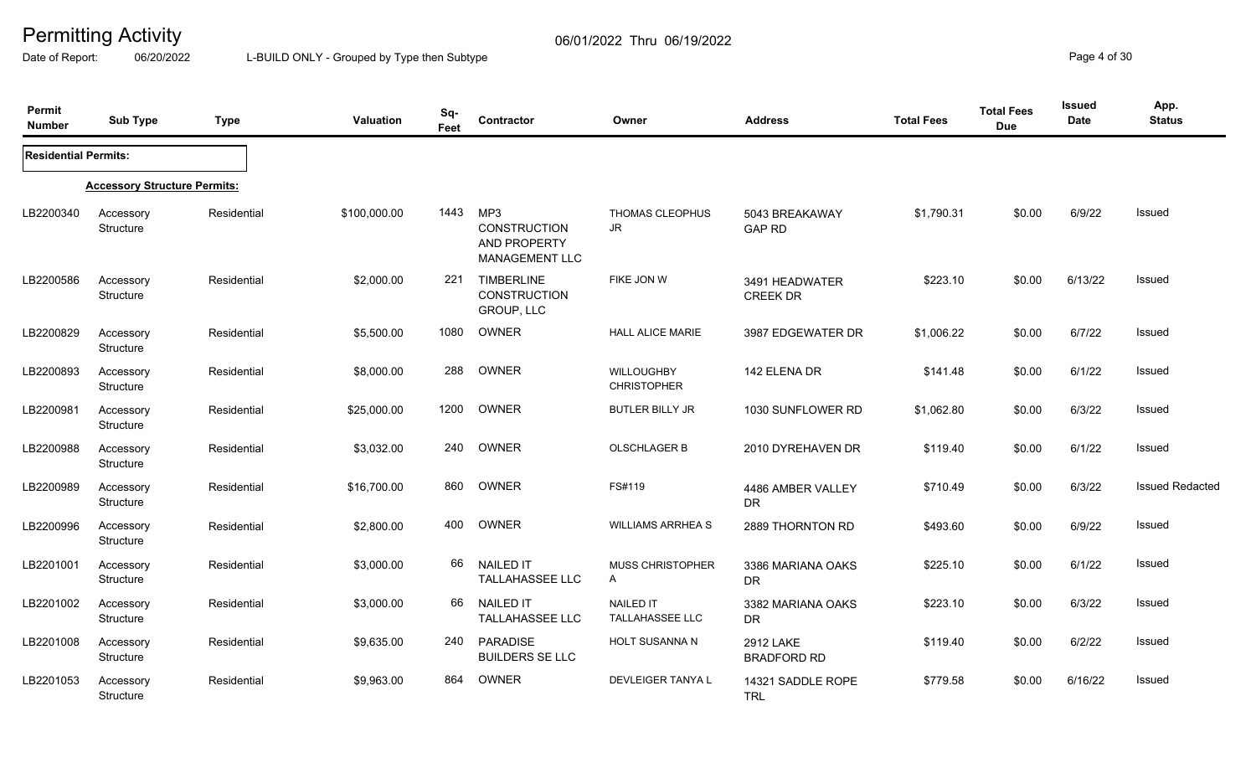Date of Report: 06/20/2022 L-BUILD ONLY - Grouped by Type then Subtype **Page 4 of 30** 

| Permit<br><b>Number</b>     | <b>Sub Type</b>                     | <b>Type</b> | Valuation    | Sq-<br>Feet | Contractor                                                          | Owner                                      | <b>Address</b>                         | <b>Total Fees</b> | <b>Total Fees</b><br><b>Due</b> | Issued<br><b>Date</b> | App.<br><b>Status</b>  |
|-----------------------------|-------------------------------------|-------------|--------------|-------------|---------------------------------------------------------------------|--------------------------------------------|----------------------------------------|-------------------|---------------------------------|-----------------------|------------------------|
| <b>Residential Permits:</b> |                                     |             |              |             |                                                                     |                                            |                                        |                   |                                 |                       |                        |
|                             | <b>Accessory Structure Permits:</b> |             |              |             |                                                                     |                                            |                                        |                   |                                 |                       |                        |
| LB2200340                   | Accessory<br>Structure              | Residential | \$100,000.00 | 1443        | MP3<br><b>CONSTRUCTION</b><br>AND PROPERTY<br><b>MANAGEMENT LLC</b> | THOMAS CLEOPHUS<br>JR.                     | 5043 BREAKAWAY<br><b>GAP RD</b>        | \$1,790.31        | \$0.00                          | 6/9/22                | Issued                 |
| LB2200586                   | Accessory<br>Structure              | Residential | \$2,000.00   | 221         | <b>TIMBERLINE</b><br><b>CONSTRUCTION</b><br>GROUP, LLC              | FIKE JON W                                 | 3491 HEADWATER<br><b>CREEK DR</b>      | \$223.10          | \$0.00                          | 6/13/22               | Issued                 |
| LB2200829                   | Accessory<br>Structure              | Residential | \$5,500.00   | 1080        | OWNER                                                               | <b>HALL ALICE MARIE</b>                    | 3987 EDGEWATER DR                      | \$1,006.22        | \$0.00                          | 6/7/22                | Issued                 |
| LB2200893                   | Accessory<br>Structure              | Residential | \$8,000.00   | 288         | OWNER                                                               | <b>WILLOUGHBY</b><br><b>CHRISTOPHER</b>    | 142 ELENA DR                           | \$141.48          | \$0.00                          | 6/1/22                | Issued                 |
| LB2200981                   | Accessory<br>Structure              | Residential | \$25,000.00  | 1200        | OWNER                                                               | <b>BUTLER BILLY JR</b>                     | 1030 SUNFLOWER RD                      | \$1,062.80        | \$0.00                          | 6/3/22                | Issued                 |
| LB2200988                   | Accessory<br>Structure              | Residential | \$3,032.00   | 240         | OWNER                                                               | <b>OLSCHLAGER B</b>                        | 2010 DYREHAVEN DR                      | \$119.40          | \$0.00                          | 6/1/22                | Issued                 |
| LB2200989                   | Accessory<br><b>Structure</b>       | Residential | \$16,700.00  | 860         | OWNER                                                               | FS#119                                     | 4486 AMBER VALLEY<br><b>DR</b>         | \$710.49          | \$0.00                          | 6/3/22                | <b>Issued Redacted</b> |
| LB2200996                   | Accessory<br>Structure              | Residential | \$2,800.00   | 400         | OWNER                                                               | <b>WILLIAMS ARRHEA S</b>                   | 2889 THORNTON RD                       | \$493.60          | \$0.00                          | 6/9/22                | Issued                 |
| LB2201001                   | Accessory<br>Structure              | Residential | \$3,000.00   | 66          | <b>NAILED IT</b><br><b>TALLAHASSEE LLC</b>                          | <b>MUSS CHRISTOPHER</b><br>A               | 3386 MARIANA OAKS<br><b>DR</b>         | \$225.10          | \$0.00                          | 6/1/22                | Issued                 |
| LB2201002                   | Accessory<br>Structure              | Residential | \$3,000.00   | 66          | <b>NAILED IT</b><br>TALLAHASSEE LLC                                 | <b>NAILED IT</b><br><b>TALLAHASSEE LLC</b> | 3382 MARIANA OAKS<br><b>DR</b>         | \$223.10          | \$0.00                          | 6/3/22                | <b>Issued</b>          |
| LB2201008                   | Accessory<br>Structure              | Residential | \$9,635.00   | 240         | <b>PARADISE</b><br><b>BUILDERS SE LLC</b>                           | HOLT SUSANNA N                             | <b>2912 LAKE</b><br><b>BRADFORD RD</b> | \$119.40          | \$0.00                          | 6/2/22                | <b>Issued</b>          |
| LB2201053                   | Accessory<br>Structure              | Residential | \$9,963.00   | 864         | OWNER                                                               | DEVLEIGER TANYA L                          | 14321 SADDLE ROPE<br><b>TRL</b>        | \$779.58          | \$0.00                          | 6/16/22               | Issued                 |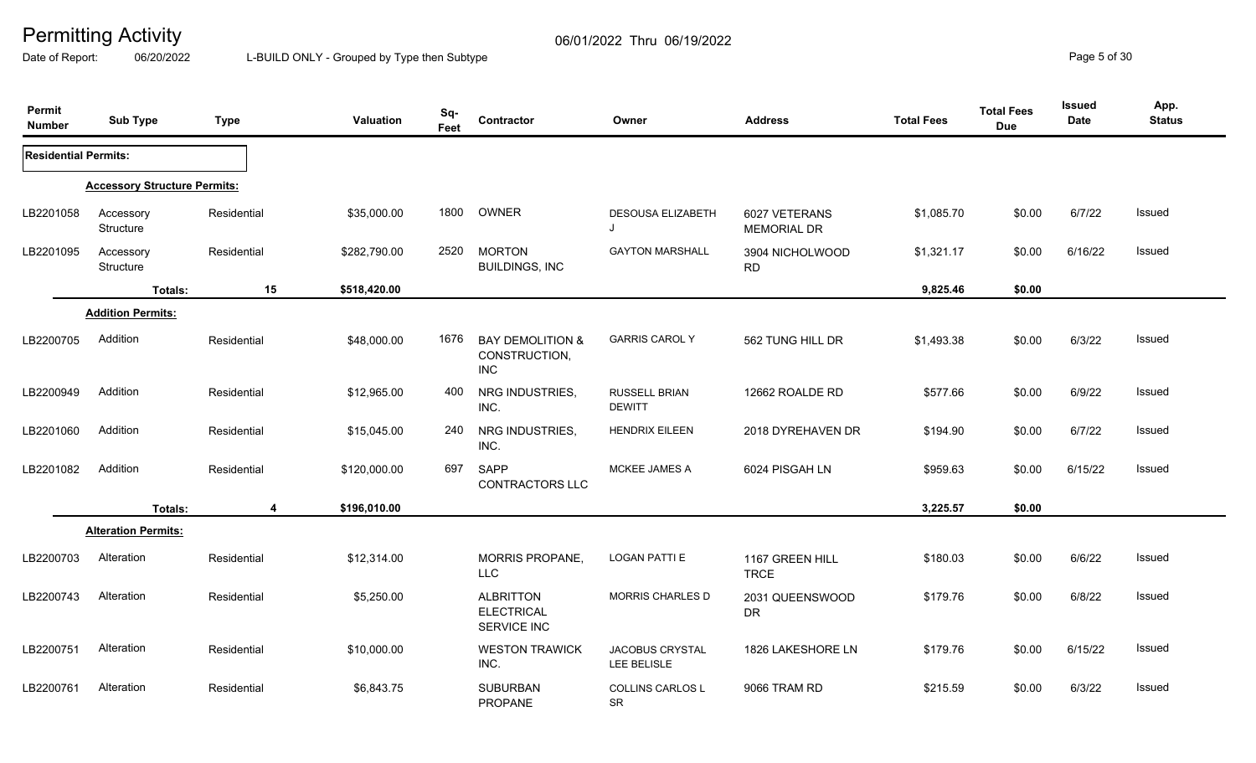Date of Report: 06/20/2022 L-BUILD ONLY - Grouped by Type then Subtype **Page 5** of 30

| Permit<br><b>Number</b>     | <b>Sub Type</b>                     | <b>Type</b> | Valuation    | Sq-<br>Feet | Contractor                                                 | Owner                          | <b>Address</b>                      | <b>Total Fees</b> | <b>Total Fees</b><br><b>Due</b> | <b>Issued</b><br>Date | App.<br><b>Status</b> |
|-----------------------------|-------------------------------------|-------------|--------------|-------------|------------------------------------------------------------|--------------------------------|-------------------------------------|-------------------|---------------------------------|-----------------------|-----------------------|
| <b>Residential Permits:</b> |                                     |             |              |             |                                                            |                                |                                     |                   |                                 |                       |                       |
|                             | <b>Accessory Structure Permits:</b> |             |              |             |                                                            |                                |                                     |                   |                                 |                       |                       |
| LB2201058                   | Accessory<br>Structure              | Residential | \$35,000.00  | 1800        | OWNER                                                      | DESOUSA ELIZABETH<br>J         | 6027 VETERANS<br><b>MEMORIAL DR</b> | \$1,085.70        | \$0.00                          | 6/7/22                | Issued                |
| LB2201095                   | Accessory<br>Structure              | Residential | \$282,790.00 | 2520        | <b>MORTON</b><br><b>BUILDINGS, INC</b>                     | <b>GAYTON MARSHALL</b>         | 3904 NICHOLWOOD<br><b>RD</b>        | \$1,321.17        | \$0.00                          | 6/16/22               | Issued                |
|                             | Totals:                             | 15          | \$518,420.00 |             |                                                            |                                |                                     | 9,825.46          | \$0.00                          |                       |                       |
|                             | <b>Addition Permits:</b>            |             |              |             |                                                            |                                |                                     |                   |                                 |                       |                       |
| LB2200705                   | Addition                            | Residential | \$48,000.00  | 1676        | <b>BAY DEMOLITION &amp;</b><br>CONSTRUCTION,<br><b>INC</b> | <b>GARRIS CAROL Y</b>          | 562 TUNG HILL DR                    | \$1,493.38        | \$0.00                          | 6/3/22                | <b>Issued</b>         |
| LB2200949                   | Addition                            | Residential | \$12,965.00  | 400         | NRG INDUSTRIES,<br>INC.                                    | RUSSELL BRIAN<br><b>DEWITT</b> | 12662 ROALDE RD                     | \$577.66          | \$0.00                          | 6/9/22                | Issued                |
| LB2201060                   | Addition                            | Residential | \$15,045.00  | 240         | NRG INDUSTRIES,<br>INC.                                    | <b>HENDRIX EILEEN</b>          | 2018 DYREHAVEN DR                   | \$194.90          | \$0.00                          | 6/7/22                | Issued                |
| LB2201082                   | Addition                            | Residential | \$120,000.00 | 697         | <b>SAPP</b><br>CONTRACTORS LLC                             | MCKEE JAMES A                  | 6024 PISGAH LN                      | \$959.63          | \$0.00                          | 6/15/22               | Issued                |
|                             | Totals:                             | 4           | \$196,010.00 |             |                                                            |                                |                                     | 3,225.57          | \$0.00                          |                       |                       |
|                             | <b>Alteration Permits:</b>          |             |              |             |                                                            |                                |                                     |                   |                                 |                       |                       |
| LB2200703                   | Alteration                          | Residential | \$12,314.00  |             | <b>MORRIS PROPANE,</b><br><b>LLC</b>                       | <b>LOGAN PATTI E</b>           | 1167 GREEN HILL<br><b>TRCE</b>      | \$180.03          | \$0.00                          | 6/6/22                | Issued                |
| LB2200743                   | Alteration                          | Residential | \$5,250.00   |             | <b>ALBRITTON</b><br><b>ELECTRICAL</b><br>SERVICE INC       | <b>MORRIS CHARLES D</b>        | 2031 QUEENSWOOD<br><b>DR</b>        | \$179.76          | \$0.00                          | 6/8/22                | <b>Issued</b>         |
| LB2200751                   | Alteration                          | Residential | \$10,000.00  |             | <b>WESTON TRAWICK</b><br>INC.                              | JACOBUS CRYSTAL<br>LEE BELISLE | 1826 LAKESHORE LN                   | \$179.76          | \$0.00                          | 6/15/22               | Issued                |
| LB2200761                   | Alteration                          | Residential | \$6,843.75   |             | <b>SUBURBAN</b><br><b>PROPANE</b>                          | COLLINS CARLOS L<br>SR         | 9066 TRAM RD                        | \$215.59          | \$0.00                          | 6/3/22                | <b>Issued</b>         |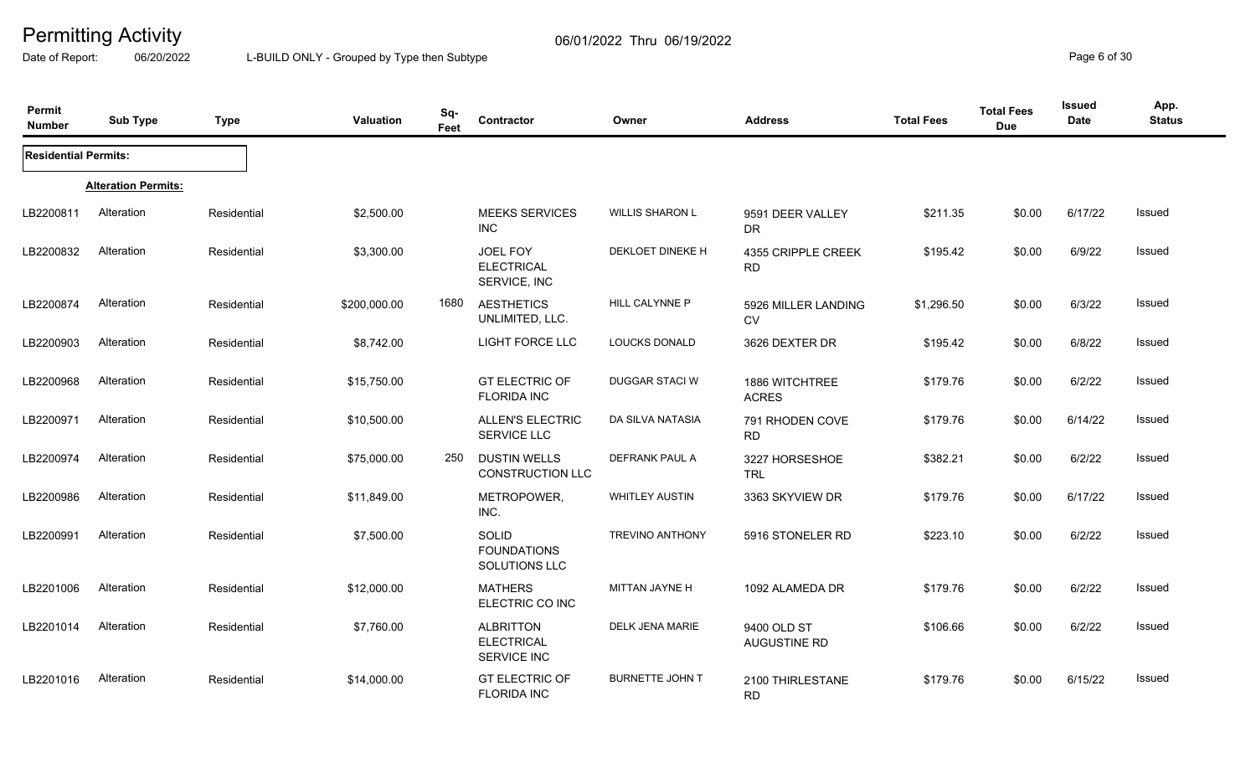Date of Report: 06/20/2022 L-BUILD ONLY - Grouped by Type then Subtype **Page 6** of 30

| Permit<br><b>Number</b>     | <b>Sub Type</b>            | <b>Type</b> | Valuation    | Sq-<br>Feet | Contractor                                           | Owner                  | <b>Address</b>                   | <b>Total Fees</b> | <b>Total Fees</b><br><b>Due</b> | <b>Issued</b><br>Date | App.<br><b>Status</b> |
|-----------------------------|----------------------------|-------------|--------------|-------------|------------------------------------------------------|------------------------|----------------------------------|-------------------|---------------------------------|-----------------------|-----------------------|
| <b>Residential Permits:</b> |                            |             |              |             |                                                      |                        |                                  |                   |                                 |                       |                       |
|                             | <b>Alteration Permits:</b> |             |              |             |                                                      |                        |                                  |                   |                                 |                       |                       |
| LB2200811                   | Alteration                 | Residential | \$2,500.00   |             | <b>MEEKS SERVICES</b><br><b>INC</b>                  | <b>WILLIS SHARON L</b> | 9591 DEER VALLEY<br>DR.          | \$211.35          | \$0.00                          | 6/17/22               | Issued                |
| LB2200832                   | Alteration                 | Residential | \$3,300.00   |             | JOEL FOY<br><b>ELECTRICAL</b><br>SERVICE, INC        | DEKLOET DINEKE H       | 4355 CRIPPLE CREEK<br><b>RD</b>  | \$195.42          | \$0.00                          | 6/9/22                | Issued                |
| LB2200874                   | Alteration                 | Residential | \$200,000.00 | 1680        | <b>AESTHETICS</b><br>UNLIMITED, LLC.                 | <b>HILL CALYNNE P</b>  | 5926 MILLER LANDING<br><b>CV</b> | \$1,296.50        | \$0.00                          | 6/3/22                | Issued                |
| LB2200903                   | Alteration                 | Residential | \$8,742.00   |             | <b>LIGHT FORCE LLC</b>                               | <b>LOUCKS DONALD</b>   | 3626 DEXTER DR                   | \$195.42          | \$0.00                          | 6/8/22                | Issued                |
| LB2200968                   | Alteration                 | Residential | \$15,750.00  |             | <b>GT ELECTRIC OF</b><br><b>FLORIDA INC</b>          | DUGGAR STACI W         | 1886 WITCHTREE<br><b>ACRES</b>   | \$179.76          | \$0.00                          | 6/2/22                | Issued                |
| LB2200971                   | Alteration                 | Residential | \$10,500.00  |             | <b>ALLEN'S ELECTRIC</b><br><b>SERVICE LLC</b>        | DA SILVA NATASIA       | 791 RHODEN COVE<br><b>RD</b>     | \$179.76          | \$0.00                          | 6/14/22               | Issued                |
| LB2200974                   | Alteration                 | Residential | \$75,000.00  | 250         | <b>DUSTIN WELLS</b><br><b>CONSTRUCTION LLC</b>       | DEFRANK PAUL A         | 3227 HORSESHOE<br><b>TRL</b>     | \$382.21          | \$0.00                          | 6/2/22                | Issued                |
| LB2200986                   | Alteration                 | Residential | \$11,849.00  |             | METROPOWER,<br>INC.                                  | <b>WHITLEY AUSTIN</b>  | 3363 SKYVIEW DR                  | \$179.76          | \$0.00                          | 6/17/22               | Issued                |
| LB2200991                   | Alteration                 | Residential | \$7,500.00   |             | SOLID<br><b>FOUNDATIONS</b><br>SOLUTIONS LLC         | <b>TREVINO ANTHONY</b> | 5916 STONELER RD                 | \$223.10          | \$0.00                          | 6/2/22                | Issued                |
| LB2201006                   | Alteration                 | Residential | \$12,000.00  |             | <b>MATHERS</b><br>ELECTRIC CO INC                    | MITTAN JAYNE H         | 1092 ALAMEDA DR                  | \$179.76          | \$0.00                          | 6/2/22                | Issued                |
| LB2201014                   | Alteration                 | Residential | \$7,760.00   |             | <b>ALBRITTON</b><br><b>ELECTRICAL</b><br>SERVICE INC | DELK JENA MARIE        | 9400 OLD ST<br>AUGUSTINE RD      | \$106.66          | \$0.00                          | 6/2/22                | Issued                |
| LB2201016                   | Alteration                 | Residential | \$14,000.00  |             | <b>GT ELECTRIC OF</b><br><b>FLORIDA INC</b>          | <b>BURNETTE JOHN T</b> | 2100 THIRLESTANE<br><b>RD</b>    | \$179.76          | \$0.00                          | 6/15/22               | Issued                |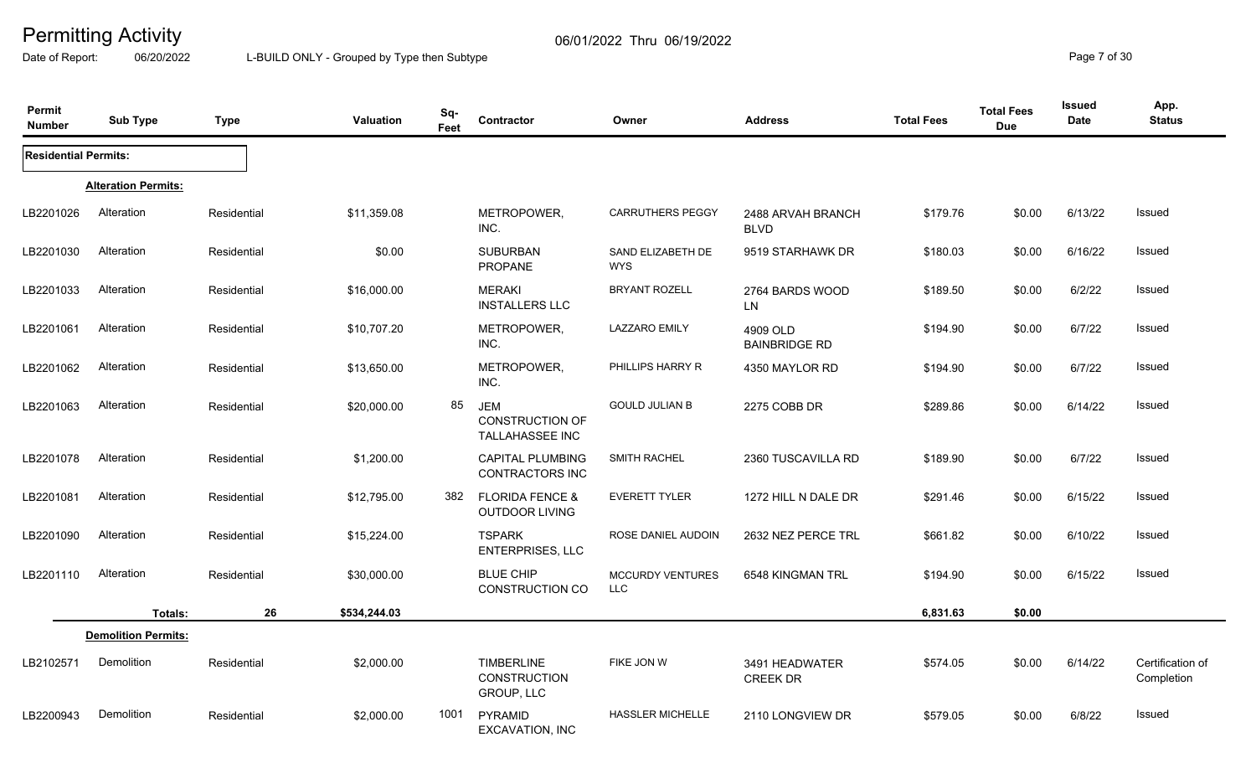Date of Report: 06/20/2022 L-BUILD ONLY - Grouped by Type then Subtype **Page 7** of 30

| Permit<br><b>Number</b>     | <b>Sub Type</b>            | <b>Type</b> | Valuation    | Sq-<br>Feet | Contractor                                              | Owner                                 | <b>Address</b>                    | <b>Total Fees</b> | <b>Total Fees</b><br><b>Due</b> | <b>Issued</b><br>Date | App.<br><b>Status</b>          |
|-----------------------------|----------------------------|-------------|--------------|-------------|---------------------------------------------------------|---------------------------------------|-----------------------------------|-------------------|---------------------------------|-----------------------|--------------------------------|
| <b>Residential Permits:</b> |                            |             |              |             |                                                         |                                       |                                   |                   |                                 |                       |                                |
|                             | <b>Alteration Permits:</b> |             |              |             |                                                         |                                       |                                   |                   |                                 |                       |                                |
| LB2201026                   | Alteration                 | Residential | \$11,359.08  |             | METROPOWER,<br>INC.                                     | <b>CARRUTHERS PEGGY</b>               | 2488 ARVAH BRANCH<br><b>BLVD</b>  | \$179.76          | \$0.00                          | 6/13/22               | Issued                         |
| LB2201030                   | Alteration                 | Residential | \$0.00       |             | <b>SUBURBAN</b><br>PROPANE                              | SAND ELIZABETH DE<br><b>WYS</b>       | 9519 STARHAWK DR                  | \$180.03          | \$0.00                          | 6/16/22               | Issued                         |
| LB2201033                   | Alteration                 | Residential | \$16,000.00  |             | <b>MERAKI</b><br><b>INSTALLERS LLC</b>                  | <b>BRYANT ROZELL</b>                  | 2764 BARDS WOOD<br>LN.            | \$189.50          | \$0.00                          | 6/2/22                | Issued                         |
| LB2201061                   | Alteration                 | Residential | \$10,707.20  |             | METROPOWER,<br>INC.                                     | <b>LAZZARO EMILY</b>                  | 4909 OLD<br><b>BAINBRIDGE RD</b>  | \$194.90          | \$0.00                          | 6/7/22                | Issued                         |
| LB2201062                   | Alteration                 | Residential | \$13,650.00  |             | METROPOWER,<br>INC.                                     | PHILLIPS HARRY R                      | 4350 MAYLOR RD                    | \$194.90          | \$0.00                          | 6/7/22                | <b>Issued</b>                  |
| LB2201063                   | Alteration                 | Residential | \$20,000.00  | 85          | <b>JEM</b><br><b>CONSTRUCTION OF</b><br>TALLAHASSEE INC | <b>GOULD JULIAN B</b>                 | 2275 COBB DR                      | \$289.86          | \$0.00                          | 6/14/22               | Issued                         |
| LB2201078                   | Alteration                 | Residential | \$1,200.00   |             | <b>CAPITAL PLUMBING</b><br><b>CONTRACTORS INC</b>       | <b>SMITH RACHEL</b>                   | 2360 TUSCAVILLA RD                | \$189.90          | \$0.00                          | 6/7/22                | <b>Issued</b>                  |
| LB2201081                   | Alteration                 | Residential | \$12,795.00  | 382         | <b>FLORIDA FENCE &amp;</b><br><b>OUTDOOR LIVING</b>     | <b>EVERETT TYLER</b>                  | 1272 HILL N DALE DR               | \$291.46          | \$0.00                          | 6/15/22               | Issued                         |
| LB2201090                   | Alteration                 | Residential | \$15,224.00  |             | <b>TSPARK</b><br>ENTERPRISES, LLC                       | ROSE DANIEL AUDOIN                    | 2632 NEZ PERCE TRL                | \$661.82          | \$0.00                          | 6/10/22               | <b>Issued</b>                  |
| LB2201110                   | Alteration                 | Residential | \$30,000.00  |             | <b>BLUE CHIP</b><br>CONSTRUCTION CO                     | <b>MCCURDY VENTURES</b><br><b>LLC</b> | 6548 KINGMAN TRL                  | \$194.90          | \$0.00                          | 6/15/22               | Issued                         |
|                             | Totals:                    | 26          | \$534,244.03 |             |                                                         |                                       |                                   | 6,831.63          | \$0.00                          |                       |                                |
|                             | <b>Demolition Permits:</b> |             |              |             |                                                         |                                       |                                   |                   |                                 |                       |                                |
| LB2102571                   | Demolition                 | Residential | \$2,000.00   |             | <b>TIMBERLINE</b><br><b>CONSTRUCTION</b><br>GROUP, LLC  | FIKE JON W                            | 3491 HEADWATER<br><b>CREEK DR</b> | \$574.05          | \$0.00                          | 6/14/22               | Certification of<br>Completion |
| LB2200943                   | Demolition                 | Residential | \$2,000.00   | 1001        | PYRAMID<br>EXCAVATION, INC                              | <b>HASSLER MICHELLE</b>               | 2110 LONGVIEW DR                  | \$579.05          | \$0.00                          | 6/8/22                | Issued                         |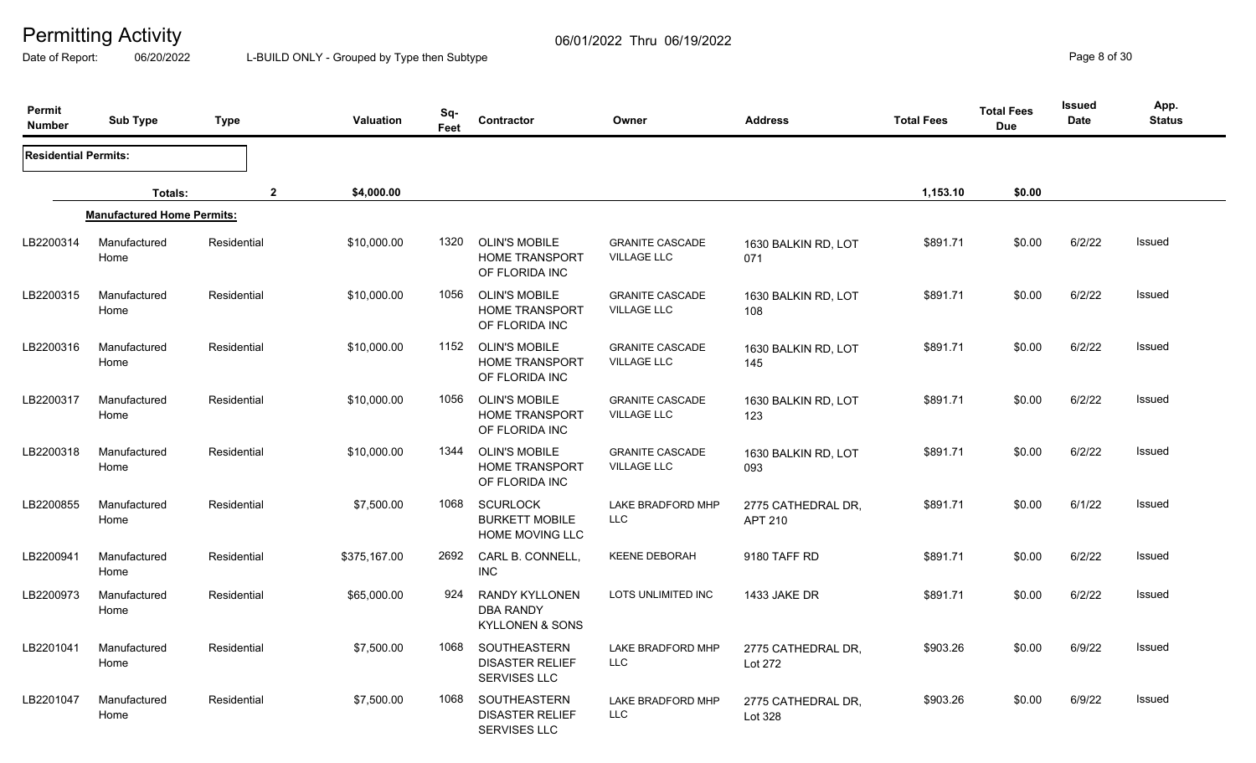Date of Report: 06/20/2022 L-BUILD ONLY - Grouped by Type then Subtype **Page 8** of 30

| Permit<br><b>Number</b>     | <b>Sub Type</b>                   | <b>Type</b>  | Valuation    | Sq-<br>Feet | Contractor                                                           | Owner                                        | <b>Address</b>                       | <b>Total Fees</b> | <b>Total Fees</b><br><b>Due</b> | <b>Issued</b><br><b>Date</b> | App.<br><b>Status</b> |
|-----------------------------|-----------------------------------|--------------|--------------|-------------|----------------------------------------------------------------------|----------------------------------------------|--------------------------------------|-------------------|---------------------------------|------------------------------|-----------------------|
| <b>Residential Permits:</b> |                                   |              |              |             |                                                                      |                                              |                                      |                   |                                 |                              |                       |
|                             | Totals:                           | $\mathbf{2}$ | \$4,000.00   |             |                                                                      |                                              |                                      | 1,153.10          | \$0.00                          |                              |                       |
|                             | <b>Manufactured Home Permits:</b> |              |              |             |                                                                      |                                              |                                      |                   |                                 |                              |                       |
| LB2200314                   | Manufactured<br>Home              | Residential  | \$10,000.00  | 1320        | <b>OLIN'S MOBILE</b><br><b>HOME TRANSPORT</b><br>OF FLORIDA INC      | <b>GRANITE CASCADE</b><br><b>VILLAGE LLC</b> | 1630 BALKIN RD, LOT<br>071           | \$891.71          | \$0.00                          | 6/2/22                       | <b>Issued</b>         |
| LB2200315                   | Manufactured<br>Home              | Residential  | \$10,000.00  | 1056        | <b>OLIN'S MOBILE</b><br><b>HOME TRANSPORT</b><br>OF FLORIDA INC      | <b>GRANITE CASCADE</b><br><b>VILLAGE LLC</b> | 1630 BALKIN RD, LOT<br>108           | \$891.71          | \$0.00                          | 6/2/22                       | <b>Issued</b>         |
| LB2200316                   | Manufactured<br>Home              | Residential  | \$10,000.00  | 1152        | <b>OLIN'S MOBILE</b><br><b>HOME TRANSPORT</b><br>OF FLORIDA INC      | <b>GRANITE CASCADE</b><br><b>VILLAGE LLC</b> | 1630 BALKIN RD, LOT<br>145           | \$891.71          | \$0.00                          | 6/2/22                       | <b>Issued</b>         |
| LB2200317                   | Manufactured<br>Home              | Residential  | \$10,000.00  | 1056        | <b>OLIN'S MOBILE</b><br><b>HOME TRANSPORT</b><br>OF FLORIDA INC      | <b>GRANITE CASCADE</b><br><b>VILLAGE LLC</b> | 1630 BALKIN RD, LOT<br>123           | \$891.71          | \$0.00                          | 6/2/22                       | <b>Issued</b>         |
| LB2200318                   | Manufactured<br>Home              | Residential  | \$10,000.00  | 1344        | <b>OLIN'S MOBILE</b><br><b>HOME TRANSPORT</b><br>OF FLORIDA INC      | <b>GRANITE CASCADE</b><br><b>VILLAGE LLC</b> | 1630 BALKIN RD, LOT<br>093           | \$891.71          | \$0.00                          | 6/2/22                       | <b>Issued</b>         |
| LB2200855                   | Manufactured<br>Home              | Residential  | \$7,500.00   | 1068        | <b>SCURLOCK</b><br><b>BURKETT MOBILE</b><br>HOME MOVING LLC          | LAKE BRADFORD MHP<br>LLC                     | 2775 CATHEDRAL DR.<br><b>APT 210</b> | \$891.71          | \$0.00                          | 6/1/22                       | <b>Issued</b>         |
| LB2200941                   | Manufactured<br>Home              | Residential  | \$375,167.00 | 2692        | CARL B. CONNELL,<br><b>INC</b>                                       | <b>KEENE DEBORAH</b>                         | 9180 TAFF RD                         | \$891.71          | \$0.00                          | 6/2/22                       | Issued                |
| LB2200973                   | Manufactured<br>Home              | Residential  | \$65,000.00  | 924         | <b>RANDY KYLLONEN</b><br>DBA RANDY<br><b>KYLLONEN &amp; SONS</b>     | LOTS UNLIMITED INC                           | 1433 JAKE DR                         | \$891.71          | \$0.00                          | 6/2/22                       | Issued                |
| LB2201041                   | Manufactured<br>Home              | Residential  | \$7,500.00   | 1068        | <b>SOUTHEASTERN</b><br><b>DISASTER RELIEF</b><br><b>SERVISES LLC</b> | <b>LAKE BRADFORD MHP</b><br>LLC              | 2775 CATHEDRAL DR,<br>Lot 272        | \$903.26          | \$0.00                          | 6/9/22                       | <b>Issued</b>         |
| LB2201047                   | Manufactured<br>Home              | Residential  | \$7,500.00   | 1068        | SOUTHEASTERN<br><b>DISASTER RELIEF</b><br><b>SERVISES LLC</b>        | LAKE BRADFORD MHP<br><b>LLC</b>              | 2775 CATHEDRAL DR,<br>Lot 328        | \$903.26          | \$0.00                          | 6/9/22                       | Issued                |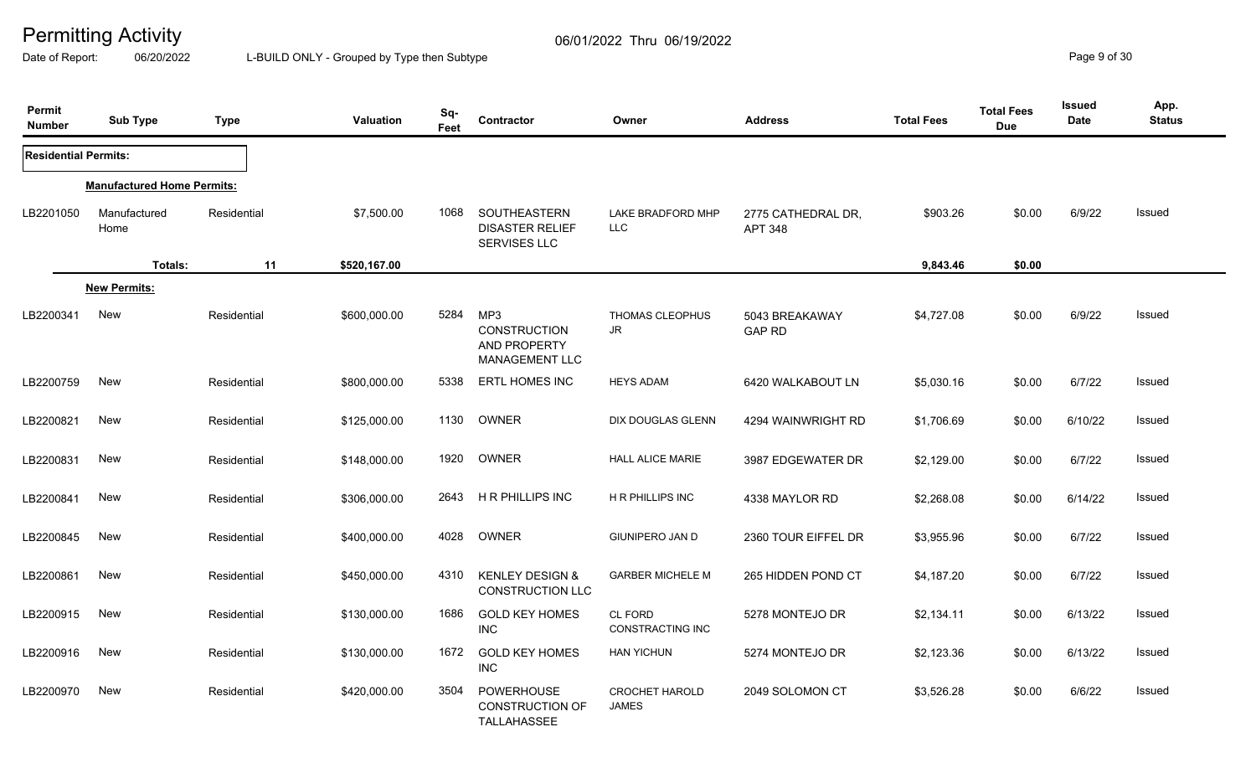Date of Report: 06/20/2022 L-BUILD ONLY - Grouped by Type then Subtype **Page 9 of 30** 

| Permit<br><b>Number</b>     | <b>Sub Type</b>                   | <b>Type</b> | <b>Valuation</b> | Sq-<br>Feet | Contractor                                                   | Owner                                 | <b>Address</b>                       | <b>Total Fees</b> | <b>Total Fees</b><br><b>Due</b> | <b>Issued</b><br><b>Date</b> | App.<br><b>Status</b> |
|-----------------------------|-----------------------------------|-------------|------------------|-------------|--------------------------------------------------------------|---------------------------------------|--------------------------------------|-------------------|---------------------------------|------------------------------|-----------------------|
| <b>Residential Permits:</b> |                                   |             |                  |             |                                                              |                                       |                                      |                   |                                 |                              |                       |
|                             | <b>Manufactured Home Permits:</b> |             |                  |             |                                                              |                                       |                                      |                   |                                 |                              |                       |
| LB2201050                   | Manufactured<br>Home              | Residential | \$7,500.00       | 1068        | SOUTHEASTERN<br><b>DISASTER RELIEF</b><br>SERVISES LLC       | LAKE BRADFORD MHP<br>LLC              | 2775 CATHEDRAL DR,<br><b>APT 348</b> | \$903.26          | \$0.00                          | 6/9/22                       | Issued                |
|                             | Totals:                           | 11          | \$520,167.00     |             |                                                              |                                       |                                      | 9,843.46          | \$0.00                          |                              |                       |
|                             | <b>New Permits:</b>               |             |                  |             |                                                              |                                       |                                      |                   |                                 |                              |                       |
| LB2200341                   | <b>New</b>                        | Residential | \$600,000.00     | 5284        | MP3<br><b>CONSTRUCTION</b><br>AND PROPERTY<br>MANAGEMENT LLC | THOMAS CLEOPHUS<br>JR                 | 5043 BREAKAWAY<br><b>GAP RD</b>      | \$4,727.08        | \$0.00                          | 6/9/22                       | Issued                |
| LB2200759                   | New                               | Residential | \$800,000.00     | 5338        | <b>ERTL HOMES INC</b>                                        | <b>HEYS ADAM</b>                      | 6420 WALKABOUT LN                    | \$5,030.16        | \$0.00                          | 6/7/22                       | Issued                |
| LB2200821                   | New                               | Residential | \$125,000.00     | 1130        | OWNER                                                        | DIX DOUGLAS GLENN                     | 4294 WAINWRIGHT RD                   | \$1,706.69        | \$0.00                          | 6/10/22                      | Issued                |
| LB2200831                   | <b>New</b>                        | Residential | \$148,000.00     | 1920        | OWNER                                                        | <b>HALL ALICE MARIE</b>               | 3987 EDGEWATER DR                    | \$2,129.00        | \$0.00                          | 6/7/22                       | Issued                |
| LB2200841                   | New                               | Residential | \$306,000.00     | 2643        | <b>H R PHILLIPS INC</b>                                      | <b>H R PHILLIPS INC</b>               | 4338 MAYLOR RD                       | \$2,268.08        | \$0.00                          | 6/14/22                      | Issued                |
| LB2200845                   | <b>New</b>                        | Residential | \$400,000.00     | 4028        | OWNER                                                        | <b>GIUNIPERO JAN D</b>                | 2360 TOUR EIFFEL DR                  | \$3,955.96        | \$0.00                          | 6/7/22                       | Issued                |
| LB2200861                   | New                               | Residential | \$450,000.00     | 4310        | <b>KENLEY DESIGN &amp;</b><br><b>CONSTRUCTION LLC</b>        | <b>GARBER MICHELE M</b>               | 265 HIDDEN POND CT                   | \$4,187.20        | \$0.00                          | 6/7/22                       | Issued                |
| LB2200915                   | New                               | Residential | \$130,000.00     | 1686        | <b>GOLD KEY HOMES</b><br><b>INC</b>                          | CL FORD<br>CONSTRACTING INC           | 5278 MONTEJO DR                      | \$2,134.11        | \$0.00                          | 6/13/22                      | Issued                |
| LB2200916                   | New                               | Residential | \$130,000.00     | 1672        | <b>GOLD KEY HOMES</b><br><b>INC</b>                          | <b>HAN YICHUN</b>                     | 5274 MONTEJO DR                      | \$2,123.36        | \$0.00                          | 6/13/22                      | Issued                |
| LB2200970                   | New                               | Residential | \$420,000.00     | 3504        | POWERHOUSE<br><b>CONSTRUCTION OF</b><br>TALLAHASSEE          | <b>CROCHET HAROLD</b><br><b>JAMES</b> | 2049 SOLOMON CT                      | \$3,526.28        | \$0.00                          | 6/6/22                       | Issued                |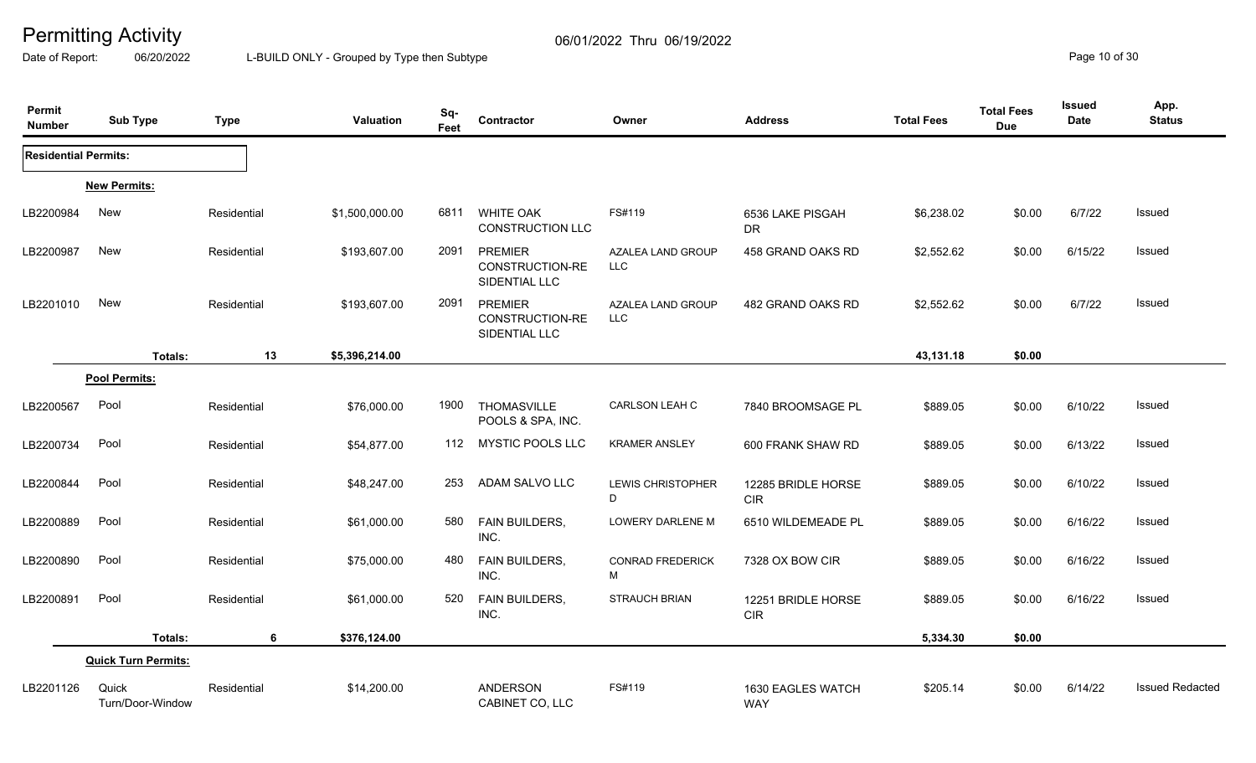Date of Report: 06/20/2022 L-BUILD ONLY - Grouped by Type then Subtype **Page 10** of 30

| Permit<br><b>Number</b>     | <b>Sub Type</b>            | Type        | Valuation      | Sq-<br>Feet | Contractor                                         | Owner                           | <b>Address</b>                   | <b>Total Fees</b> | <b>Total Fees</b><br><b>Due</b> | <b>Issued</b><br>Date | App.<br><b>Status</b>  |
|-----------------------------|----------------------------|-------------|----------------|-------------|----------------------------------------------------|---------------------------------|----------------------------------|-------------------|---------------------------------|-----------------------|------------------------|
| <b>Residential Permits:</b> |                            |             |                |             |                                                    |                                 |                                  |                   |                                 |                       |                        |
|                             | <b>New Permits:</b>        |             |                |             |                                                    |                                 |                                  |                   |                                 |                       |                        |
| LB2200984                   | New                        | Residential | \$1,500,000.00 | 6811        | <b>WHITE OAK</b><br>CONSTRUCTION LLC               | FS#119                          | 6536 LAKE PISGAH<br><b>DR</b>    | \$6,238.02        | \$0.00                          | 6/7/22                | Issued                 |
| LB2200987                   | New                        | Residential | \$193,607.00   | 2091        | <b>PREMIER</b><br>CONSTRUCTION-RE<br>SIDENTIAL LLC | AZALEA LAND GROUP<br><b>LLC</b> | 458 GRAND OAKS RD                | \$2,552.62        | \$0.00                          | 6/15/22               | Issued                 |
| LB2201010                   | <b>New</b>                 | Residential | \$193,607.00   | 2091        | <b>PREMIER</b><br>CONSTRUCTION-RE<br>SIDENTIAL LLC | AZALEA LAND GROUP<br><b>LLC</b> | 482 GRAND OAKS RD                | \$2,552.62        | \$0.00                          | 6/7/22                | <b>Issued</b>          |
|                             | Totals:                    | 13          | \$5,396,214.00 |             |                                                    |                                 |                                  | 43,131.18         | \$0.00                          |                       |                        |
|                             | Pool Permits:              |             |                |             |                                                    |                                 |                                  |                   |                                 |                       |                        |
| LB2200567                   | Pool                       | Residential | \$76,000.00    | 1900        | THOMASVILLE<br>POOLS & SPA, INC.                   | <b>CARLSON LEAH C</b>           | 7840 BROOMSAGE PL                | \$889.05          | \$0.00                          | 6/10/22               | Issued                 |
| LB2200734                   | Pool                       | Residential | \$54,877.00    |             | 112 MYSTIC POOLS LLC                               | <b>KRAMER ANSLEY</b>            | 600 FRANK SHAW RD                | \$889.05          | \$0.00                          | 6/13/22               | Issued                 |
| LB2200844                   | Pool                       | Residential | \$48,247.00    | 253         | ADAM SALVO LLC                                     | <b>LEWIS CHRISTOPHER</b><br>D   | 12285 BRIDLE HORSE<br><b>CIR</b> | \$889.05          | \$0.00                          | 6/10/22               | Issued                 |
| LB2200889                   | Pool                       | Residential | \$61,000.00    | 580         | FAIN BUILDERS,<br>INC.                             | LOWERY DARLENE M                | 6510 WILDEMEADE PL               | \$889.05          | \$0.00                          | 6/16/22               | Issued                 |
| LB2200890                   | Pool                       | Residential | \$75,000.00    | 480         | <b>FAIN BUILDERS,</b><br>INC.                      | <b>CONRAD FREDERICK</b><br>М    | 7328 OX BOW CIR                  | \$889.05          | \$0.00                          | 6/16/22               | Issued                 |
| LB2200891                   | Pool                       | Residential | \$61,000.00    | 520         | <b>FAIN BUILDERS,</b><br>INC.                      | <b>STRAUCH BRIAN</b>            | 12251 BRIDLE HORSE<br><b>CIR</b> | \$889.05          | \$0.00                          | 6/16/22               | Issued                 |
|                             | Totals:                    | 6           | \$376,124.00   |             |                                                    |                                 |                                  | 5,334.30          | \$0.00                          |                       |                        |
|                             | <b>Quick Turn Permits:</b> |             |                |             |                                                    |                                 |                                  |                   |                                 |                       |                        |
| LB2201126                   | Quick<br>Turn/Door-Window  | Residential | \$14,200.00    |             | <b>ANDERSON</b><br>CABINET CO, LLC                 | FS#119                          | 1630 EAGLES WATCH<br><b>WAY</b>  | \$205.14          | \$0.00                          | 6/14/22               | <b>Issued Redacted</b> |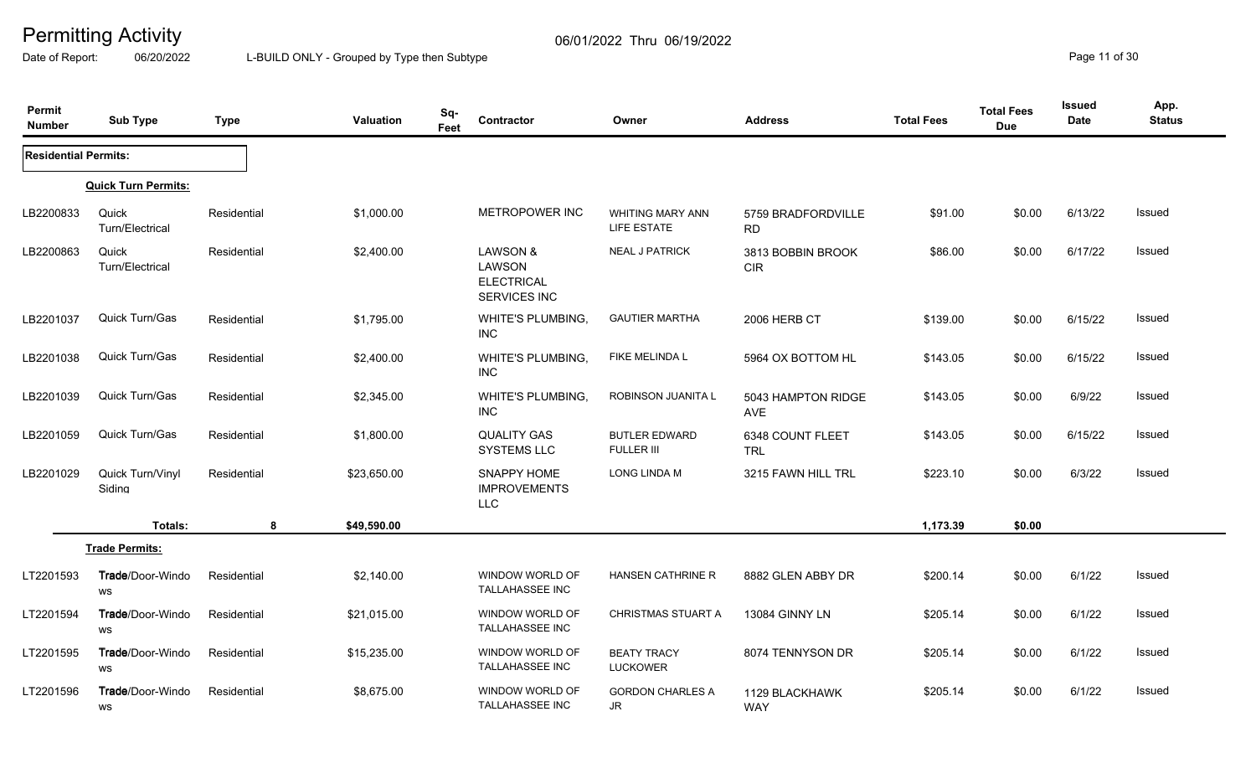Date of Report: 06/20/2022 L-BUILD ONLY - Grouped by Type then Subtype **Page 11** of 30

| Permit<br><b>Number</b>     | <b>Sub Type</b>            | <b>Type</b> | <b>Valuation</b> | Sq-<br>Contractor<br>Feet                                          |                                           | Owner                                     | <b>Address</b>                  | <b>Total Fees</b> | <b>Total Fees</b><br><b>Due</b> | Issued<br><b>Date</b> | App.<br><b>Status</b> |
|-----------------------------|----------------------------|-------------|------------------|--------------------------------------------------------------------|-------------------------------------------|-------------------------------------------|---------------------------------|-------------------|---------------------------------|-----------------------|-----------------------|
| <b>Residential Permits:</b> |                            |             |                  |                                                                    |                                           |                                           |                                 |                   |                                 |                       |                       |
|                             | <b>Quick Turn Permits:</b> |             |                  |                                                                    |                                           |                                           |                                 |                   |                                 |                       |                       |
| LB2200833                   | Quick<br>Turn/Electrical   | Residential | \$1,000.00       |                                                                    | METROPOWER INC                            | <b>WHITING MARY ANN</b><br>LIFE ESTATE    | 5759 BRADFORDVILLE<br><b>RD</b> | \$91.00           | \$0.00                          | 6/13/22               | Issued                |
| LB2200863                   | Quick<br>Turn/Electrical   | Residential | \$2,400.00       | <b>LAWSON &amp;</b><br>LAWSON<br><b>ELECTRICAL</b><br>SERVICES INC |                                           | <b>NEAL J PATRICK</b>                     | 3813 BOBBIN BROOK<br><b>CIR</b> | \$86.00           | \$0.00                          | 6/17/22               | Issued                |
| LB2201037                   | Quick Turn/Gas             | Residential | \$1,795.00       | INC.                                                               | WHITE'S PLUMBING,                         | <b>GAUTIER MARTHA</b>                     | 2006 HERB CT                    | \$139.00          | \$0.00                          | 6/15/22               | Issued                |
| LB2201038                   | Quick Turn/Gas             | Residential | \$2,400.00       | <b>INC</b>                                                         | <b>WHITE'S PLUMBING,</b>                  | FIKE MELINDA L                            | 5964 OX BOTTOM HL               | \$143.05          | \$0.00                          | 6/15/22               | Issued                |
| LB2201039                   | Quick Turn/Gas             | Residential | \$2,345.00       | <b>INC</b>                                                         | WHITE'S PLUMBING,                         | ROBINSON JUANITA L                        | 5043 HAMPTON RIDGE<br>AVE       | \$143.05          | \$0.00                          | 6/9/22                | Issued                |
| LB2201059                   | Quick Turn/Gas             | Residential | \$1,800.00       | <b>QUALITY GAS</b><br><b>SYSTEMS LLC</b>                           |                                           | <b>BUTLER EDWARD</b><br><b>FULLER III</b> | 6348 COUNT FLEET<br><b>TRL</b>  | \$143.05          | \$0.00                          | 6/15/22               | Issued                |
| LB2201029                   | Quick Turn/Vinyl<br>Siding | Residential | \$23,650.00      | SNAPPY HOME<br><b>IMPROVEMENTS</b><br><b>LLC</b>                   |                                           | LONG LINDA M                              | 3215 FAWN HILL TRL              | \$223.10          | \$0.00                          | 6/3/22                | Issued                |
|                             | <b>Totals:</b>             | 8           | \$49,590.00      |                                                                    |                                           |                                           |                                 | 1,173.39          | \$0.00                          |                       |                       |
|                             | <b>Trade Permits:</b>      |             |                  |                                                                    |                                           |                                           |                                 |                   |                                 |                       |                       |
| LT2201593                   | Trade/Door-Windo<br>WS     | Residential | \$2,140.00       |                                                                    | WINDOW WORLD OF<br>TALLAHASSEE INC        | HANSEN CATHRINE R                         | 8882 GLEN ABBY DR               | \$200.14          | \$0.00                          | 6/1/22                | Issued                |
| LT2201594                   | Trade/Door-Windo<br>WS     | Residential | \$21,015.00      |                                                                    | WINDOW WORLD OF<br><b>TALLAHASSEE INC</b> | <b>CHRISTMAS STUART A</b>                 | 13084 GINNY LN                  | \$205.14          | \$0.00                          | 6/1/22                | Issued                |
| LT2201595                   | Trade/Door-Windo<br>WS     | Residential | \$15,235.00      | TALLAHASSEE INC                                                    | WINDOW WORLD OF                           | <b>BEATY TRACY</b><br><b>LUCKOWER</b>     | 8074 TENNYSON DR                | \$205.14          | \$0.00                          | 6/1/22                | Issued                |
| LT2201596                   | Trade/Door-Windo<br>WS     | Residential | \$8,675.00       |                                                                    | WINDOW WORLD OF<br><b>TALLAHASSEE INC</b> | <b>GORDON CHARLES A</b><br>JR             | 1129 BLACKHAWK<br><b>WAY</b>    | \$205.14          | \$0.00                          | 6/1/22                | <b>Issued</b>         |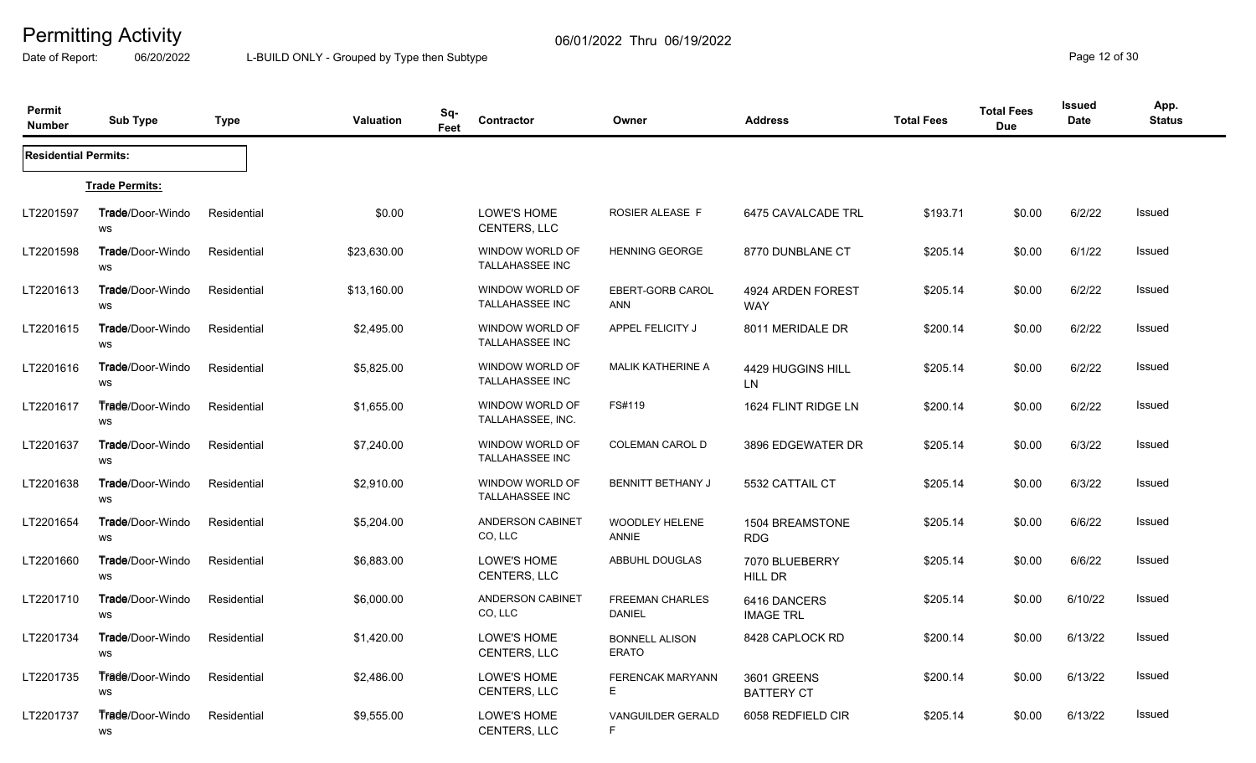Date of Report: 06/20/2022 L-BUILD ONLY - Grouped by Type then Subtype **Page 12** of 30

| Permit<br><b>Number</b>     | <b>Sub Type</b>                      | Type        | <b>Valuation</b> | Sq-<br>Feet | Contractor                                | Owner                                   | <b>Address</b>                   | <b>Total Fees</b> | <b>Total Fees</b><br><b>Due</b> | <b>Issued</b><br><b>Date</b> | App.<br><b>Status</b> |
|-----------------------------|--------------------------------------|-------------|------------------|-------------|-------------------------------------------|-----------------------------------------|----------------------------------|-------------------|---------------------------------|------------------------------|-----------------------|
| <b>Residential Permits:</b> |                                      |             |                  |             |                                           |                                         |                                  |                   |                                 |                              |                       |
|                             | <b>Trade Permits:</b>                |             |                  |             |                                           |                                         |                                  |                   |                                 |                              |                       |
| LT2201597                   | <b>Trade/Door-Windo</b><br><b>WS</b> | Residential | \$0.00           |             | LOWE'S HOME<br>CENTERS, LLC               | ROSIER ALEASE F                         | 6475 CAVALCADE TRL               | \$193.71          | \$0.00                          | 6/2/22                       | Issued                |
| LT2201598                   | <b>Trade</b> /Door-Windo<br>WS       | Residential | \$23,630.00      |             | WINDOW WORLD OF<br>TALLAHASSEE INC        | <b>HENNING GEORGE</b>                   | 8770 DUNBLANE CT                 | \$205.14          | \$0.00                          | 6/1/22                       | <b>Issued</b>         |
| LT2201613                   | <b>Trade/Door-Windo</b><br>WS        | Residential | \$13,160.00      |             | WINDOW WORLD OF<br><b>TALLAHASSEE INC</b> | EBERT-GORB CAROL<br>ANN                 | 4924 ARDEN FOREST<br><b>WAY</b>  | \$205.14          | \$0.00                          | 6/2/22                       | <b>Issued</b>         |
| LT2201615                   | <b>Trade/Door-Windo</b><br>WS        | Residential | \$2,495.00       |             | WINDOW WORLD OF<br><b>TALLAHASSEE INC</b> | APPEL FELICITY J                        | 8011 MERIDALE DR                 | \$200.14          | \$0.00                          | 6/2/22                       | <b>Issued</b>         |
| LT2201616                   | Trade/Door-Windo<br><b>WS</b>        | Residential | \$5,825.00       |             | WINDOW WORLD OF<br><b>TALLAHASSEE INC</b> | <b>MALIK KATHERINE A</b>                | 4429 HUGGINS HILL<br><b>LN</b>   | \$205.14          | \$0.00                          | 6/2/22                       | Issued                |
| LT2201617                   | Trade/Door-Windo<br>WS               | Residential | \$1,655.00       |             | WINDOW WORLD OF<br>TALLAHASSEE, INC.      | FS#119                                  | 1624 FLINT RIDGE LN              | \$200.14          | \$0.00                          | 6/2/22                       | Issued                |
| LT2201637                   | Trade/Door-Windo<br>WS               | Residential | \$7,240.00       |             | WINDOW WORLD OF<br>TALLAHASSEE INC        | <b>COLEMAN CAROL D</b>                  | 3896 EDGEWATER DR                | \$205.14          | \$0.00                          | 6/3/22                       | <b>Issued</b>         |
| LT2201638                   | Trade/Door-Windo<br>WS               | Residential | \$2,910.00       |             | WINDOW WORLD OF<br><b>TALLAHASSEE INC</b> | BENNITT BETHANY J                       | 5532 CATTAIL CT                  | \$205.14          | \$0.00                          | 6/3/22                       | <b>Issued</b>         |
| LT2201654                   | <b>Trade/Door-Windo</b><br><b>WS</b> | Residential | \$5,204.00       |             | ANDERSON CABINET<br>CO, LLC               | <b>WOODLEY HELENE</b><br><b>ANNIE</b>   | 1504 BREAMSTONE<br><b>RDG</b>    | \$205.14          | \$0.00                          | 6/6/22                       | <b>Issued</b>         |
| LT2201660                   | <b>Trade/Door-Windo</b><br>WS        | Residential | \$6,883.00       |             | LOWE'S HOME<br>CENTERS, LLC               | ABBUHL DOUGLAS                          | 7070 BLUEBERRY<br>HILL DR        | \$205.14          | \$0.00                          | 6/6/22                       | Issued                |
| LT2201710                   | <b>Trade</b> /Door-Windo<br>WS       | Residential | \$6,000.00       |             | ANDERSON CABINET<br>CO, LLC               | <b>FREEMAN CHARLES</b><br><b>DANIEL</b> | 6416 DANCERS<br><b>IMAGE TRL</b> | \$205.14          | \$0.00                          | 6/10/22                      | <b>Issued</b>         |
| LT2201734                   | <b>Trade/Door-Windo</b><br>WS        | Residential | \$1,420.00       |             | LOWE'S HOME<br>CENTERS, LLC               | <b>BONNELL ALISON</b><br><b>ERATO</b>   | 8428 CAPLOCK RD                  | \$200.14          | \$0.00                          | 6/13/22                      | Issued                |
| LT2201735                   | <b>Trade/Door-Windo</b><br>WS        | Residential | \$2,486.00       |             | LOWE'S HOME<br>CENTERS, LLC               | <b>FERENCAK MARYANN</b><br>E            | 3601 GREENS<br><b>BATTERY CT</b> | \$200.14          | \$0.00                          | 6/13/22                      | <b>Issued</b>         |
| LT2201737                   | Trade/Door-Windo<br>WS               | Residential | \$9,555.00       |             | LOWE'S HOME<br>CENTERS, LLC               | <b>VANGUILDER GERALD</b><br>F.          | 6058 REDFIELD CIR                | \$205.14          | \$0.00                          | 6/13/22                      | <b>Issued</b>         |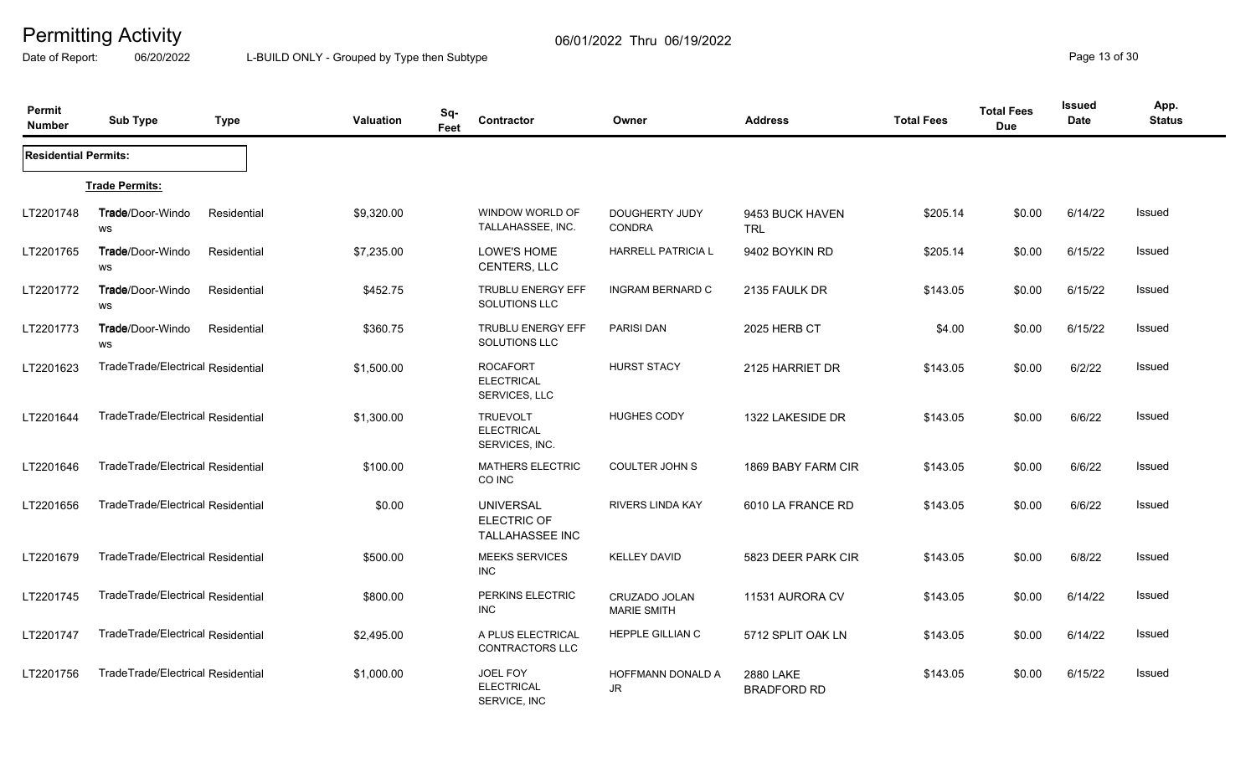Date of Report: 06/20/2022 L-BUILD ONLY - Grouped by Type then Subtype **Page 13** of 30

| Permit<br><b>Number</b>     | <b>Sub Type</b>                   | <b>Type</b> | Valuation  | Sq-<br>Feet | Contractor                                                | Owner                                  | <b>Address</b>                  | <b>Total Fees</b> | <b>Total Fees</b><br><b>Due</b> | <b>Issued</b><br><b>Date</b> | App.<br><b>Status</b> |
|-----------------------------|-----------------------------------|-------------|------------|-------------|-----------------------------------------------------------|----------------------------------------|---------------------------------|-------------------|---------------------------------|------------------------------|-----------------------|
| <b>Residential Permits:</b> |                                   |             |            |             |                                                           |                                        |                                 |                   |                                 |                              |                       |
|                             | <b>Trade Permits:</b>             |             |            |             |                                                           |                                        |                                 |                   |                                 |                              |                       |
| LT2201748                   | Trade/Door-Windo<br>WS            | Residential | \$9,320.00 |             | WINDOW WORLD OF<br>TALLAHASSEE, INC.                      | <b>DOUGHERTY JUDY</b><br><b>CONDRA</b> | 9453 BUCK HAVEN<br><b>TRL</b>   | \$205.14          | \$0.00                          | 6/14/22                      | Issued                |
| LT2201765                   | Trade/Door-Windo<br>WS            | Residential | \$7,235.00 |             | LOWE'S HOME<br>CENTERS, LLC                               | <b>HARRELL PATRICIA L</b>              | 9402 BOYKIN RD                  | \$205.14          | \$0.00                          | 6/15/22                      | Issued                |
| LT2201772                   | Trade/Door-Windo<br><b>WS</b>     | Residential | \$452.75   |             | <b>TRUBLU ENERGY EFF</b><br>SOLUTIONS LLC                 | <b>INGRAM BERNARD C</b>                | 2135 FAULK DR                   | \$143.05          | \$0.00                          | 6/15/22                      | Issued                |
| LT2201773                   | <b>Trade/Door-Windo</b><br>WS     | Residential | \$360.75   |             | <b>TRUBLU ENERGY EFF</b><br>SOLUTIONS LLC                 | <b>PARISI DAN</b>                      | 2025 HERB CT                    | \$4.00            | \$0.00                          | 6/15/22                      | <b>Issued</b>         |
| LT2201623                   | TradeTrade/Electrical Residential |             | \$1,500.00 |             | <b>ROCAFORT</b><br><b>ELECTRICAL</b><br>SERVICES, LLC     | <b>HURST STACY</b>                     | 2125 HARRIET DR                 | \$143.05          | \$0.00                          | 6/2/22                       | Issued                |
| LT2201644                   | TradeTrade/Electrical Residential |             | \$1,300.00 |             | <b>TRUEVOLT</b><br><b>ELECTRICAL</b><br>SERVICES, INC.    | <b>HUGHES CODY</b>                     | 1322 LAKESIDE DR                | \$143.05          | \$0.00                          | 6/6/22                       | Issued                |
| LT2201646                   | TradeTrade/Electrical Residential |             | \$100.00   |             | MATHERS ELECTRIC<br>CO INC                                | <b>COULTER JOHN S</b>                  | 1869 BABY FARM CIR              | \$143.05          | \$0.00                          | 6/6/22                       | Issued                |
| LT2201656                   | TradeTrade/Electrical Residential |             | \$0.00     |             | <b>UNIVERSAL</b><br><b>ELECTRIC OF</b><br>TALLAHASSEE INC | <b>RIVERS LINDA KAY</b>                | 6010 LA FRANCE RD               | \$143.05          | \$0.00                          | 6/6/22                       | Issued                |
| LT2201679                   | TradeTrade/Electrical Residential |             | \$500.00   |             | <b>MEEKS SERVICES</b><br><b>INC</b>                       | <b>KELLEY DAVID</b>                    | 5823 DEER PARK CIR              | \$143.05          | \$0.00                          | 6/8/22                       | <b>Issued</b>         |
| LT2201745                   | TradeTrade/Electrical Residential |             | \$800.00   |             | PERKINS ELECTRIC<br><b>INC</b>                            | CRUZADO JOLAN<br><b>MARIE SMITH</b>    | 11531 AURORA CV                 | \$143.05          | \$0.00                          | 6/14/22                      | Issued                |
| LT2201747                   | TradeTrade/Electrical Residential |             | \$2,495.00 |             | A PLUS ELECTRICAL<br>CONTRACTORS LLC                      | <b>HEPPLE GILLIAN C</b>                | 5712 SPLIT OAK LN               | \$143.05          | \$0.00                          | 6/14/22                      | Issued                |
| LT2201756                   | TradeTrade/Electrical Residential |             | \$1,000.00 |             | JOEL FOY<br><b>ELECTRICAL</b><br>SERVICE, INC             | HOFFMANN DONALD A<br>JR                | 2880 LAKE<br><b>BRADFORD RD</b> | \$143.05          | \$0.00                          | 6/15/22                      | <b>Issued</b>         |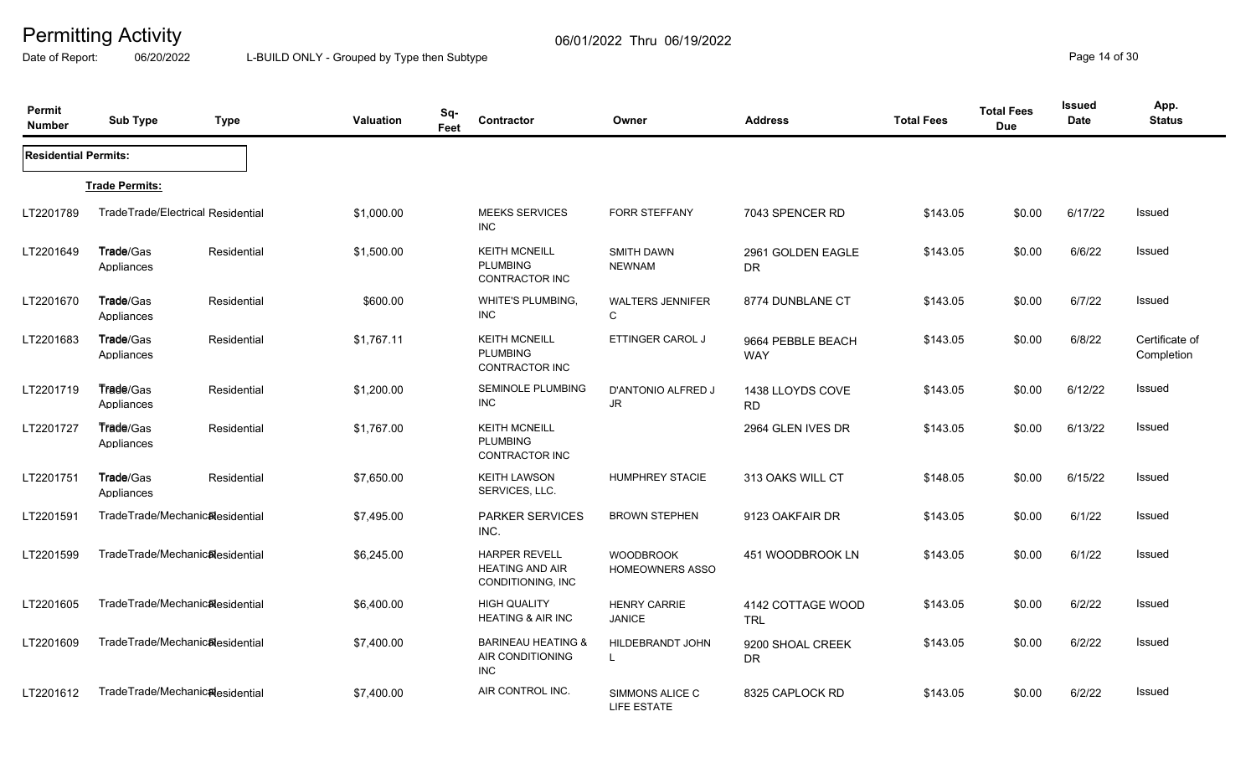Date of Report: 06/20/2022 L-BUILD ONLY - Grouped by Type then Subtype **Page 14** of 30

| Permit<br><b>Number</b>     | <b>Sub Type</b>                | <b>Type</b>                       | Valuation  | Sq-<br>Contractor<br>Feet                                           | Owner                                      | <b>Address</b>                  | <b>Total Fees</b> | <b>Total Fees</b><br><b>Due</b> | <b>Issued</b><br><b>Date</b> | App.<br><b>Status</b>        |
|-----------------------------|--------------------------------|-----------------------------------|------------|---------------------------------------------------------------------|--------------------------------------------|---------------------------------|-------------------|---------------------------------|------------------------------|------------------------------|
| <b>Residential Permits:</b> |                                |                                   |            |                                                                     |                                            |                                 |                   |                                 |                              |                              |
|                             | <b>Trade Permits:</b>          |                                   |            |                                                                     |                                            |                                 |                   |                                 |                              |                              |
| LT2201789                   |                                | TradeTrade/Electrical Residential | \$1,000.00 | <b>MEEKS SERVICES</b><br><b>INC</b>                                 | <b>FORR STEFFANY</b>                       | 7043 SPENCER RD                 | \$143.05          | \$0.00                          | 6/17/22                      | Issued                       |
| LT2201649                   | Trade/Gas<br>Appliances        | Residential                       | \$1,500.00 | <b>KEITH MCNEILL</b><br><b>PLUMBING</b><br><b>CONTRACTOR INC</b>    | <b>SMITH DAWN</b><br><b>NEWNAM</b>         | 2961 GOLDEN EAGLE<br><b>DR</b>  | \$143.05          | \$0.00                          | 6/6/22                       | Issued                       |
| LT2201670                   | Trade/Gas<br>Appliances        | Residential                       | \$600.00   | WHITE'S PLUMBING,<br><b>INC</b>                                     | <b>WALTERS JENNIFER</b><br>C               | 8774 DUNBLANE CT                | \$143.05          | \$0.00                          | 6/7/22                       | Issued                       |
| LT2201683                   | Trade/Gas<br>Appliances        | Residential                       | \$1,767.11 | <b>KEITH MCNEILL</b><br><b>PLUMBING</b><br>CONTRACTOR INC           | ETTINGER CAROL J                           | 9664 PEBBLE BEACH<br><b>WAY</b> | \$143.05          | \$0.00                          | 6/8/22                       | Certificate of<br>Completion |
| LT2201719                   | Trade/Gas<br>Appliances        | Residential                       | \$1,200.00 | <b>SEMINOLE PLUMBING</b><br><b>INC</b>                              | <b>D'ANTONIO ALFRED J</b><br>JR.           | 1438 LLOYDS COVE<br>RD.         | \$143.05          | \$0.00                          | 6/12/22                      | Issued                       |
| LT2201727                   | <b>Trade/Gas</b><br>Appliances | Residential                       | \$1,767.00 | <b>KEITH MCNEILL</b><br><b>PLUMBING</b><br>CONTRACTOR INC           |                                            | 2964 GLEN IVES DR               | \$143.05          | \$0.00                          | 6/13/22                      | Issued                       |
| LT2201751                   | Trade/Gas<br>Appliances        | Residential                       | \$7,650.00 | <b>KEITH LAWSON</b><br>SERVICES, LLC.                               | <b>HUMPHREY STACIE</b>                     | 313 OAKS WILL CT                | \$148.05          | \$0.00                          | 6/15/22                      | Issued                       |
| LT2201591                   |                                | TradeTrade/Mechanicalesidential   | \$7,495.00 | <b>PARKER SERVICES</b><br>INC.                                      | <b>BROWN STEPHEN</b>                       | 9123 OAKFAIR DR                 | \$143.05          | \$0.00                          | 6/1/22                       | Issued                       |
| LT2201599                   |                                | TradeTrade/Mechanic&esidential    | \$6,245.00 | <b>HARPER REVELL</b><br><b>HEATING AND AIR</b><br>CONDITIONING, INC | <b>WOODBROOK</b><br><b>HOMEOWNERS ASSO</b> | 451 WOODBROOK LN                | \$143.05          | \$0.00                          | 6/1/22                       | Issued                       |
| LT2201605                   | TradeTrade/Mechanic&esidential |                                   | \$6,400.00 | <b>HIGH QUALITY</b><br><b>HEATING &amp; AIR INC</b>                 | <b>HENRY CARRIE</b><br><b>JANICE</b>       | 4142 COTTAGE WOOD<br><b>TRL</b> | \$143.05          | \$0.00                          | 6/2/22                       | Issued                       |
| LT2201609                   |                                | TradeTrade/Mechanic&esidential    | \$7,400.00 | <b>BARINEAU HEATING &amp;</b><br>AIR CONDITIONING<br><b>INC</b>     | HILDEBRANDT JOHN                           | 9200 SHOAL CREEK<br><b>DR</b>   | \$143.05          | \$0.00                          | 6/2/22                       | Issued                       |
| LT2201612                   |                                | TradeTrade/Mechanic&esidential    | \$7,400.00 | AIR CONTROL INC.                                                    | SIMMONS ALICE C<br>LIFE ESTATE             | 8325 CAPLOCK RD                 | \$143.05          | \$0.00                          | 6/2/22                       | Issued                       |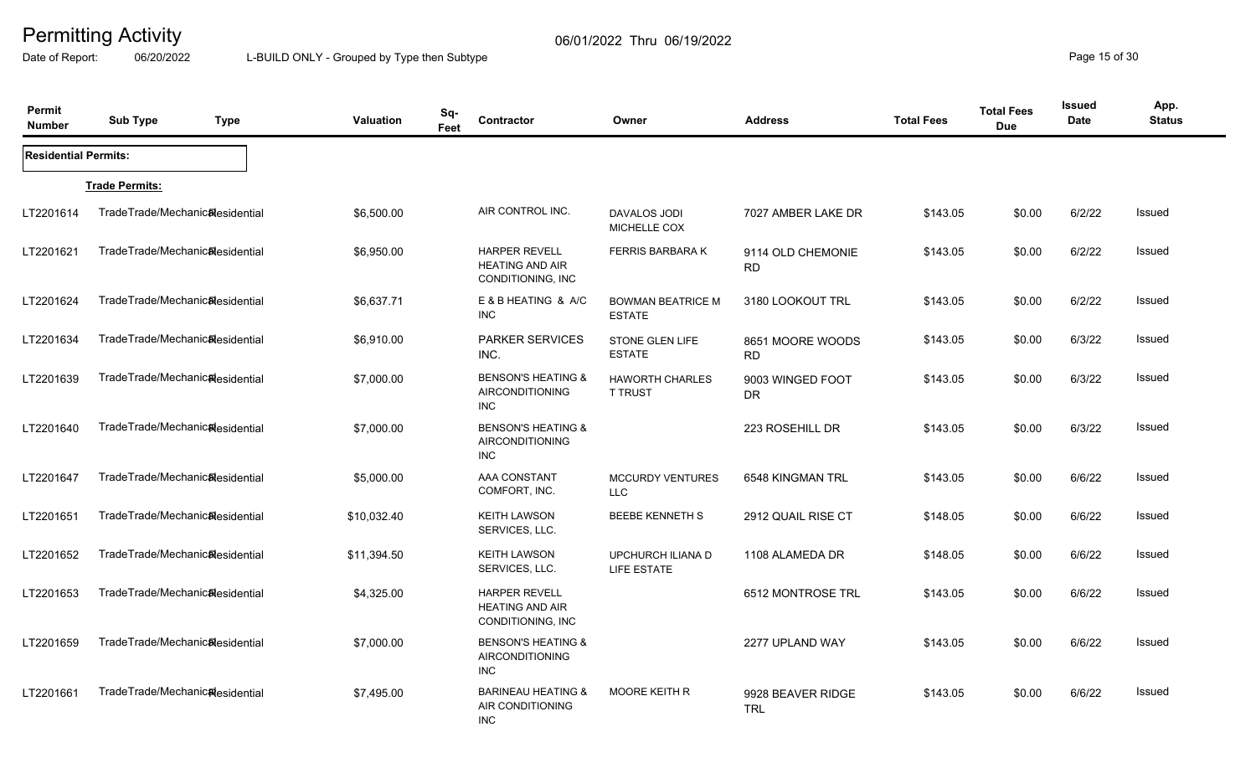Date of Report: 06/20/2022 L-BUILD ONLY - Grouped by Type then Subtype **Page 15** of 30

| Permit<br><b>Number</b>     | <b>Sub Type</b><br><b>Type</b>  | <b>Valuation</b> | Sq-<br>Feet | <b>Contractor</b>                                                     | Owner                                     | <b>Address</b>                  | <b>Total Fees</b> | <b>Total Fees</b><br><b>Due</b> | Issued<br><b>Date</b> | App.<br><b>Status</b> |
|-----------------------------|---------------------------------|------------------|-------------|-----------------------------------------------------------------------|-------------------------------------------|---------------------------------|-------------------|---------------------------------|-----------------------|-----------------------|
| <b>Residential Permits:</b> |                                 |                  |             |                                                                       |                                           |                                 |                   |                                 |                       |                       |
|                             | <b>Trade Permits:</b>           |                  |             |                                                                       |                                           |                                 |                   |                                 |                       |                       |
| LT2201614                   | TradeTrade/Mechanic&esidential  | \$6,500.00       |             | AIR CONTROL INC.                                                      | <b>DAVALOS JODI</b><br>MICHELLE COX       | 7027 AMBER LAKE DR              | \$143.05          | \$0.00                          | 6/2/22                | Issued                |
| LT2201621                   | TradeTrade/Mechanicalesidential | \$6,950.00       |             | <b>HARPER REVELL</b><br><b>HEATING AND AIR</b><br>CONDITIONING, INC   | <b>FERRIS BARBARA K</b>                   | 9114 OLD CHEMONIE<br><b>RD</b>  | \$143.05          | \$0.00                          | 6/2/22                | Issued                |
| LT2201624                   | TradeTrade/Mechanicalesidential | \$6,637.71       |             | E & B HEATING & A/C<br><b>INC</b>                                     | <b>BOWMAN BEATRICE M</b><br><b>ESTATE</b> | 3180 LOOKOUT TRL                | \$143.05          | \$0.00                          | 6/2/22                | Issued                |
| LT2201634                   | TradeTrade/Mechanic&esidential  | \$6,910.00       |             | <b>PARKER SERVICES</b><br>INC.                                        | STONE GLEN LIFE<br><b>ESTATE</b>          | 8651 MOORE WOODS<br><b>RD</b>   | \$143.05          | \$0.00                          | 6/3/22                | Issued                |
| LT2201639                   | TradeTrade/Mechanic&esidential  | \$7,000.00       |             | <b>BENSON'S HEATING &amp;</b><br><b>AIRCONDITIONING</b><br><b>INC</b> | <b>HAWORTH CHARLES</b><br><b>T TRUST</b>  | 9003 WINGED FOOT<br>DR.         | \$143.05          | \$0.00                          | 6/3/22                | Issued                |
| LT2201640                   | TradeTrade/Mechanic&esidential  | \$7,000.00       |             | <b>BENSON'S HEATING &amp;</b><br><b>AIRCONDITIONING</b><br><b>INC</b> |                                           | 223 ROSEHILL DR                 | \$143.05          | \$0.00                          | 6/3/22                | Issued                |
| LT2201647                   | TradeTrade/Mechanic&esidential  | \$5,000.00       |             | <b>AAA CONSTANT</b><br>COMFORT, INC.                                  | <b>MCCURDY VENTURES</b><br><b>LLC</b>     | 6548 KINGMAN TRL                | \$143.05          | \$0.00                          | 6/6/22                | Issued                |
| LT2201651                   | TradeTrade/Mechanicalesidential | \$10,032.40      |             | <b>KEITH LAWSON</b><br>SERVICES, LLC.                                 | <b>BEEBE KENNETH S</b>                    | 2912 QUAIL RISE CT              | \$148.05          | \$0.00                          | 6/6/22                | Issued                |
| LT2201652                   | TradeTrade/Mechanic&esidential  | \$11,394.50      |             | <b>KEITH LAWSON</b><br>SERVICES, LLC.                                 | UPCHURCH ILIANA D<br>LIFE ESTATE          | 1108 ALAMEDA DR                 | \$148.05          | \$0.00                          | 6/6/22                | Issued                |
| LT2201653                   | TradeTrade/Mechanic&esidential  | \$4,325.00       |             | <b>HARPER REVELL</b><br><b>HEATING AND AIR</b><br>CONDITIONING, INC   |                                           | 6512 MONTROSE TRL               | \$143.05          | \$0.00                          | 6/6/22                | Issued                |
| LT2201659                   | TradeTrade/Mechanic&esidential  | \$7,000.00       |             | <b>BENSON'S HEATING &amp;</b><br><b>AIRCONDITIONING</b><br><b>INC</b> |                                           | 2277 UPLAND WAY                 | \$143.05          | \$0.00                          | 6/6/22                | Issued                |
| LT2201661                   | TradeTrade/Mechanic&esidential  | \$7,495.00       |             | <b>BARINEAU HEATING &amp;</b><br>AIR CONDITIONING<br><b>INC</b>       | MOORE KEITH R                             | 9928 BEAVER RIDGE<br><b>TRL</b> | \$143.05          | \$0.00                          | 6/6/22                | Issued                |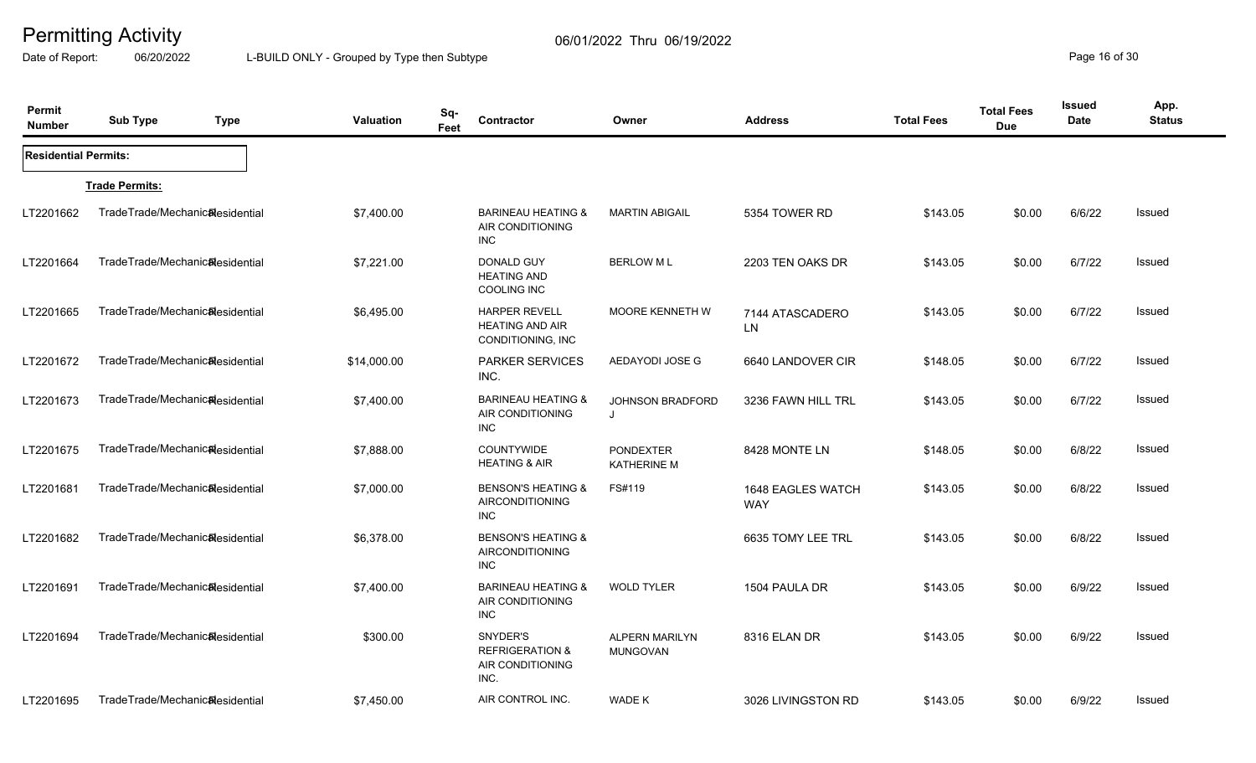Date of Report: 06/20/2022 L-BUILD ONLY - Grouped by Type then Subtype **Page 16** of 30

| Permit<br><b>Number</b>     | <b>Sub Type</b>                 | <b>Type</b> | <b>Valuation</b> | Sq-<br>Contractor<br>Feet                                           | Owner                                    | <b>Address</b>                  | <b>Total Fees</b> | <b>Total Fees</b><br><b>Due</b> | <b>Issued</b><br><b>Date</b> | App.<br><b>Status</b> |
|-----------------------------|---------------------------------|-------------|------------------|---------------------------------------------------------------------|------------------------------------------|---------------------------------|-------------------|---------------------------------|------------------------------|-----------------------|
| <b>Residential Permits:</b> |                                 |             |                  |                                                                     |                                          |                                 |                   |                                 |                              |                       |
|                             | <b>Trade Permits:</b>           |             |                  |                                                                     |                                          |                                 |                   |                                 |                              |                       |
| LT2201662                   | TradeTrade/Mechanic&esidential  |             | \$7,400.00       | <b>BARINEAU HEATING &amp;</b><br>AIR CONDITIONING<br><b>INC</b>     | <b>MARTIN ABIGAIL</b>                    | 5354 TOWER RD                   | \$143.05          | \$0.00                          | 6/6/22                       | Issued                |
| LT2201664                   | TradeTrade/Mechanic&esidential  |             | \$7,221.00       | DONALD GUY<br><b>HEATING AND</b><br><b>COOLING INC</b>              | <b>BERLOW ML</b>                         | 2203 TEN OAKS DR                | \$143.05          | \$0.00                          | 6/7/22                       | Issued                |
| LT2201665                   | TradeTrade/Mechanic&esidential  |             | \$6,495.00       | <b>HARPER REVELL</b><br><b>HEATING AND AIR</b><br>CONDITIONING, INC | <b>MOORE KENNETH W</b>                   | 7144 ATASCADERO<br>LN           | \$143.05          | \$0.00                          | 6/7/22                       | Issued                |
| LT2201672                   | TradeTrade/Mechanic&esidential  |             | \$14,000.00      | <b>PARKER SERVICES</b><br>INC.                                      | AEDAYODI JOSE G                          | 6640 LANDOVER CIR               | \$148.05          | \$0.00                          | 6/7/22                       | <b>Issued</b>         |
| LT2201673                   | TradeTrade/Mechanicalesidential |             | \$7,400.00       | <b>BARINEAU HEATING &amp;</b><br>AIR CONDITIONING<br><b>INC</b>     | <b>JOHNSON BRADFORD</b><br>$\mathbf{J}$  | 3236 FAWN HILL TRL              | \$143.05          | \$0.00                          | 6/7/22                       | Issued                |
| LT2201675                   | TradeTrade/Mechanicalesidential |             | \$7,888.00       | <b>COUNTYWIDE</b><br><b>HEATING &amp; AIR</b>                       | <b>PONDEXTER</b><br><b>KATHERINE M</b>   | 8428 MONTE LN                   | \$148.05          | \$0.00                          | 6/8/22                       | Issued                |
| LT2201681                   | TradeTrade/Mechanic&esidential  |             | \$7,000.00       | <b>BENSON'S HEATING &amp;</b><br>AIRCONDITIONING<br><b>INC</b>      | FS#119                                   | 1648 EAGLES WATCH<br><b>WAY</b> | \$143.05          | \$0.00                          | 6/8/22                       | Issued                |
| LT2201682                   | TradeTrade/Mechanic&esidential  |             | \$6,378.00       | <b>BENSON'S HEATING &amp;</b><br>AIRCONDITIONING<br><b>INC</b>      |                                          | 6635 TOMY LEE TRL               | \$143.05          | \$0.00                          | 6/8/22                       | <b>Issued</b>         |
| LT2201691                   | TradeTrade/Mechanic&esidential  |             | \$7,400.00       | <b>BARINEAU HEATING &amp;</b><br>AIR CONDITIONING<br><b>INC</b>     | <b>WOLD TYLER</b>                        | 1504 PAULA DR                   | \$143.05          | \$0.00                          | 6/9/22                       | Issued                |
| LT2201694                   | TradeTrade/Mechanic&esidential  |             | \$300.00         | SNYDER'S<br><b>REFRIGERATION &amp;</b><br>AIR CONDITIONING<br>INC.  | <b>ALPERN MARILYN</b><br><b>MUNGOVAN</b> | 8316 ELAN DR                    | \$143.05          | \$0.00                          | 6/9/22                       | Issued                |
| LT2201695                   | TradeTrade/Mechanic&esidential  |             | \$7,450.00       | AIR CONTROL INC.                                                    | WADE K                                   | 3026 LIVINGSTON RD              | \$143.05          | \$0.00                          | 6/9/22                       | Issued                |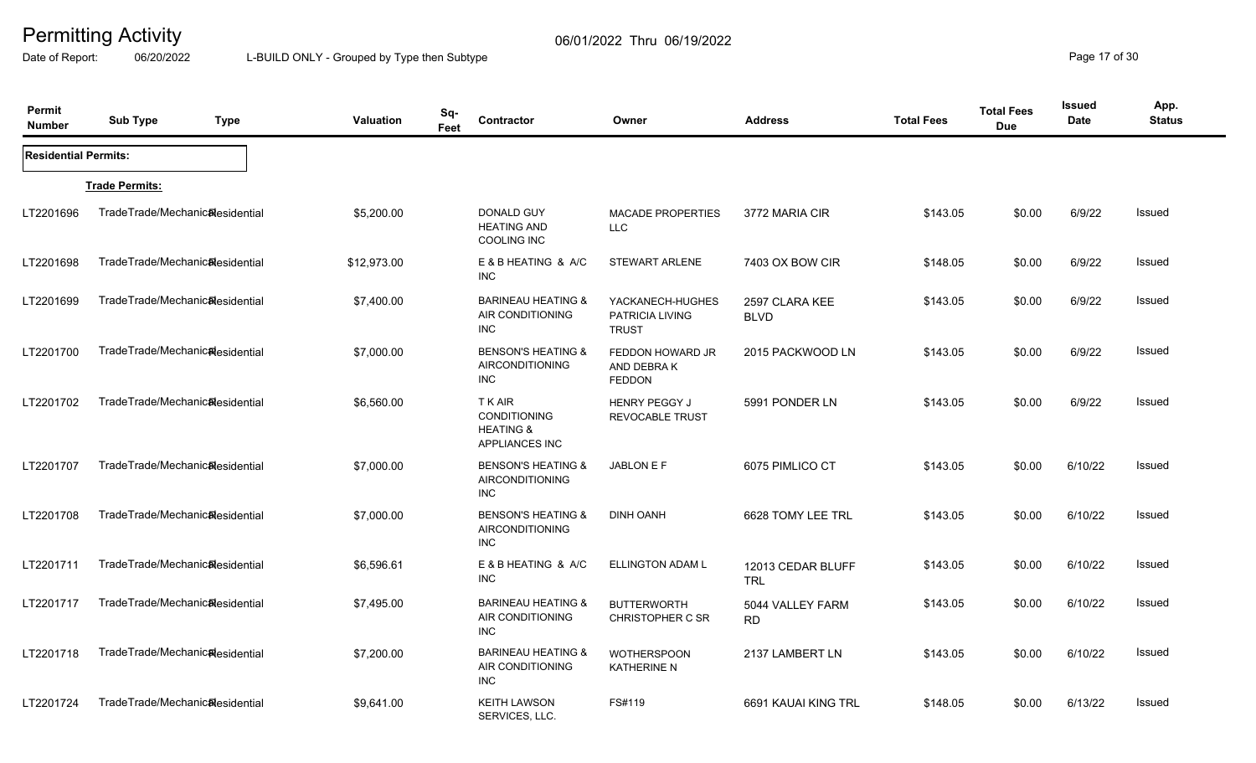Date of Report: 06/20/2022 L-BUILD ONLY - Grouped by Type then Subtype **Page 17** of 30

| Permit<br><b>Number</b>     | <b>Sub Type</b>                 | <b>Type</b> | <b>Valuation</b> | Sq-<br>Feet | Contractor                                                               | Owner                                               | <b>Address</b>                  | <b>Total Fees</b> | <b>Total Fees</b><br><b>Due</b> | <b>Issued</b><br>Date | App.<br><b>Status</b> |
|-----------------------------|---------------------------------|-------------|------------------|-------------|--------------------------------------------------------------------------|-----------------------------------------------------|---------------------------------|-------------------|---------------------------------|-----------------------|-----------------------|
| <b>Residential Permits:</b> |                                 |             |                  |             |                                                                          |                                                     |                                 |                   |                                 |                       |                       |
|                             | <b>Trade Permits:</b>           |             |                  |             |                                                                          |                                                     |                                 |                   |                                 |                       |                       |
| LT2201696                   | TradeTrade/Mechanic&esidential  |             | \$5,200.00       |             | DONALD GUY<br><b>HEATING AND</b><br><b>COOLING INC</b>                   | <b>MACADE PROPERTIES</b><br><b>LLC</b>              | 3772 MARIA CIR                  | \$143.05          | \$0.00                          | 6/9/22                | <b>Issued</b>         |
| LT2201698                   | TradeTrade/Mechanic&esidential  |             | \$12,973.00      |             | E & B HEATING & A/C<br><b>INC</b>                                        | <b>STEWART ARLENE</b>                               | 7403 OX BOW CIR                 | \$148.05          | \$0.00                          | 6/9/22                | Issued                |
| LT2201699                   | TradeTrade/Mechanicalesidential |             | \$7,400.00       |             | <b>BARINEAU HEATING &amp;</b><br>AIR CONDITIONING<br>INC                 | YACKANECH-HUGHES<br>PATRICIA LIVING<br><b>TRUST</b> | 2597 CLARA KEE<br><b>BLVD</b>   | \$143.05          | \$0.00                          | 6/9/22                | Issued                |
| LT2201700                   | TradeTrade/Mechanic&esidential  |             | \$7,000.00       |             | <b>BENSON'S HEATING &amp;</b><br><b>AIRCONDITIONING</b><br><b>INC</b>    | FEDDON HOWARD JR<br>AND DEBRAK<br><b>FEDDON</b>     | 2015 PACKWOOD LN                | \$143.05          | \$0.00                          | 6/9/22                | <b>Issued</b>         |
| LT2201702                   | TradeTrade/Mechanic&esidential  |             | \$6,560.00       |             | T K AIR<br><b>CONDITIONING</b><br><b>HEATING &amp;</b><br>APPLIANCES INC | <b>HENRY PEGGY J</b><br><b>REVOCABLE TRUST</b>      | 5991 PONDER LN                  | \$143.05          | \$0.00                          | 6/9/22                | Issued                |
| LT2201707                   | TradeTrade/Mechanic&esidential  |             | \$7,000.00       |             | <b>BENSON'S HEATING &amp;</b><br><b>AIRCONDITIONING</b><br>INC           | JABLON E F                                          | 6075 PIMLICO CT                 | \$143.05          | \$0.00                          | 6/10/22               | Issued                |
| LT2201708                   | TradeTrade/Mechanic&esidential  |             | \$7,000.00       |             | <b>BENSON'S HEATING &amp;</b><br>AIRCONDITIONING<br><b>INC</b>           | <b>DINH OANH</b>                                    | 6628 TOMY LEE TRL               | \$143.05          | \$0.00                          | 6/10/22               | Issued                |
| LT2201711                   | TradeTrade/Mechanic&esidential  |             | \$6,596.61       |             | E & B HEATING & A/C<br><b>INC</b>                                        | <b>ELLINGTON ADAM L</b>                             | 12013 CEDAR BLUFF<br><b>TRL</b> | \$143.05          | \$0.00                          | 6/10/22               | Issued                |
| LT2201717                   | TradeTrade/Mechanic&esidential  |             | \$7,495.00       |             | <b>BARINEAU HEATING &amp;</b><br>AIR CONDITIONING<br><b>INC</b>          | <b>BUTTERWORTH</b><br><b>CHRISTOPHER C SR</b>       | 5044 VALLEY FARM<br><b>RD</b>   | \$143.05          | \$0.00                          | 6/10/22               | <b>Issued</b>         |
| LT2201718                   | TradeTrade/Mechanic&esidential  |             | \$7,200.00       |             | <b>BARINEAU HEATING &amp;</b><br>AIR CONDITIONING<br><b>INC</b>          | <b>WOTHERSPOON</b><br><b>KATHERINE N</b>            | 2137 LAMBERT LN                 | \$143.05          | \$0.00                          | 6/10/22               | Issued                |
| LT2201724                   | TradeTrade/Mechanic&esidential  |             | \$9,641.00       |             | <b>KEITH LAWSON</b><br>SERVICES, LLC.                                    | FS#119                                              | 6691 KAUAI KING TRL             | \$148.05          | \$0.00                          | 6/13/22               | Issued                |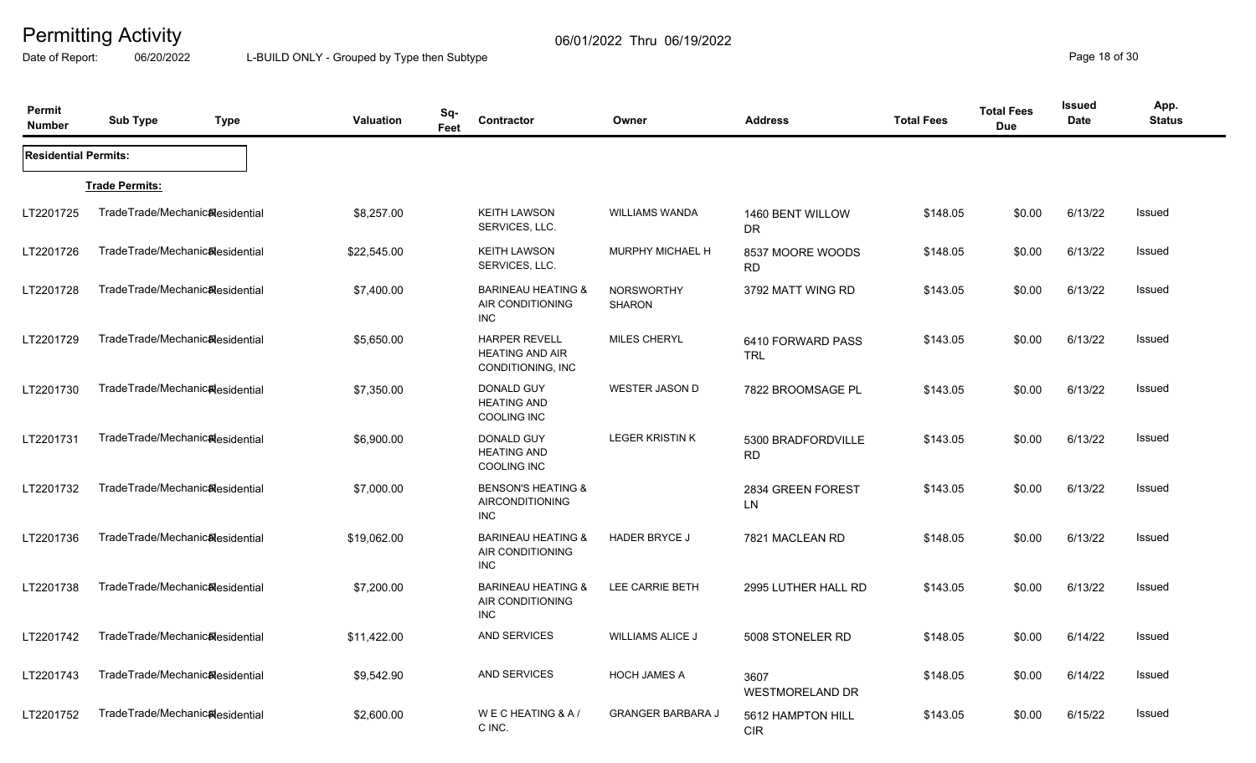Date of Report: 06/20/2022 L-BUILD ONLY - Grouped by Type then Subtype **Page 18** of 30

| Permit<br><b>Number</b>     | <b>Sub Type</b>                              | <b>Type</b> | <b>Valuation</b> | Sq-<br>Feet | Contractor                                                           | Owner                              | <b>Address</b>                  | <b>Total Fees</b> | <b>Total Fees</b><br><b>Due</b> | <b>Issued</b><br>Date | App.<br><b>Status</b> |
|-----------------------------|----------------------------------------------|-------------|------------------|-------------|----------------------------------------------------------------------|------------------------------------|---------------------------------|-------------------|---------------------------------|-----------------------|-----------------------|
| <b>Residential Permits:</b> |                                              |             |                  |             |                                                                      |                                    |                                 |                   |                                 |                       |                       |
|                             | <b>Trade Permits:</b>                        |             |                  |             |                                                                      |                                    |                                 |                   |                                 |                       |                       |
| LT2201725                   | TradeTrade/Mechanic&esidential               |             | \$8,257.00       |             | <b>KEITH LAWSON</b><br>SERVICES, LLC.                                | <b>WILLIAMS WANDA</b>              | 1460 BENT WILLOW<br>DR.         | \$148.05          | \$0.00                          | 6/13/22               | Issued                |
| LT2201726                   | TradeTrade/Mechanic <sub>al</sub> esidential |             | \$22,545.00      |             | <b>KEITH LAWSON</b><br>SERVICES, LLC.                                | MURPHY MICHAEL H                   | 8537 MOORE WOODS<br><b>RD</b>   | \$148.05          | \$0.00                          | 6/13/22               | <b>Issued</b>         |
| LT2201728                   | TradeTrade/Mechanic&esidential               |             | \$7,400.00       |             | <b>BARINEAU HEATING &amp;</b><br>AIR CONDITIONING<br><b>INC</b>      | <b>NORSWORTHY</b><br><b>SHARON</b> | 3792 MATT WING RD               | \$143.05          | \$0.00                          | 6/13/22               | Issued                |
| LT2201729                   | TradeTrade/Mechanic&esidential               |             | \$5,650.00       |             | <b>HARPER REVELL</b><br><b>HEATING AND AIR</b><br>CONDITIONING, INC. | <b>MILES CHERYL</b>                | 6410 FORWARD PASS<br>TRL        | \$143.05          | \$0.00                          | 6/13/22               | Issued                |
| LT2201730                   | TradeTrade/Mechanic&esidential               |             | \$7,350.00       |             | DONALD GUY<br><b>HEATING AND</b><br>COOLING INC                      | <b>WESTER JASON D</b>              | 7822 BROOMSAGE PL               | \$143.05          | \$0.00                          | 6/13/22               | <b>Issued</b>         |
| LT2201731                   | TradeTrade/Mechanic&esidential               |             | \$6,900.00       |             | <b>DONALD GUY</b><br><b>HEATING AND</b><br><b>COOLING INC</b>        | <b>LEGER KRISTIN K</b>             | 5300 BRADFORDVILLE<br><b>RD</b> | \$143.05          | \$0.00                          | 6/13/22               | Issued                |
| LT2201732                   | TradeTrade/Mechanic&esidential               |             | \$7,000.00       |             | <b>BENSON'S HEATING &amp;</b><br>AIRCONDITIONING<br><b>INC</b>       |                                    | 2834 GREEN FOREST<br>LN         | \$143.05          | \$0.00                          | 6/13/22               | Issued                |
| LT2201736                   | TradeTrade/Mechanic&esidential               |             | \$19,062.00      |             | <b>BARINEAU HEATING &amp;</b><br>AIR CONDITIONING<br><b>INC</b>      | <b>HADER BRYCE J</b>               | 7821 MACLEAN RD                 | \$148.05          | \$0.00                          | 6/13/22               | Issued                |
| LT2201738                   | TradeTrade/Mechanic&esidential               |             | \$7,200.00       |             | <b>BARINEAU HEATING &amp;</b><br>AIR CONDITIONING<br><b>INC</b>      | LEE CARRIE BETH                    | 2995 LUTHER HALL RD             | \$143.05          | \$0.00                          | 6/13/22               | Issued                |
| LT2201742                   | TradeTrade/Mechanic&esidential               |             | \$11,422.00      |             | AND SERVICES                                                         | <b>WILLIAMS ALICE J</b>            | 5008 STONELER RD                | \$148.05          | \$0.00                          | 6/14/22               | Issued                |
| LT2201743                   | TradeTrade/Mechanic&esidential               |             | \$9,542.90       |             | AND SERVICES                                                         | <b>HOCH JAMES A</b>                | 3607<br><b>WESTMORELAND DR</b>  | \$148.05          | \$0.00                          | 6/14/22               | Issued                |
| LT2201752                   | TradeTrade/Mechanic <sub>al</sub> esidential |             | \$2,600.00       |             | WECHEATING & A/<br>C INC.                                            | <b>GRANGER BARBARA J</b>           | 5612 HAMPTON HILL<br>CIR        | \$143.05          | \$0.00                          | 6/15/22               | Issued                |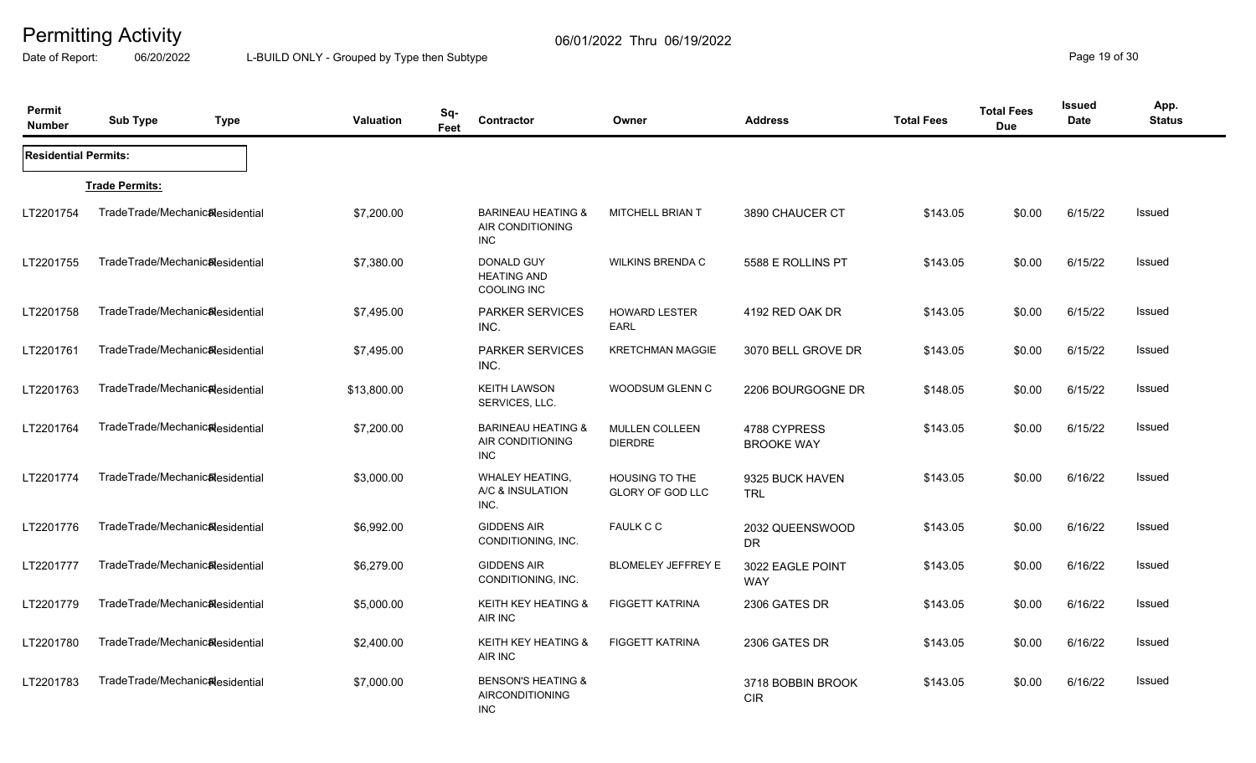Date of Report: 06/20/2022 L-BUILD ONLY - Grouped by Type then Subtype **Page 19** of 30

| Permit<br><b>Number</b>     | <b>Sub Type</b>                              | <b>Type</b> | Sq-<br><b>Valuation</b><br>Feet | Contractor                                                            | Owner                                            | <b>Address</b>                    | <b>Total Fees</b> | <b>Total Fees</b><br><b>Due</b> | <b>Issued</b><br>Date | App.<br><b>Status</b> |
|-----------------------------|----------------------------------------------|-------------|---------------------------------|-----------------------------------------------------------------------|--------------------------------------------------|-----------------------------------|-------------------|---------------------------------|-----------------------|-----------------------|
| <b>Residential Permits:</b> |                                              |             |                                 |                                                                       |                                                  |                                   |                   |                                 |                       |                       |
|                             | <b>Trade Permits:</b>                        |             |                                 |                                                                       |                                                  |                                   |                   |                                 |                       |                       |
| LT2201754                   | TradeTrade/Mechanic&esidential               |             | \$7,200.00                      | <b>BARINEAU HEATING &amp;</b><br>AIR CONDITIONING<br><b>INC</b>       | MITCHELL BRIAN T                                 | 3890 CHAUCER CT                   | \$143.05          | \$0.00                          | 6/15/22               | Issued                |
| LT2201755                   | TradeTrade/Mechanic&esidential               |             | \$7,380.00                      | DONALD GUY<br><b>HEATING AND</b><br><b>COOLING INC</b>                | <b>WILKINS BRENDA C</b>                          | 5588 E ROLLINS PT                 | \$143.05          | \$0.00                          | 6/15/22               | <b>Issued</b>         |
| LT2201758                   | TradeTrade/Mechanic&esidential               |             | \$7,495.00                      | <b>PARKER SERVICES</b><br>INC.                                        | HOWARD LESTER<br><b>EARL</b>                     | 4192 RED OAK DR                   | \$143.05          | \$0.00                          | 6/15/22               | Issued                |
| LT2201761                   | TradeTrade/Mechanic <sub>al</sub> esidential |             | \$7,495.00                      | <b>PARKER SERVICES</b><br>INC.                                        | <b>KRETCHMAN MAGGIE</b>                          | 3070 BELL GROVE DR                | \$143.05          | \$0.00                          | 6/15/22               | Issued                |
| LT2201763                   | TradeTrade/Mechanic&esidential               |             | \$13,800.00                     | <b>KEITH LAWSON</b><br>SERVICES, LLC.                                 | <b>WOODSUM GLENN C</b>                           | 2206 BOURGOGNE DR                 | \$148.05          | \$0.00                          | 6/15/22               | Issued                |
| LT2201764                   | TradeTrade/Mechanic&esidential               |             | \$7,200.00                      | <b>BARINEAU HEATING &amp;</b><br>AIR CONDITIONING<br><b>INC</b>       | <b>MULLEN COLLEEN</b><br><b>DIERDRE</b>          | 4788 CYPRESS<br><b>BROOKE WAY</b> | \$143.05          | \$0.00                          | 6/15/22               | Issued                |
| LT2201774                   | TradeTrade/Mechanic&esidential               |             | \$3,000.00                      | <b>WHALEY HEATING,</b><br>A/C & INSULATION<br>INC.                    | <b>HOUSING TO THE</b><br><b>GLORY OF GOD LLC</b> | 9325 BUCK HAVEN<br><b>TRL</b>     | \$143.05          | \$0.00                          | 6/16/22               | <b>Issued</b>         |
| LT2201776                   | TradeTrade/Mechanic&esidential               |             | \$6,992.00                      | <b>GIDDENS AIR</b><br>CONDITIONING, INC.                              | <b>FAULK C C</b>                                 | 2032 QUEENSWOOD<br><b>DR</b>      | \$143.05          | \$0.00                          | 6/16/22               | Issued                |
| LT2201777                   | TradeTrade/Mechanicalesidential              |             | \$6,279.00                      | <b>GIDDENS AIR</b><br>CONDITIONING, INC.                              | <b>BLOMELEY JEFFREY E</b>                        | 3022 EAGLE POINT<br><b>WAY</b>    | \$143.05          | \$0.00                          | 6/16/22               | Issued                |
| LT2201779                   | TradeTrade/Mechanic&esidential               |             | \$5,000.00                      | <b>KEITH KEY HEATING &amp;</b><br>AIR INC                             | <b>FIGGETT KATRINA</b>                           | 2306 GATES DR                     | \$143.05          | \$0.00                          | 6/16/22               | Issued                |
| LT2201780                   | TradeTrade/Mechanic&esidential               |             | \$2,400.00                      | <b>KEITH KEY HEATING &amp;</b><br>AIR INC                             | <b>FIGGETT KATRINA</b>                           | 2306 GATES DR                     | \$143.05          | \$0.00                          | 6/16/22               | Issued                |
| LT2201783                   | TradeTrade/Mechanicalesidential              |             | \$7,000.00                      | <b>BENSON'S HEATING &amp;</b><br><b>AIRCONDITIONING</b><br><b>INC</b> |                                                  | 3718 BOBBIN BROOK<br><b>CIR</b>   | \$143.05          | \$0.00                          | 6/16/22               | <b>Issued</b>         |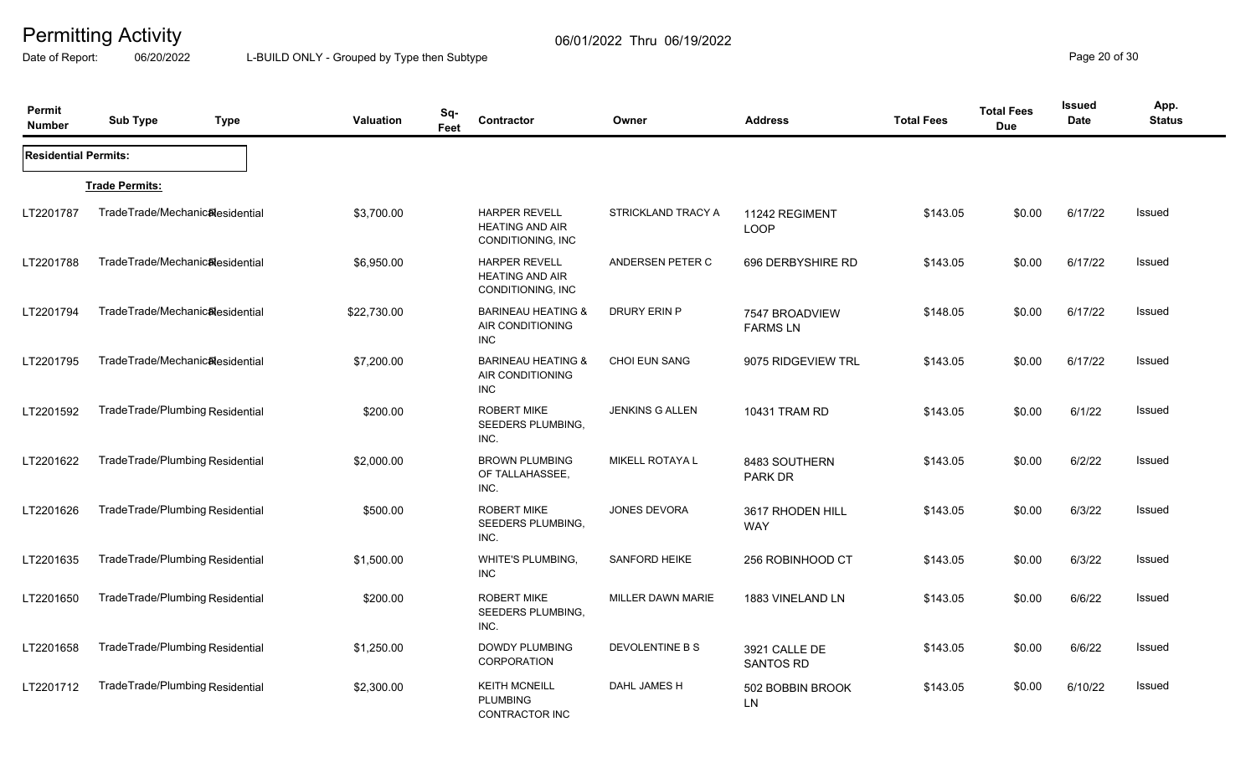Date of Report: 06/20/2022 L-BUILD ONLY - Grouped by Type then Subtype **Page 20** of 30

| Permit<br><b>Number</b>     | <b>Sub Type</b>                 | <b>Type</b> | <b>Valuation</b> | Sq-<br>Feet | <b>Contractor</b>                                                   | Owner                  | <b>Address</b>                    | <b>Total Fees</b> | <b>Total Fees</b><br><b>Due</b> | <b>Issued</b><br><b>Date</b> | App.<br><b>Status</b> |
|-----------------------------|---------------------------------|-------------|------------------|-------------|---------------------------------------------------------------------|------------------------|-----------------------------------|-------------------|---------------------------------|------------------------------|-----------------------|
| <b>Residential Permits:</b> |                                 |             |                  |             |                                                                     |                        |                                   |                   |                                 |                              |                       |
|                             | <b>Trade Permits:</b>           |             |                  |             |                                                                     |                        |                                   |                   |                                 |                              |                       |
| LT2201787                   | TradeTrade/Mechanic&esidential  |             | \$3,700.00       |             | <b>HARPER REVELL</b><br><b>HEATING AND AIR</b><br>CONDITIONING, INC | STRICKLAND TRACY A     | 11242 REGIMENT<br><b>LOOP</b>     | \$143.05          | \$0.00                          | 6/17/22                      | <b>Issued</b>         |
| LT2201788                   | TradeTrade/Mechanic&esidential  |             | \$6,950.00       |             | <b>HARPER REVELL</b><br><b>HEATING AND AIR</b><br>CONDITIONING, INC | ANDERSEN PETER C       | 696 DERBYSHIRE RD                 | \$143.05          | \$0.00                          | 6/17/22                      | Issued                |
| LT2201794                   | TradeTrade/Mechanic&esidential  |             | \$22,730.00      |             | <b>BARINEAU HEATING &amp;</b><br>AIR CONDITIONING<br><b>INC</b>     | <b>DRURY ERIN P</b>    | 7547 BROADVIEW<br><b>FARMS LN</b> | \$148.05          | \$0.00                          | 6/17/22                      | Issued                |
| LT2201795                   | TradeTrade/Mechanic&esidential  |             | \$7,200.00       |             | <b>BARINEAU HEATING &amp;</b><br>AIR CONDITIONING<br><b>INC</b>     | <b>CHOI EUN SANG</b>   | 9075 RIDGEVIEW TRL                | \$143.05          | \$0.00                          | 6/17/22                      | Issued                |
| LT2201592                   | TradeTrade/Plumbing Residential |             | \$200.00         |             | <b>ROBERT MIKE</b><br>SEEDERS PLUMBING,<br>INC.                     | <b>JENKINS G ALLEN</b> | 10431 TRAM RD                     | \$143.05          | \$0.00                          | 6/1/22                       | Issued                |
| LT2201622                   | TradeTrade/Plumbing Residential |             | \$2,000.00       |             | <b>BROWN PLUMBING</b><br>OF TALLAHASSEE,<br>INC.                    | MIKELL ROTAYA L        | 8483 SOUTHERN<br>PARK DR          | \$143.05          | \$0.00                          | 6/2/22                       | Issued                |
| LT2201626                   | TradeTrade/Plumbing Residential |             | \$500.00         |             | <b>ROBERT MIKE</b><br>SEEDERS PLUMBING,<br>INC.                     | <b>JONES DEVORA</b>    | 3617 RHODEN HILL<br><b>WAY</b>    | \$143.05          | \$0.00                          | 6/3/22                       | Issued                |
| LT2201635                   | TradeTrade/Plumbing Residential |             | \$1,500.00       |             | <b>WHITE'S PLUMBING,</b><br><b>INC</b>                              | <b>SANFORD HEIKE</b>   | 256 ROBINHOOD CT                  | \$143.05          | \$0.00                          | 6/3/22                       | Issued                |
| LT2201650                   | TradeTrade/Plumbing Residential |             | \$200.00         |             | <b>ROBERT MIKE</b><br>SEEDERS PLUMBING,<br>INC.                     | MILLER DAWN MARIE      | 1883 VINELAND LN                  | \$143.05          | \$0.00                          | 6/6/22                       | Issued                |
| LT2201658                   | TradeTrade/Plumbing Residential |             | \$1,250.00       |             | DOWDY PLUMBING<br>CORPORATION                                       | DEVOLENTINE B S        | 3921 CALLE DE<br><b>SANTOS RD</b> | \$143.05          | \$0.00                          | 6/6/22                       | Issued                |
| LT2201712                   | TradeTrade/Plumbing Residential |             | \$2,300.00       |             | <b>KEITH MCNEILL</b><br><b>PLUMBING</b><br>CONTRACTOR INC           | DAHL JAMES H           | 502 BOBBIN BROOK<br>LN            | \$143.05          | \$0.00                          | 6/10/22                      | Issued                |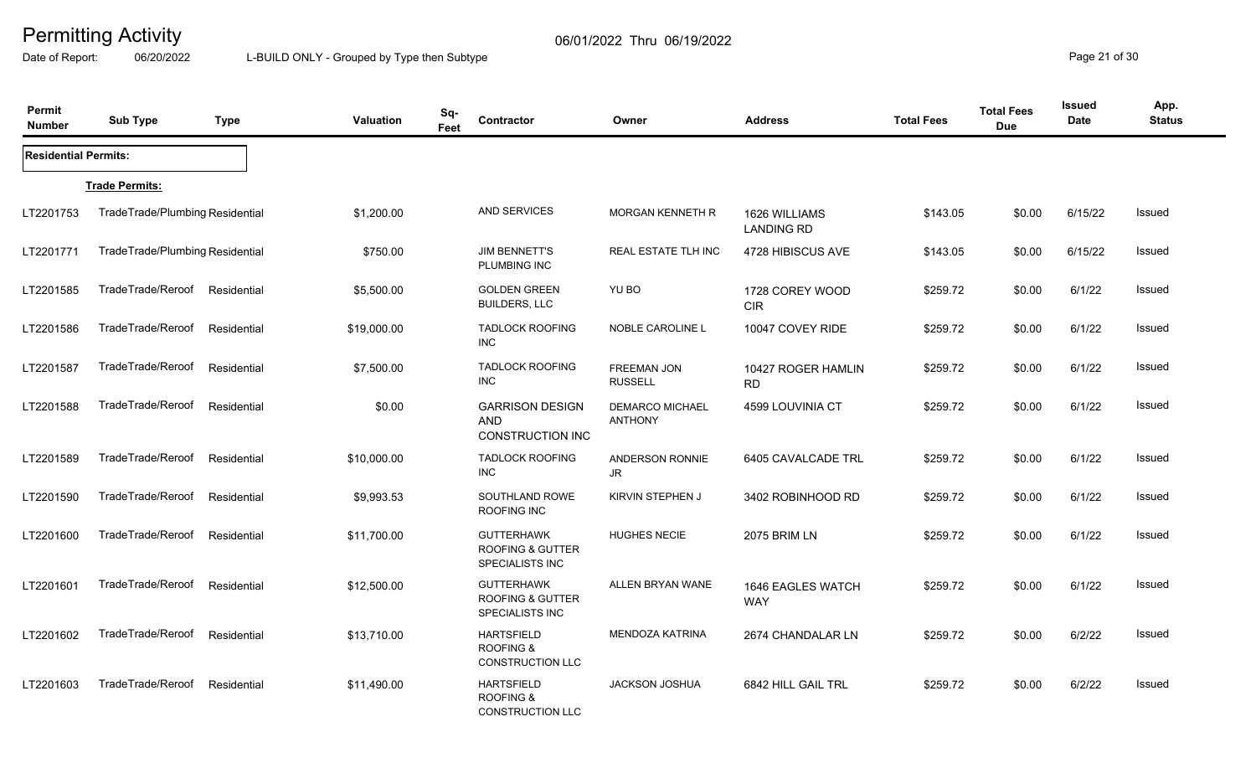Date of Report: 06/20/2022 L-BUILD ONLY - Grouped by Type then Subtype **Page 21** of 30

| Permit<br><b>Number</b>     | <b>Sub Type</b>                 | <b>Type</b> | Valuation   | Sq-<br>Feet | Contractor                                                      | Owner                                    | <b>Address</b>                     | <b>Total Fees</b> | <b>Total Fees</b><br><b>Due</b> | <b>Issued</b><br><b>Date</b> | App.<br><b>Status</b> |
|-----------------------------|---------------------------------|-------------|-------------|-------------|-----------------------------------------------------------------|------------------------------------------|------------------------------------|-------------------|---------------------------------|------------------------------|-----------------------|
| <b>Residential Permits:</b> |                                 |             |             |             |                                                                 |                                          |                                    |                   |                                 |                              |                       |
|                             | <b>Trade Permits:</b>           |             |             |             |                                                                 |                                          |                                    |                   |                                 |                              |                       |
| LT2201753                   | TradeTrade/Plumbing Residential |             | \$1,200.00  |             | AND SERVICES                                                    | <b>MORGAN KENNETH R</b>                  | 1626 WILLIAMS<br><b>LANDING RD</b> | \$143.05          | \$0.00                          | 6/15/22                      | Issued                |
| LT2201771                   | TradeTrade/Plumbing Residential |             | \$750.00    |             | <b>JIM BENNETT'S</b><br>PLUMBING INC                            | <b>REAL ESTATE TLH INC</b>               | 4728 HIBISCUS AVE                  | \$143.05          | \$0.00                          | 6/15/22                      | Issued                |
| LT2201585                   | TradeTrade/Reroof               | Residential | \$5,500.00  |             | <b>GOLDEN GREEN</b><br><b>BUILDERS, LLC</b>                     | YU BO                                    | 1728 COREY WOOD<br><b>CIR</b>      | \$259.72          | \$0.00                          | 6/1/22                       | Issued                |
| LT2201586                   | TradeTrade/Reroof               | Residential | \$19,000.00 | <b>INC</b>  | <b>TADLOCK ROOFING</b>                                          | <b>NOBLE CAROLINE L</b>                  | 10047 COVEY RIDE                   | \$259.72          | \$0.00                          | 6/1/22                       | Issued                |
| LT2201587                   | TradeTrade/Reroof               | Residential | \$7,500.00  | <b>INC</b>  | <b>TADLOCK ROOFING</b>                                          | <b>FREEMAN JON</b><br><b>RUSSELL</b>     | 10427 ROGER HAMLIN<br><b>RD</b>    | \$259.72          | \$0.00                          | 6/1/22                       | <b>Issued</b>         |
| LT2201588                   | TradeTrade/Reroof               | Residential | \$0.00      | AND         | <b>GARRISON DESIGN</b><br><b>CONSTRUCTION INC</b>               | <b>DEMARCO MICHAEL</b><br><b>ANTHONY</b> | 4599 LOUVINIA CT                   | \$259.72          | \$0.00                          | 6/1/22                       | Issued                |
| LT2201589                   | TradeTrade/Reroof               | Residential | \$10,000.00 | <b>INC</b>  | <b>TADLOCK ROOFING</b>                                          | ANDERSON RONNIE<br>JR                    | 6405 CAVALCADE TRL                 | \$259.72          | \$0.00                          | 6/1/22                       | Issued                |
| LT2201590                   | TradeTrade/Reroof               | Residential | \$9,993.53  |             | SOUTHLAND ROWE<br>ROOFING INC                                   | KIRVIN STEPHEN J                         | 3402 ROBINHOOD RD                  | \$259.72          | \$0.00                          | 6/1/22                       | Issued                |
| LT2201600                   | TradeTrade/Reroof               | Residential | \$11,700.00 |             | <b>GUTTERHAWK</b><br>ROOFING & GUTTER<br><b>SPECIALISTS INC</b> | <b>HUGHES NECIE</b>                      | <b>2075 BRIM LN</b>                | \$259.72          | \$0.00                          | 6/1/22                       | Issued                |
| LT2201601                   | TradeTrade/Reroof               | Residential | \$12,500.00 |             | <b>GUTTERHAWK</b><br>ROOFING & GUTTER<br><b>SPECIALISTS INC</b> | ALLEN BRYAN WANE                         | 1646 EAGLES WATCH<br><b>WAY</b>    | \$259.72          | \$0.00                          | 6/1/22                       | Issued                |
| LT2201602                   | TradeTrade/Reroof               | Residential | \$13,710.00 |             | <b>HARTSFIELD</b><br><b>ROOFING &amp;</b><br>CONSTRUCTION LLC   | <b>MENDOZA KATRINA</b>                   | 2674 CHANDALAR LN                  | \$259.72          | \$0.00                          | 6/2/22                       | Issued                |
| LT2201603                   | TradeTrade/Reroof               | Residential | \$11,490.00 |             | <b>HARTSFIELD</b><br><b>ROOFING &amp;</b><br>CONSTRUCTION LLC   | <b>JACKSON JOSHUA</b>                    | 6842 HILL GAIL TRL                 | \$259.72          | \$0.00                          | 6/2/22                       | Issued                |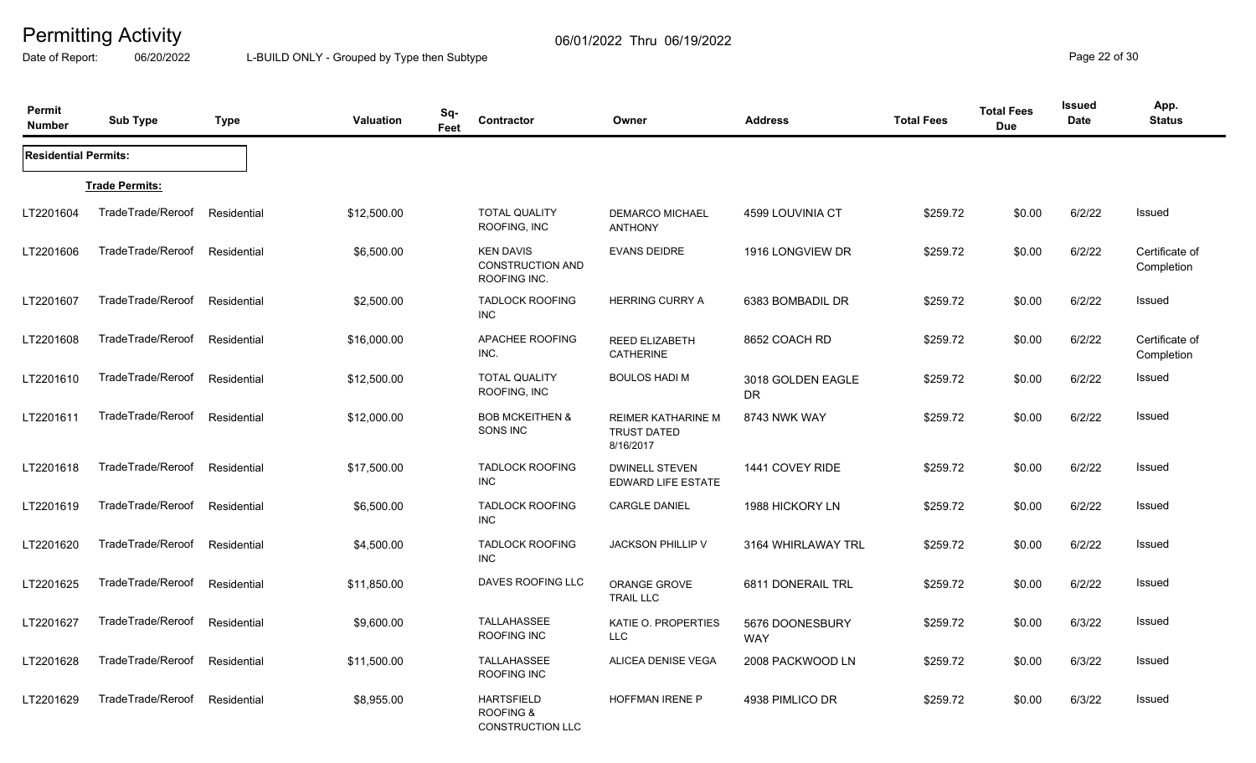Date of Report: 06/20/2022 L-BUILD ONLY - Grouped by Type then Subtype **Page 22** of 30

| Permit<br><b>Number</b>     | <b>Sub Type</b>       | <b>Type</b> | <b>Valuation</b> | Sq-<br>Feet | Contractor                                                           | Owner                                                        | <b>Address</b>           | <b>Total Fees</b> | <b>Total Fees</b><br><b>Due</b> | Issued<br><b>Date</b> | App.<br><b>Status</b>        |
|-----------------------------|-----------------------|-------------|------------------|-------------|----------------------------------------------------------------------|--------------------------------------------------------------|--------------------------|-------------------|---------------------------------|-----------------------|------------------------------|
| <b>Residential Permits:</b> |                       |             |                  |             |                                                                      |                                                              |                          |                   |                                 |                       |                              |
|                             | <b>Trade Permits:</b> |             |                  |             |                                                                      |                                                              |                          |                   |                                 |                       |                              |
| LT2201604                   | TradeTrade/Reroof     | Residential | \$12,500.00      |             | <b>TOTAL QUALITY</b><br>ROOFING, INC                                 | <b>DEMARCO MICHAEL</b><br><b>ANTHONY</b>                     | 4599 LOUVINIA CT         | \$259.72          | \$0.00                          | 6/2/22                | <b>Issued</b>                |
| LT2201606                   | TradeTrade/Reroof     | Residential | \$6,500.00       |             | <b>KEN DAVIS</b><br><b>CONSTRUCTION AND</b><br>ROOFING INC.          | <b>EVANS DEIDRE</b>                                          | 1916 LONGVIEW DR         | \$259.72          | \$0.00                          | 6/2/22                | Certificate of<br>Completion |
| LT2201607                   | TradeTrade/Reroof     | Residential | \$2,500.00       |             | <b>TADLOCK ROOFING</b><br><b>INC</b>                                 | <b>HERRING CURRY A</b>                                       | 6383 BOMBADIL DR         | \$259.72          | \$0.00                          | 6/2/22                | Issued                       |
| LT2201608                   | TradeTrade/Reroof     | Residential | \$16,000.00      |             | APACHEE ROOFING<br>INC.                                              | REED ELIZABETH<br><b>CATHERINE</b>                           | 8652 COACH RD            | \$259.72          | \$0.00                          | 6/2/22                | Certificate of<br>Completion |
| LT2201610                   | TradeTrade/Reroof     | Residential | \$12,500.00      |             | <b>TOTAL QUALITY</b><br>ROOFING, INC                                 | <b>BOULOS HADI M</b>                                         | 3018 GOLDEN EAGLE<br>DR. | \$259.72          | \$0.00                          | 6/2/22                | Issued                       |
| LT2201611                   | TradeTrade/Reroof     | Residential | \$12,000.00      |             | <b>BOB MCKEITHEN &amp;</b><br>SONS INC                               | <b>REIMER KATHARINE M</b><br><b>TRUST DATED</b><br>8/16/2017 | 8743 NWK WAY             | \$259.72          | \$0.00                          | 6/2/22                | <b>Issued</b>                |
| LT2201618                   | TradeTrade/Reroof     | Residential | \$17,500.00      |             | <b>TADLOCK ROOFING</b><br>INC                                        | <b>DWINELL STEVEN</b><br><b>EDWARD LIFE ESTATE</b>           | 1441 COVEY RIDE          | \$259.72          | \$0.00                          | 6/2/22                | Issued                       |
| LT2201619                   | TradeTrade/Reroof     | Residential | \$6,500.00       |             | <b>TADLOCK ROOFING</b><br>INC                                        | <b>CARGLE DANIEL</b>                                         | 1988 HICKORY LN          | \$259.72          | \$0.00                          | 6/2/22                | <b>Issued</b>                |
| LT2201620                   | TradeTrade/Reroof     | Residential | \$4,500.00       |             | <b>TADLOCK ROOFING</b><br><b>INC</b>                                 | <b>JACKSON PHILLIP V</b>                                     | 3164 WHIRLAWAY TRL       | \$259.72          | \$0.00                          | 6/2/22                | <b>Issued</b>                |
| LT2201625                   | TradeTrade/Reroof     | Residential | \$11,850.00      |             | DAVES ROOFING LLC                                                    | ORANGE GROVE<br><b>TRAIL LLC</b>                             | 6811 DONERAIL TRL        | \$259.72          | \$0.00                          | 6/2/22                | Issued                       |
| LT2201627                   | TradeTrade/Reroof     | Residential | \$9,600.00       |             | TALLAHASSEE<br>ROOFING INC                                           | KATIE O. PROPERTIES<br><b>LLC</b>                            | 5676 DOONESBURY<br>WAY   | \$259.72          | \$0.00                          | 6/3/22                | Issued                       |
| LT2201628                   | TradeTrade/Reroof     | Residential | \$11,500.00      |             | TALLAHASSEE<br>ROOFING INC                                           | ALICEA DENISE VEGA                                           | 2008 PACKWOOD LN         | \$259.72          | \$0.00                          | 6/3/22                | <b>Issued</b>                |
| LT2201629                   | TradeTrade/Reroof     | Residential | \$8,955.00       |             | <b>HARTSFIELD</b><br><b>ROOFING &amp;</b><br><b>CONSTRUCTION LLC</b> | <b>HOFFMAN IRENE P</b>                                       | 4938 PIMLICO DR          | \$259.72          | \$0.00                          | 6/3/22                | <b>Issued</b>                |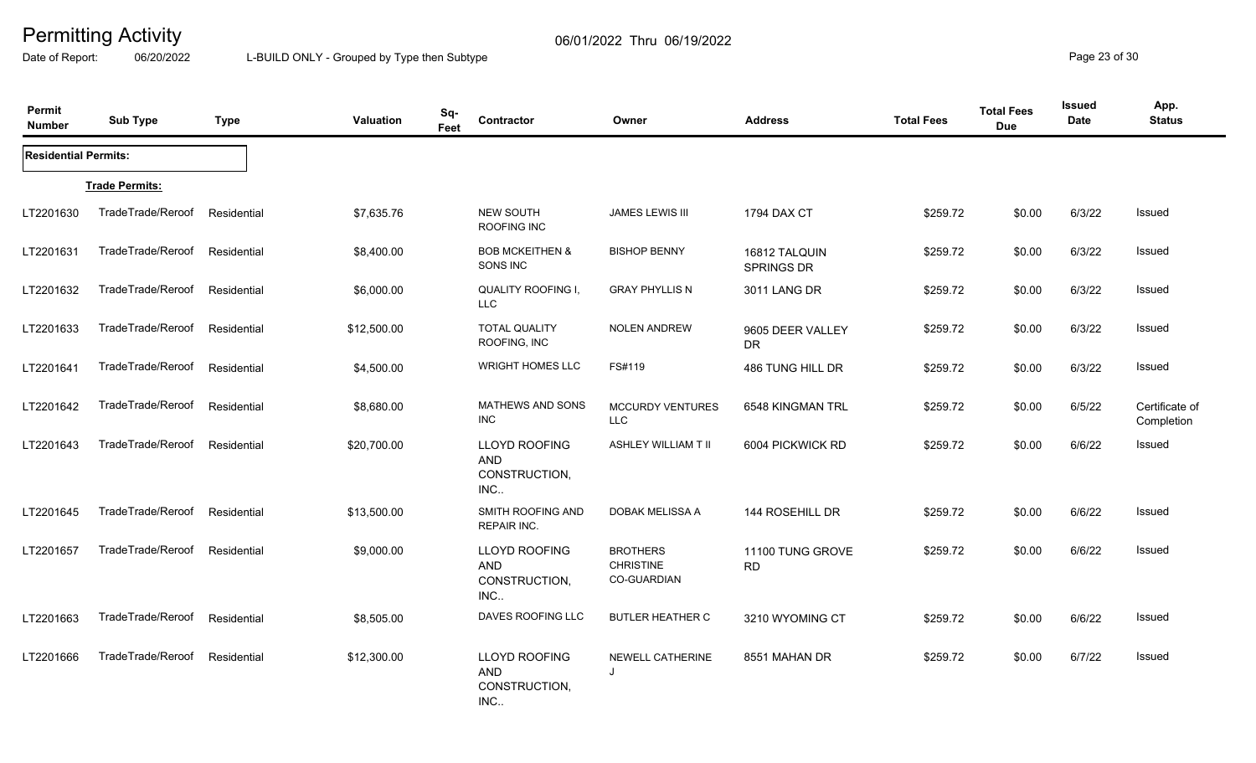Date of Report: 06/20/2022 L-BUILD ONLY - Grouped by Type then Subtype **Page 23** of 30

| Permit<br><b>Number</b>     | <b>Sub Type</b>       | <b>Type</b> | Valuation   | Sq-<br>Feet | Contractor                                           | Owner                                                     | <b>Address</b>                | <b>Total Fees</b> | <b>Total Fees</b><br><b>Due</b> | Issued<br><b>Date</b> | App.<br><b>Status</b>        |
|-----------------------------|-----------------------|-------------|-------------|-------------|------------------------------------------------------|-----------------------------------------------------------|-------------------------------|-------------------|---------------------------------|-----------------------|------------------------------|
| <b>Residential Permits:</b> |                       |             |             |             |                                                      |                                                           |                               |                   |                                 |                       |                              |
|                             | <b>Trade Permits:</b> |             |             |             |                                                      |                                                           |                               |                   |                                 |                       |                              |
| LT2201630                   | TradeTrade/Reroof     | Residential | \$7,635.76  |             | <b>NEW SOUTH</b><br>ROOFING INC                      | JAMES LEWIS III                                           | 1794 DAX CT                   | \$259.72          | \$0.00                          | 6/3/22                | Issued                       |
| LT2201631                   | TradeTrade/Reroof     | Residential | \$8,400.00  |             | <b>BOB MCKEITHEN &amp;</b><br>SONS INC               | <b>BISHOP BENNY</b>                                       | 16812 TALQUIN<br>SPRINGS DR   | \$259.72          | \$0.00                          | 6/3/22                | <b>Issued</b>                |
| LT2201632                   | TradeTrade/Reroof     | Residential | \$6,000.00  |             | QUALITY ROOFING I,<br><b>LLC</b>                     | <b>GRAY PHYLLIS N</b>                                     | 3011 LANG DR                  | \$259.72          | \$0.00                          | 6/3/22                | Issued                       |
| LT2201633                   | TradeTrade/Reroof     | Residential | \$12,500.00 |             | <b>TOTAL QUALITY</b><br>ROOFING, INC                 | <b>NOLEN ANDREW</b>                                       | 9605 DEER VALLEY<br><b>DR</b> | \$259.72          | \$0.00                          | 6/3/22                | Issued                       |
| LT2201641                   | TradeTrade/Reroof     | Residential | \$4,500.00  |             | <b>WRIGHT HOMES LLC</b>                              | FS#119                                                    | 486 TUNG HILL DR              | \$259.72          | \$0.00                          | 6/3/22                | Issued                       |
| LT2201642                   | TradeTrade/Reroof     | Residential | \$8,680.00  |             | <b>MATHEWS AND SONS</b><br><b>INC</b>                | <b>MCCURDY VENTURES</b><br><b>LLC</b>                     | 6548 KINGMAN TRL              | \$259.72          | \$0.00                          | 6/5/22                | Certificate of<br>Completion |
| LT2201643                   | TradeTrade/Reroof     | Residential | \$20,700.00 |             | LLOYD ROOFING<br><b>AND</b><br>CONSTRUCTION,<br>INC  | ASHLEY WILLIAM T II                                       | 6004 PICKWICK RD              | \$259.72          | \$0.00                          | 6/6/22                | Issued                       |
| LT2201645                   | TradeTrade/Reroof     | Residential | \$13,500.00 |             | SMITH ROOFING AND<br>REPAIR INC.                     | DOBAK MELISSA A                                           | 144 ROSEHILL DR               | \$259.72          | \$0.00                          | 6/6/22                | Issued                       |
| LT2201657                   | TradeTrade/Reroof     | Residential | \$9,000.00  |             | LLOYD ROOFING<br><b>AND</b><br>CONSTRUCTION,<br>INC. | <b>BROTHERS</b><br><b>CHRISTINE</b><br><b>CO-GUARDIAN</b> | 11100 TUNG GROVE<br><b>RD</b> | \$259.72          | \$0.00                          | 6/6/22                | <b>Issued</b>                |
| LT2201663                   | TradeTrade/Reroof     | Residential | \$8,505.00  |             | DAVES ROOFING LLC                                    | <b>BUTLER HEATHER C</b>                                   | 3210 WYOMING CT               | \$259.72          | \$0.00                          | 6/6/22                | Issued                       |
| LT2201666                   | TradeTrade/Reroof     | Residential | \$12,300.00 |             | LLOYD ROOFING<br><b>AND</b><br>CONSTRUCTION,<br>INC. | <b>NEWELL CATHERINE</b><br>J                              | 8551 MAHAN DR                 | \$259.72          | \$0.00                          | 6/7/22                | <b>Issued</b>                |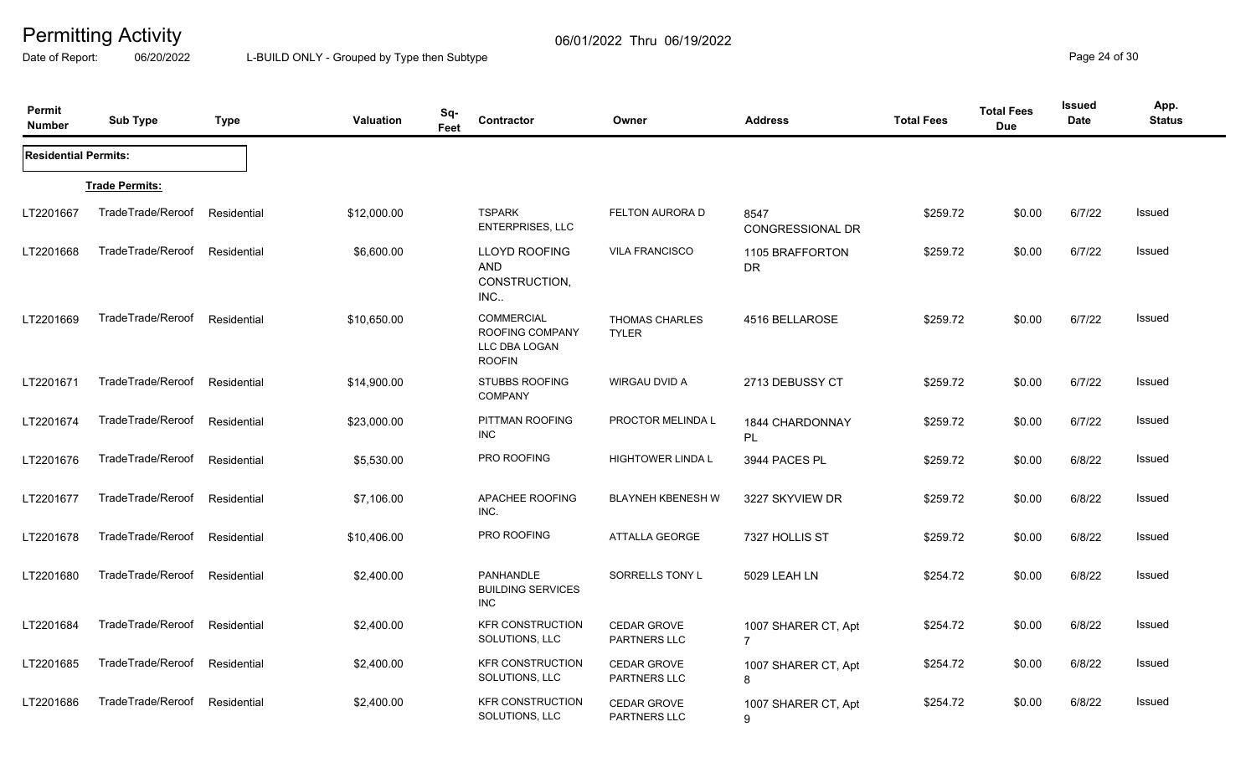Date of Report: 06/20/2022 L-BUILD ONLY - Grouped by Type then Subtype **Page 24** of 30

| Permit<br><b>Number</b>     | <b>Sub Type</b>       | <b>Type</b> | <b>Valuation</b> | Sq-<br>Feet | Contractor                                                             | Owner                                 | <b>Address</b>                          | <b>Total Fees</b> | <b>Total Fees</b><br><b>Due</b> | <b>Issued</b><br>Date | App.<br><b>Status</b> |
|-----------------------------|-----------------------|-------------|------------------|-------------|------------------------------------------------------------------------|---------------------------------------|-----------------------------------------|-------------------|---------------------------------|-----------------------|-----------------------|
| <b>Residential Permits:</b> |                       |             |                  |             |                                                                        |                                       |                                         |                   |                                 |                       |                       |
|                             | <b>Trade Permits:</b> |             |                  |             |                                                                        |                                       |                                         |                   |                                 |                       |                       |
| LT2201667                   | TradeTrade/Reroof     | Residential | \$12,000.00      |             | <b>TSPARK</b><br><b>ENTERPRISES, LLC</b>                               | FELTON AURORA D                       | 8547<br>CONGRESSIONAL DR                | \$259.72          | \$0.00                          | 6/7/22                | Issued                |
| LT2201668                   | TradeTrade/Reroof     | Residential | \$6,600.00       |             | LLOYD ROOFING<br>AND<br>CONSTRUCTION,<br>INC                           | <b>VILA FRANCISCO</b>                 | 1105 BRAFFORTON<br>DR.                  | \$259.72          | \$0.00                          | 6/7/22                | <b>Issued</b>         |
| LT2201669                   | TradeTrade/Reroof     | Residential | \$10,650.00      |             | <b>COMMERCIAL</b><br>ROOFING COMPANY<br>LLC DBA LOGAN<br><b>ROOFIN</b> | <b>THOMAS CHARLES</b><br><b>TYLER</b> | 4516 BELLAROSE                          | \$259.72          | \$0.00                          | 6/7/22                | Issued                |
| LT2201671                   | TradeTrade/Reroof     | Residential | \$14,900.00      |             | <b>STUBBS ROOFING</b><br><b>COMPANY</b>                                | WIRGAU DVID A                         | 2713 DEBUSSY CT                         | \$259.72          | \$0.00                          | 6/7/22                | <b>Issued</b>         |
| LT2201674                   | TradeTrade/Reroof     | Residential | \$23,000.00      |             | PITTMAN ROOFING<br>INC                                                 | PROCTOR MELINDA L                     | 1844 CHARDONNAY<br>PL                   | \$259.72          | \$0.00                          | 6/7/22                | Issued                |
| LT2201676                   | TradeTrade/Reroof     | Residential | \$5,530.00       |             | PRO ROOFING                                                            | <b>HIGHTOWER LINDA L</b>              | 3944 PACES PL                           | \$259.72          | \$0.00                          | 6/8/22                | Issued                |
| LT2201677                   | TradeTrade/Reroof     | Residential | \$7,106.00       |             | APACHEE ROOFING<br>INC.                                                | <b>BLAYNEH KBENESH W</b>              | 3227 SKYVIEW DR                         | \$259.72          | \$0.00                          | 6/8/22                | <b>Issued</b>         |
| LT2201678                   | TradeTrade/Reroof     | Residential | \$10,406.00      |             | PRO ROOFING                                                            | <b>ATTALLA GEORGE</b>                 | 7327 HOLLIS ST                          | \$259.72          | \$0.00                          | 6/8/22                | Issued                |
| LT2201680                   | TradeTrade/Reroof     | Residential | \$2,400.00       |             | PANHANDLE<br><b>BUILDING SERVICES</b><br>INC                           | SORRELLS TONY L                       | 5029 LEAH LN                            | \$254.72          | \$0.00                          | 6/8/22                | <b>Issued</b>         |
| LT2201684                   | TradeTrade/Reroof     | Residential | \$2,400.00       |             | <b>KFR CONSTRUCTION</b><br>SOLUTIONS, LLC                              | <b>CEDAR GROVE</b><br>PARTNERS LLC    | 1007 SHARER CT, Apt<br>$\overline{7}$   | \$254.72          | \$0.00                          | 6/8/22                | Issued                |
| LT2201685                   | TradeTrade/Reroof     | Residential | \$2,400.00       |             | <b>KFR CONSTRUCTION</b><br>SOLUTIONS, LLC                              | <b>CEDAR GROVE</b><br>PARTNERS LLC    | 1007 SHARER CT, Apt<br>8                | \$254.72          | \$0.00                          | 6/8/22                | <b>Issued</b>         |
| LT2201686                   | TradeTrade/Reroof     | Residential | \$2,400.00       |             | <b>KFR CONSTRUCTION</b><br>SOLUTIONS, LLC                              | <b>CEDAR GROVE</b><br>PARTNERS LLC    | 1007 SHARER CT, Apt<br>$\boldsymbol{9}$ | \$254.72          | \$0.00                          | 6/8/22                | <b>Issued</b>         |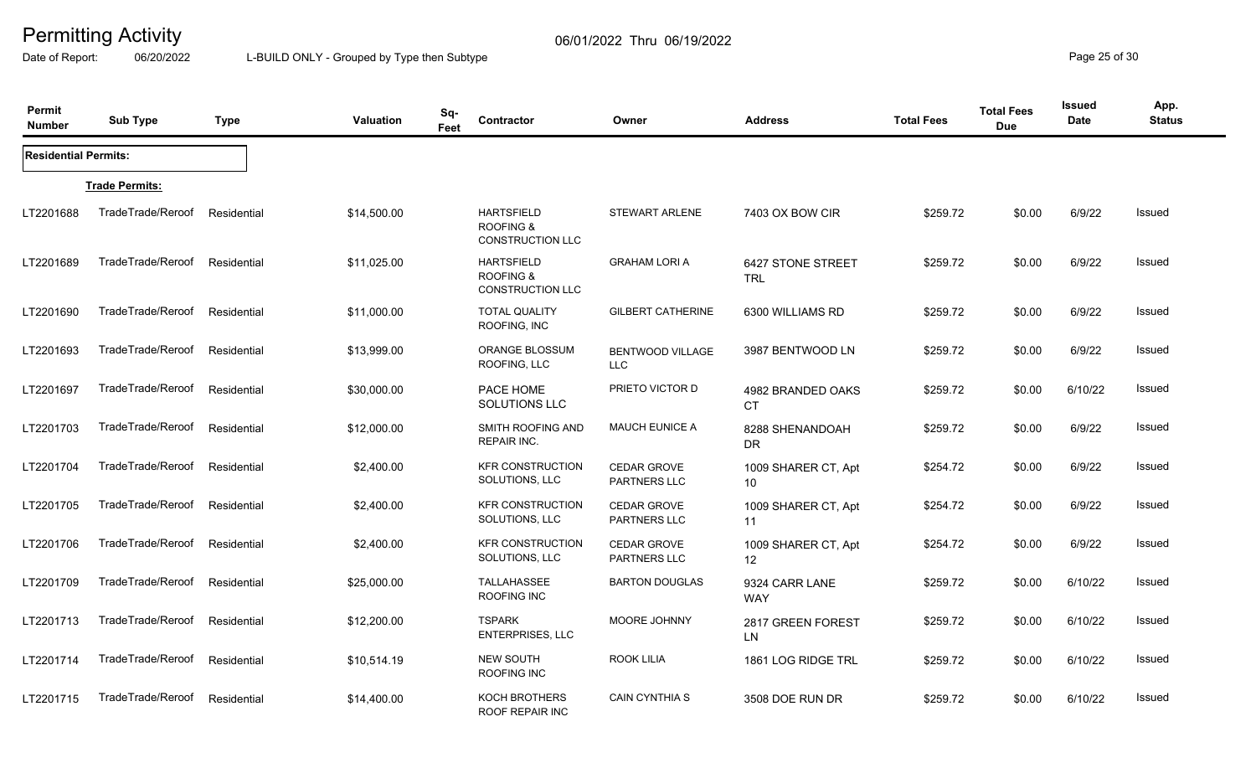Date of Report: 06/20/2022 L-BUILD ONLY - Grouped by Type then Subtype **Page 25** of 30

| Permit<br><b>Number</b>     | <b>Sub Type</b>       | <b>Type</b> | <b>Valuation</b> | Sq-<br>Feet | Contractor                                                           | Owner                                     | <b>Address</b>                           | <b>Total Fees</b> | <b>Total Fees</b><br><b>Due</b> | <b>Issued</b><br>Date | App.<br><b>Status</b> |
|-----------------------------|-----------------------|-------------|------------------|-------------|----------------------------------------------------------------------|-------------------------------------------|------------------------------------------|-------------------|---------------------------------|-----------------------|-----------------------|
| <b>Residential Permits:</b> |                       |             |                  |             |                                                                      |                                           |                                          |                   |                                 |                       |                       |
|                             | <b>Trade Permits:</b> |             |                  |             |                                                                      |                                           |                                          |                   |                                 |                       |                       |
| LT2201688                   | TradeTrade/Reroof     | Residential | \$14,500.00      |             | <b>HARTSFIELD</b><br><b>ROOFING &amp;</b><br><b>CONSTRUCTION LLC</b> | <b>STEWART ARLENE</b>                     | 7403 OX BOW CIR                          | \$259.72          | \$0.00                          | 6/9/22                | Issued                |
| LT2201689                   | TradeTrade/Reroof     | Residential | \$11,025.00      |             | <b>HARTSFIELD</b><br><b>ROOFING &amp;</b><br><b>CONSTRUCTION LLC</b> | <b>GRAHAM LORI A</b>                      | 6427 STONE STREET<br><b>TRL</b>          | \$259.72          | \$0.00                          | 6/9/22                | Issued                |
| LT2201690                   | TradeTrade/Reroof     | Residential | \$11,000.00      |             | <b>TOTAL QUALITY</b><br>ROOFING, INC                                 | <b>GILBERT CATHERINE</b>                  | 6300 WILLIAMS RD                         | \$259.72          | \$0.00                          | 6/9/22                | <b>Issued</b>         |
| LT2201693                   | TradeTrade/Reroof     | Residential | \$13,999.00      |             | ORANGE BLOSSUM<br>ROOFING, LLC                                       | <b>BENTWOOD VILLAGE</b><br><b>LLC</b>     | 3987 BENTWOOD LN                         | \$259.72          | \$0.00                          | 6/9/22                | <b>Issued</b>         |
| LT2201697                   | TradeTrade/Reroof     | Residential | \$30,000.00      |             | PACE HOME<br>SOLUTIONS LLC                                           | PRIETO VICTOR D                           | 4982 BRANDED OAKS<br>CT                  | \$259.72          | \$0.00                          | 6/10/22               | Issued                |
| LT2201703                   | TradeTrade/Reroof     | Residential | \$12,000.00      |             | SMITH ROOFING AND<br><b>REPAIR INC.</b>                              | <b>MAUCH EUNICE A</b>                     | 8288 SHENANDOAH<br>DR                    | \$259.72          | \$0.00                          | 6/9/22                | Issued                |
| LT2201704                   | TradeTrade/Reroof     | Residential | \$2,400.00       |             | <b>KFR CONSTRUCTION</b><br>SOLUTIONS, LLC                            | <b>CEDAR GROVE</b><br>PARTNERS LLC        | 1009 SHARER CT, Apt<br>10                | \$254.72          | \$0.00                          | 6/9/22                | <b>Issued</b>         |
| LT2201705                   | TradeTrade/Reroof     | Residential | \$2,400.00       |             | <b>KFR CONSTRUCTION</b><br>SOLUTIONS, LLC                            | <b>CEDAR GROVE</b><br>PARTNERS LLC        | 1009 SHARER CT, Apt<br>11                | \$254.72          | \$0.00                          | 6/9/22                | <b>Issued</b>         |
| LT2201706                   | TradeTrade/Reroof     | Residential | \$2,400.00       |             | <b>KFR CONSTRUCTION</b><br>SOLUTIONS, LLC                            | <b>CEDAR GROVE</b><br><b>PARTNERS LLC</b> | 1009 SHARER CT, Apt<br>$12 \overline{ }$ | \$254.72          | \$0.00                          | 6/9/22                | <b>Issued</b>         |
| LT2201709                   | TradeTrade/Reroof     | Residential | \$25,000.00      |             | TALLAHASSEE<br>ROOFING INC                                           | <b>BARTON DOUGLAS</b>                     | 9324 CARR LANE<br><b>WAY</b>             | \$259.72          | \$0.00                          | 6/10/22               | <b>Issued</b>         |
| LT2201713                   | TradeTrade/Reroof     | Residential | \$12,200.00      |             | <b>TSPARK</b><br><b>ENTERPRISES, LLC</b>                             | MOORE JOHNNY                              | 2817 GREEN FOREST<br><b>LN</b>           | \$259.72          | \$0.00                          | 6/10/22               | Issued                |
| LT2201714                   | TradeTrade/Reroof     | Residential | \$10,514.19      |             | <b>NEW SOUTH</b><br>ROOFING INC                                      | <b>ROOK LILIA</b>                         | 1861 LOG RIDGE TRL                       | \$259.72          | \$0.00                          | 6/10/22               | <b>Issued</b>         |
| LT2201715                   | TradeTrade/Reroof     | Residential | \$14,400.00      |             | KOCH BROTHERS<br><b>ROOF REPAIR INC</b>                              | <b>CAIN CYNTHIA S</b>                     | 3508 DOE RUN DR                          | \$259.72          | \$0.00                          | 6/10/22               | <b>Issued</b>         |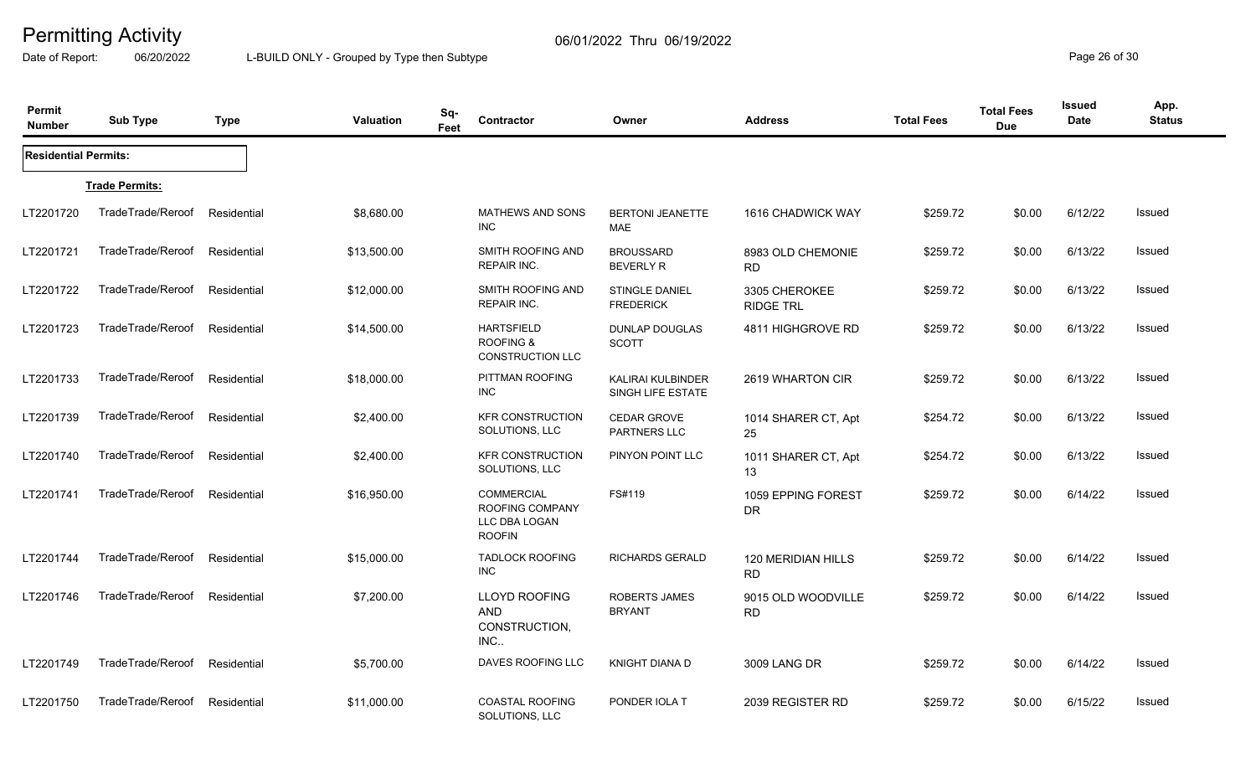Date of Report: 06/20/2022 L-BUILD ONLY - Grouped by Type then Subtype **Page 26** of 30

| Permit<br><b>Number</b>     | <b>Sub Type</b>       | <b>Type</b> | <b>Valuation</b> | Sq-<br>Feet | Contractor                                                      | Owner                                     | <b>Address</b>                    | <b>Total Fees</b> | <b>Total Fees</b><br><b>Due</b> | <b>Issued</b><br>Date | App.<br><b>Status</b> |
|-----------------------------|-----------------------|-------------|------------------|-------------|-----------------------------------------------------------------|-------------------------------------------|-----------------------------------|-------------------|---------------------------------|-----------------------|-----------------------|
| <b>Residential Permits:</b> |                       |             |                  |             |                                                                 |                                           |                                   |                   |                                 |                       |                       |
|                             | <b>Trade Permits:</b> |             |                  |             |                                                                 |                                           |                                   |                   |                                 |                       |                       |
| LT2201720                   | TradeTrade/Reroof     | Residential | \$8,680.00       |             | MATHEWS AND SONS<br><b>INC</b>                                  | <b>BERTONI JEANETTE</b><br><b>MAE</b>     | 1616 CHADWICK WAY                 | \$259.72          | \$0.00                          | 6/12/22               | Issued                |
| LT2201721                   | TradeTrade/Reroof     | Residential | \$13,500.00      |             | SMITH ROOFING AND<br>REPAIR INC.                                | <b>BROUSSARD</b><br><b>BEVERLY R</b>      | 8983 OLD CHEMONIE<br><b>RD</b>    | \$259.72          | \$0.00                          | 6/13/22               | Issued                |
| LT2201722                   | TradeTrade/Reroof     | Residential | \$12,000.00      |             | SMITH ROOFING AND<br>REPAIR INC.                                | <b>STINGLE DANIEL</b><br><b>FREDERICK</b> | 3305 CHEROKEE<br><b>RIDGE TRL</b> | \$259.72          | \$0.00                          | 6/13/22               | Issued                |
| LT2201723                   | TradeTrade/Reroof     | Residential | \$14,500.00      |             | <b>HARTSFIELD</b><br>ROOFING &<br><b>CONSTRUCTION LLC</b>       | <b>DUNLAP DOUGLAS</b><br><b>SCOTT</b>     | 4811 HIGHGROVE RD                 | \$259.72          | \$0.00                          | 6/13/22               | Issued                |
| LT2201733                   | TradeTrade/Reroof     | Residential | \$18,000.00      |             | PITTMAN ROOFING<br><b>INC</b>                                   | KALIRAI KULBINDER<br>SINGH LIFE ESTATE    | 2619 WHARTON CIR                  | \$259.72          | \$0.00                          | 6/13/22               | Issued                |
| LT2201739                   | TradeTrade/Reroof     | Residential | \$2,400.00       |             | <b>KFR CONSTRUCTION</b><br>SOLUTIONS, LLC                       | <b>CEDAR GROVE</b><br>PARTNERS LLC        | 1014 SHARER CT, Apt<br>25         | \$254.72          | \$0.00                          | 6/13/22               | Issued                |
| LT2201740                   | TradeTrade/Reroof     | Residential | \$2,400.00       |             | <b>KFR CONSTRUCTION</b><br>SOLUTIONS, LLC                       | PINYON POINT LLC                          | 1011 SHARER CT, Apt<br>13         | \$254.72          | \$0.00                          | 6/13/22               | Issued                |
| LT2201741                   | TradeTrade/Reroof     | Residential | \$16,950.00      |             | COMMERCIAL<br>ROOFING COMPANY<br>LLC DBA LOGAN<br><b>ROOFIN</b> | FS#119                                    | 1059 EPPING FOREST<br><b>DR</b>   | \$259.72          | \$0.00                          | 6/14/22               | Issued                |
| LT2201744                   | TradeTrade/Reroof     | Residential | \$15,000.00      |             | <b>TADLOCK ROOFING</b><br><b>INC</b>                            | <b>RICHARDS GERALD</b>                    | 120 MERIDIAN HILLS<br><b>RD</b>   | \$259.72          | \$0.00                          | 6/14/22               | Issued                |
| LT2201746                   | TradeTrade/Reroof     | Residential | \$7,200.00       |             | <b>LLOYD ROOFING</b><br><b>AND</b><br>CONSTRUCTION,<br>INC      | <b>ROBERTS JAMES</b><br><b>BRYANT</b>     | 9015 OLD WOODVILLE<br><b>RD</b>   | \$259.72          | \$0.00                          | 6/14/22               | Issued                |
| LT2201749                   | TradeTrade/Reroof     | Residential | \$5,700.00       |             | DAVES ROOFING LLC                                               | <b>KNIGHT DIANA D</b>                     | 3009 LANG DR                      | \$259.72          | \$0.00                          | 6/14/22               | Issued                |
| LT2201750                   | TradeTrade/Reroof     | Residential | \$11,000.00      |             | <b>COASTAL ROOFING</b><br>SOLUTIONS, LLC                        | PONDER IOLA T                             | 2039 REGISTER RD                  | \$259.72          | \$0.00                          | 6/15/22               | Issued                |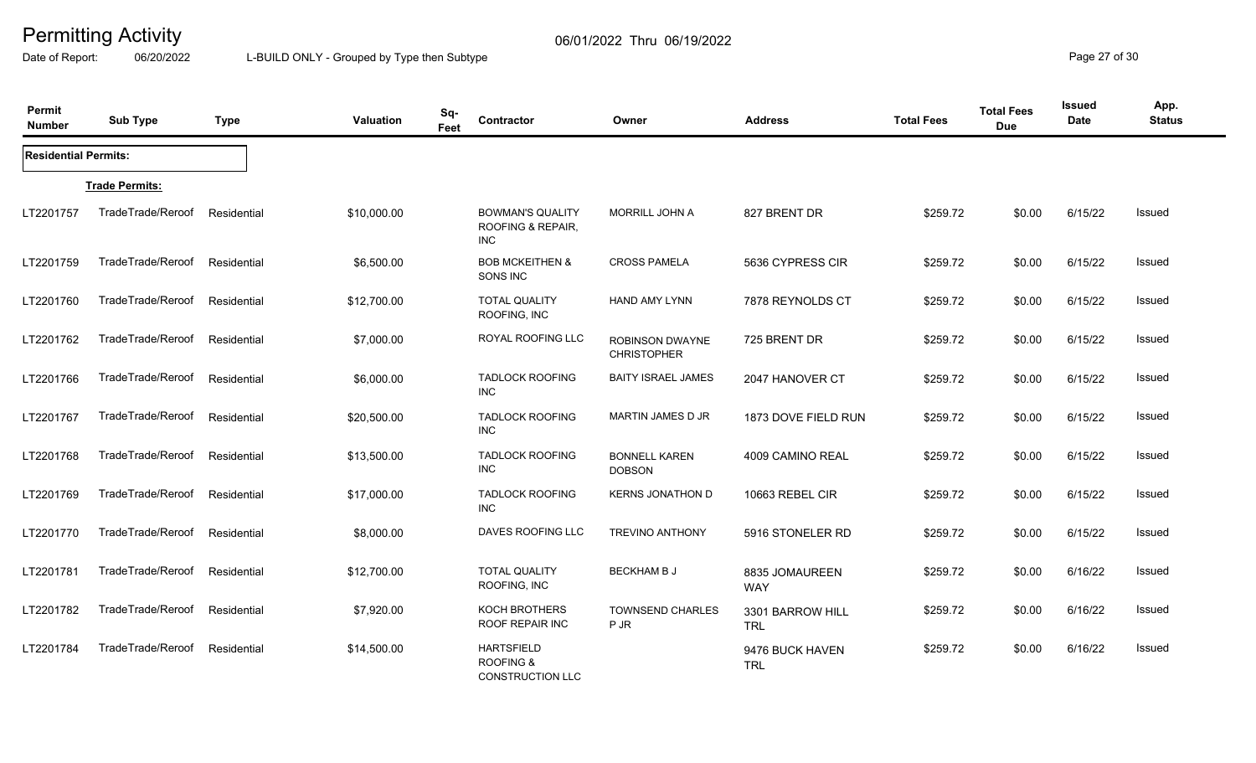Date of Report: 06/20/2022 L-BUILD ONLY - Grouped by Type then Subtype **Page 27** of 30

| Permit<br><b>Number</b>     | <b>Sub Type</b>       | <b>Type</b> | <b>Valuation</b> | Sq-<br>Feet | Contractor                                                           | Owner                                        | <b>Address</b>                 | <b>Total Fees</b> | <b>Total Fees</b><br><b>Due</b> | <b>Issued</b><br>Date | App.<br><b>Status</b> |
|-----------------------------|-----------------------|-------------|------------------|-------------|----------------------------------------------------------------------|----------------------------------------------|--------------------------------|-------------------|---------------------------------|-----------------------|-----------------------|
| <b>Residential Permits:</b> |                       |             |                  |             |                                                                      |                                              |                                |                   |                                 |                       |                       |
|                             | <b>Trade Permits:</b> |             |                  |             |                                                                      |                                              |                                |                   |                                 |                       |                       |
| LT2201757                   | TradeTrade/Reroof     | Residential | \$10,000.00      |             | <b>BOWMAN'S QUALITY</b><br>ROOFING & REPAIR,<br>INC                  | <b>MORRILL JOHN A</b>                        | 827 BRENT DR                   | \$259.72          | \$0.00                          | 6/15/22               | <b>Issued</b>         |
| LT2201759                   | TradeTrade/Reroof     | Residential | \$6,500.00       |             | <b>BOB MCKEITHEN &amp;</b><br>SONS INC                               | <b>CROSS PAMELA</b>                          | 5636 CYPRESS CIR               | \$259.72          | \$0.00                          | 6/15/22               | Issued                |
| LT2201760                   | TradeTrade/Reroof     | Residential | \$12,700.00      |             | <b>TOTAL QUALITY</b><br>ROOFING, INC                                 | HAND AMY LYNN                                | 7878 REYNOLDS CT               | \$259.72          | \$0.00                          | 6/15/22               | Issued                |
| LT2201762                   | TradeTrade/Reroof     | Residential | \$7,000.00       |             | ROYAL ROOFING LLC                                                    | <b>ROBINSON DWAYNE</b><br><b>CHRISTOPHER</b> | 725 BRENT DR                   | \$259.72          | \$0.00                          | 6/15/22               | Issued                |
| LT2201766                   | TradeTrade/Reroof     | Residential | \$6,000.00       |             | <b>TADLOCK ROOFING</b><br><b>INC</b>                                 | <b>BAITY ISRAEL JAMES</b>                    | 2047 HANOVER CT                | \$259.72          | \$0.00                          | 6/15/22               | Issued                |
| LT2201767                   | TradeTrade/Reroof     | Residential | \$20,500.00      |             | <b>TADLOCK ROOFING</b><br><b>INC</b>                                 | MARTIN JAMES D JR                            | 1873 DOVE FIELD RUN            | \$259.72          | \$0.00                          | 6/15/22               | <b>Issued</b>         |
| LT2201768                   | TradeTrade/Reroof     | Residential | \$13,500.00      |             | <b>TADLOCK ROOFING</b><br><b>INC</b>                                 | <b>BONNELL KAREN</b><br><b>DOBSON</b>        | 4009 CAMINO REAL               | \$259.72          | \$0.00                          | 6/15/22               | <b>Issued</b>         |
| LT2201769                   | TradeTrade/Reroof     | Residential | \$17,000.00      |             | <b>TADLOCK ROOFING</b><br>INC                                        | <b>KERNS JONATHON D</b>                      | 10663 REBEL CIR                | \$259.72          | \$0.00                          | 6/15/22               | <b>Issued</b>         |
| LT2201770                   | TradeTrade/Reroof     | Residential | \$8,000.00       |             | DAVES ROOFING LLC                                                    | <b>TREVINO ANTHONY</b>                       | 5916 STONELER RD               | \$259.72          | \$0.00                          | 6/15/22               | Issued                |
| LT2201781                   | TradeTrade/Reroof     | Residential | \$12,700.00      |             | <b>TOTAL QUALITY</b><br>ROOFING, INC                                 | <b>BECKHAM B J</b>                           | 8835 JOMAUREEN<br><b>WAY</b>   | \$259.72          | \$0.00                          | 6/16/22               | Issued                |
| LT2201782                   | TradeTrade/Reroof     | Residential | \$7,920.00       |             | KOCH BROTHERS<br>ROOF REPAIR INC                                     | <b>TOWNSEND CHARLES</b><br>P JR              | 3301 BARROW HILL<br><b>TRL</b> | \$259.72          | \$0.00                          | 6/16/22               | Issued                |
| LT2201784                   | TradeTrade/Reroof     | Residential | \$14,500.00      |             | <b>HARTSFIELD</b><br><b>ROOFING &amp;</b><br><b>CONSTRUCTION LLC</b> |                                              | 9476 BUCK HAVEN<br><b>TRL</b>  | \$259.72          | \$0.00                          | 6/16/22               | Issued                |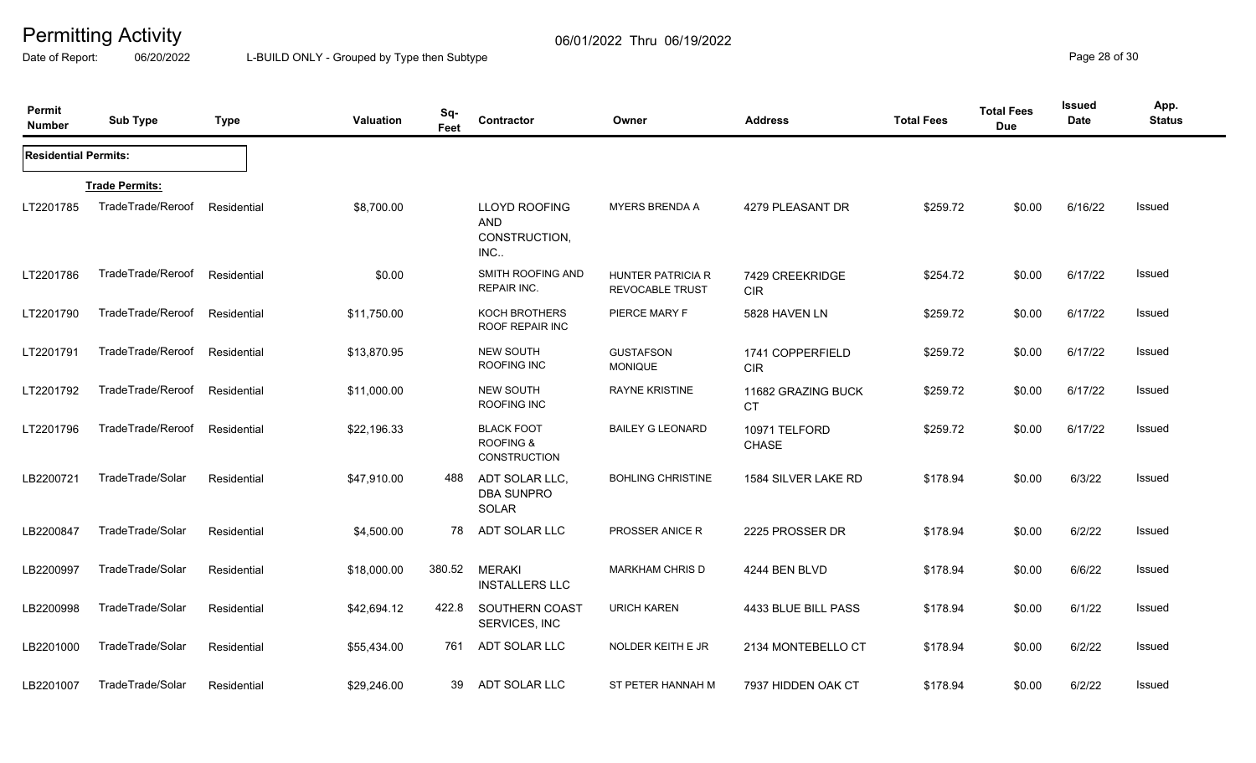Date of Report: 06/20/2022 L-BUILD ONLY - Grouped by Type then Subtype **Page 28** of 30

| Permit<br><b>Number</b>     | <b>Sub Type</b>       | <b>Type</b> | Valuation   | Sq-<br>Feet | Contractor                                                  | Owner<br><b>Address</b>                            |                                 | <b>Total Fees</b> | <b>Total Fees</b><br><b>Due</b> | Issued<br><b>Date</b> | App.<br><b>Status</b> |
|-----------------------------|-----------------------|-------------|-------------|-------------|-------------------------------------------------------------|----------------------------------------------------|---------------------------------|-------------------|---------------------------------|-----------------------|-----------------------|
| <b>Residential Permits:</b> |                       |             |             |             |                                                             |                                                    |                                 |                   |                                 |                       |                       |
|                             | <b>Trade Permits:</b> |             |             |             |                                                             |                                                    |                                 |                   |                                 |                       |                       |
| LT2201785                   | TradeTrade/Reroof     | Residential | \$8,700.00  |             | <b>LLOYD ROOFING</b><br><b>AND</b><br>CONSTRUCTION,<br>INC. | <b>MYERS BRENDA A</b>                              | 4279 PLEASANT DR                | \$259.72          | \$0.00                          | 6/16/22               | Issued                |
| LT2201786                   | TradeTrade/Reroof     | Residential | \$0.00      |             | SMITH ROOFING AND<br><b>REPAIR INC.</b>                     | <b>HUNTER PATRICIA R</b><br><b>REVOCABLE TRUST</b> | 7429 CREEKRIDGE<br><b>CIR</b>   | \$254.72          | \$0.00                          | 6/17/22               | <b>Issued</b>         |
| LT2201790                   | TradeTrade/Reroof     | Residential | \$11,750.00 |             | <b>KOCH BROTHERS</b><br>ROOF REPAIR INC                     | PIERCE MARY F                                      | 5828 HAVEN LN                   | \$259.72          | \$0.00                          | 6/17/22               | <b>Issued</b>         |
| LT2201791                   | TradeTrade/Reroof     | Residential | \$13,870.95 |             | <b>NEW SOUTH</b><br>ROOFING INC                             | <b>GUSTAFSON</b><br><b>MONIQUE</b>                 | 1741 COPPERFIELD<br><b>CIR</b>  | \$259.72          | \$0.00                          | 6/17/22               | Issued                |
| LT2201792                   | TradeTrade/Reroof     | Residential | \$11,000.00 |             | NEW SOUTH<br>ROOFING INC                                    | <b>RAYNE KRISTINE</b>                              | 11682 GRAZING BUCK<br><b>CT</b> | \$259.72          | \$0.00                          | 6/17/22               | Issued                |
| LT2201796                   | TradeTrade/Reroof     | Residential | \$22,196.33 |             | <b>BLACK FOOT</b><br>ROOFING &<br><b>CONSTRUCTION</b>       | <b>BAILEY G LEONARD</b>                            | 10971 TELFORD<br><b>CHASE</b>   | \$259.72          | \$0.00                          | 6/17/22               | Issued                |
| LB2200721                   | TradeTrade/Solar      | Residential | \$47,910.00 | 488         | ADT SOLAR LLC.<br><b>DBA SUNPRO</b><br>SOLAR                | <b>BOHLING CHRISTINE</b>                           | 1584 SILVER LAKE RD             | \$178.94          | \$0.00                          | 6/3/22                | <b>Issued</b>         |
| LB2200847                   | TradeTrade/Solar      | Residential | \$4,500.00  | 78          | ADT SOLAR LLC                                               | <b>PROSSER ANICE R</b>                             | 2225 PROSSER DR                 | \$178.94          | \$0.00                          | 6/2/22                | <b>Issued</b>         |
| LB2200997                   | TradeTrade/Solar      | Residential | \$18,000.00 | 380.52      | <b>MERAKI</b><br><b>INSTALLERS LLC</b>                      | <b>MARKHAM CHRIS D</b>                             | 4244 BEN BLVD                   | \$178.94          | \$0.00                          | 6/6/22                | <b>Issued</b>         |
| LB2200998                   | TradeTrade/Solar      | Residential | \$42,694.12 | 422.8       | SOUTHERN COAST<br>SERVICES, INC                             | <b>URICH KAREN</b>                                 | 4433 BLUE BILL PASS             | \$178.94          | \$0.00                          | 6/1/22                | <b>Issued</b>         |
| LB2201000                   | TradeTrade/Solar      | Residential | \$55,434.00 | 761         | ADT SOLAR LLC                                               | NOLDER KEITH E JR                                  | 2134 MONTEBELLO CT              | \$178.94          | \$0.00                          | 6/2/22                | <b>Issued</b>         |
| LB2201007                   | TradeTrade/Solar      | Residential | \$29,246.00 | 39          | ADT SOLAR LLC                                               | ST PETER HANNAH M                                  | 7937 HIDDEN OAK CT              | \$178.94          | \$0.00                          | 6/2/22                | <b>Issued</b>         |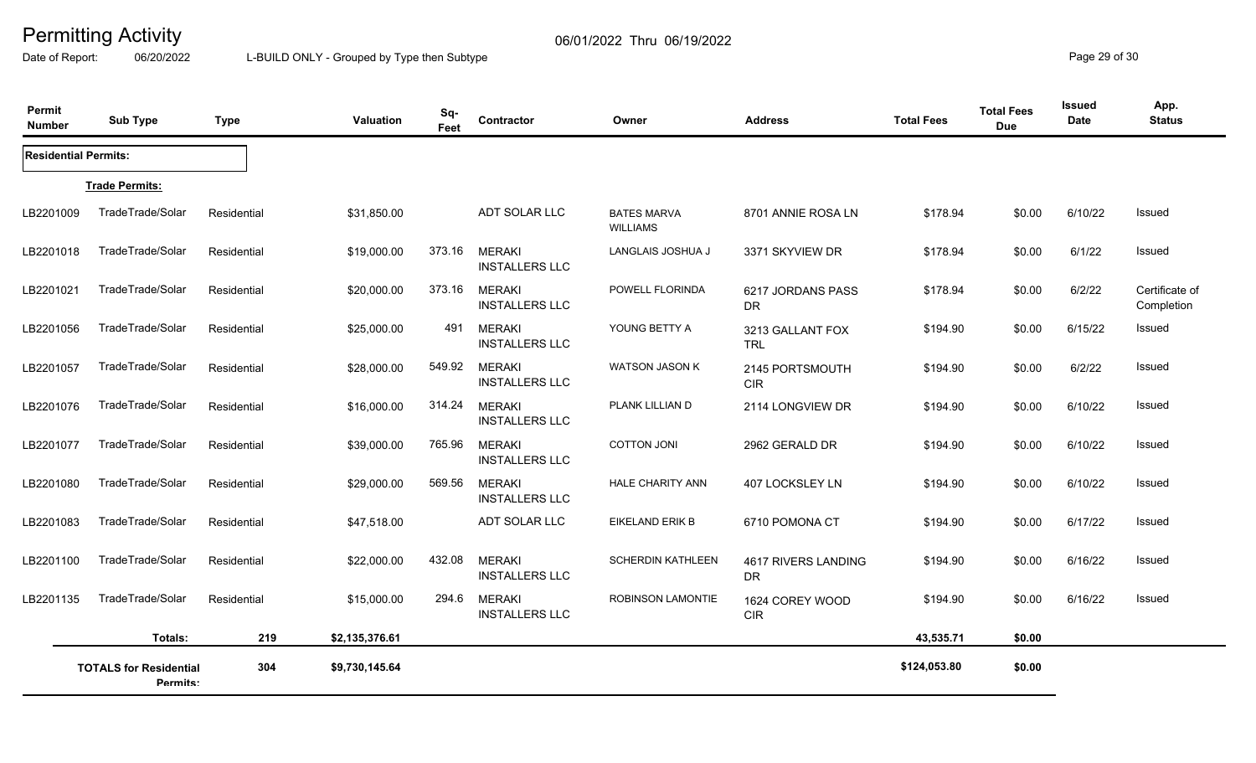Date of Report: 06/20/2022 L-BUILD ONLY - Grouped by Type then Subtype **Page 29 of 30** 

| Permit<br><b>Number</b>     | <b>Sub Type</b>                           | <b>Type</b> | Valuation      | Sq-<br>Feet | Contractor                             | Owner                                 | <b>Address</b>                   | <b>Total Fees</b> | <b>Total Fees</b><br><b>Due</b> | <b>Issued</b><br>Date | App.<br><b>Status</b>        |
|-----------------------------|-------------------------------------------|-------------|----------------|-------------|----------------------------------------|---------------------------------------|----------------------------------|-------------------|---------------------------------|-----------------------|------------------------------|
| <b>Residential Permits:</b> |                                           |             |                |             |                                        |                                       |                                  |                   |                                 |                       |                              |
|                             | <b>Trade Permits:</b>                     |             |                |             |                                        |                                       |                                  |                   |                                 |                       |                              |
| LB2201009                   | TradeTrade/Solar                          | Residential | \$31,850.00    |             | ADT SOLAR LLC                          | <b>BATES MARVA</b><br><b>WILLIAMS</b> | 8701 ANNIE ROSA LN               | \$178.94          | \$0.00                          | 6/10/22               | Issued                       |
| LB2201018                   | TradeTrade/Solar                          | Residential | \$19,000.00    | 373.16      | <b>MERAKI</b><br><b>INSTALLERS LLC</b> | LANGLAIS JOSHUA J                     | 3371 SKYVIEW DR                  | \$178.94          | \$0.00                          | 6/1/22                | <b>Issued</b>                |
| LB2201021                   | TradeTrade/Solar                          | Residential | \$20,000.00    | 373.16      | <b>MERAKI</b><br><b>INSTALLERS LLC</b> | POWELL FLORINDA                       | 6217 JORDANS PASS<br><b>DR</b>   | \$178.94          | \$0.00                          | 6/2/22                | Certificate of<br>Completion |
| LB2201056                   | TradeTrade/Solar                          | Residential | \$25,000.00    | 491         | <b>MERAKI</b><br><b>INSTALLERS LLC</b> | YOUNG BETTY A                         | 3213 GALLANT FOX<br>TRL          | \$194.90          | \$0.00                          | 6/15/22               | <b>Issued</b>                |
| LB2201057                   | TradeTrade/Solar                          | Residential | \$28,000.00    | 549.92      | <b>MERAKI</b><br><b>INSTALLERS LLC</b> | <b>WATSON JASON K</b>                 | 2145 PORTSMOUTH<br><b>CIR</b>    | \$194.90          | \$0.00                          | 6/2/22                | <b>Issued</b>                |
| LB2201076                   | TradeTrade/Solar                          | Residential | \$16,000.00    | 314.24      | <b>MERAKI</b><br><b>INSTALLERS LLC</b> | PLANK LILLIAN D                       | 2114 LONGVIEW DR                 | \$194.90          | \$0.00                          | 6/10/22               | Issued                       |
| LB2201077                   | TradeTrade/Solar                          | Residential | \$39,000.00    | 765.96      | <b>MERAKI</b><br><b>INSTALLERS LLC</b> | <b>COTTON JONI</b>                    | 2962 GERALD DR                   | \$194.90          | \$0.00                          | 6/10/22               | Issued                       |
| LB2201080                   | TradeTrade/Solar                          | Residential | \$29,000.00    | 569.56      | <b>MERAKI</b><br><b>INSTALLERS LLC</b> | HALE CHARITY ANN                      | 407 LOCKSLEY LN                  | \$194.90          | \$0.00                          | 6/10/22               | <b>Issued</b>                |
| LB2201083                   | TradeTrade/Solar                          | Residential | \$47,518.00    |             | ADT SOLAR LLC                          | EIKELAND ERIK B                       | 6710 POMONA CT                   | \$194.90          | \$0.00                          | 6/17/22               | Issued                       |
| LB2201100                   | TradeTrade/Solar                          | Residential | \$22,000.00    | 432.08      | <b>MERAKI</b><br><b>INSTALLERS LLC</b> | <b>SCHERDIN KATHLEEN</b>              | 4617 RIVERS LANDING<br><b>DR</b> | \$194.90          | \$0.00                          | 6/16/22               | <b>Issued</b>                |
| LB2201135                   | TradeTrade/Solar                          | Residential | \$15,000.00    | 294.6       | <b>MERAKI</b><br><b>INSTALLERS LLC</b> | <b>ROBINSON LAMONTIE</b>              | 1624 COREY WOOD<br><b>CIR</b>    | \$194.90          | \$0.00                          | 6/16/22               | <b>Issued</b>                |
|                             | Totals:                                   | 219         | \$2,135,376.61 |             |                                        |                                       |                                  | 43,535.71         | \$0.00                          |                       |                              |
|                             | <b>TOTALS for Residential</b><br>Permits: | 304         | \$9,730,145.64 |             |                                        |                                       |                                  | \$124,053.80      | \$0.00                          |                       |                              |